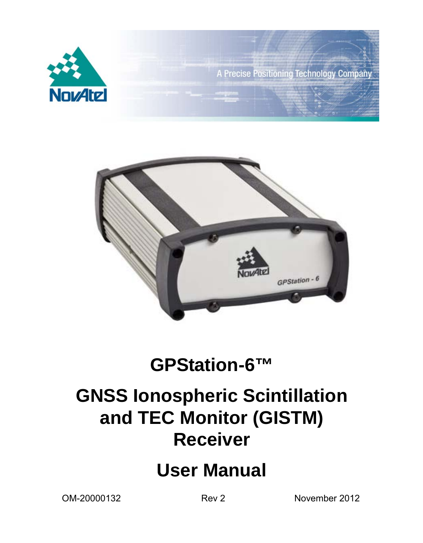



# **GPStation-6™**

# **GNSS Ionospheric Scintillation and TEC Monitor (GISTM) Receiver**

# **User Manual**

OM-20000132 Rev 2 November 2012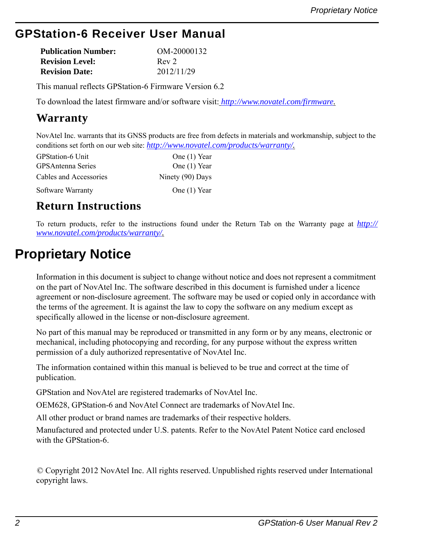# **GPStation-6 Receiver User Manual**

| <b>Publication Number:</b> | OM-20000132      |
|----------------------------|------------------|
| <b>Revision Level:</b>     | Rev <sub>2</sub> |
| <b>Revision Date:</b>      | 2012/11/29       |

This manual reflects GPStation-6 Firmware Version 6.2

To download the latest firmware and/or software visit: *[h](http://www.novatel.com/support/firmware-software-and-manuals/firmware-software-updates/)ttp://www.novatel.com/firmware.*

### **Warranty**

NovAtel Inc. warrants that its GNSS products are free from defects in materials and workmanship, subject to the conditions set forth on our web site: *http://www.novatel.com/products/warranty/.*

| <b>GPStation-6 Unit</b>  | One (1) Year     |
|--------------------------|------------------|
| <b>GPSAntenna Series</b> | One (1) Year     |
| Cables and Accessories   | Ninety (90) Days |
| Software Warranty        | One (1) Year     |

### **Return Instructions**

To return products, refer to the instructions found under the Return Tab on the Warranty page at *http:// www.novatel.com/products/warranty/.*

# <span id="page-1-0"></span>**Proprietary Notice**

Information in this document is subject to change without notice and does not represent a commitment on the part of NovAtel Inc. The software described in this document is furnished under a licence agreement or non-disclosure agreement. The software may be used or copied only in accordance with the terms of the agreement. It is against the law to copy the software on any medium except as specifically allowed in the license or non-disclosure agreement.

No part of this manual may be reproduced or transmitted in any form or by any means, electronic or mechanical, including photocopying and recording, for any purpose without the express written permission of a duly authorized representative of NovAtel Inc.

The information contained within this manual is believed to be true and correct at the time of publication.

GPStation and NovAtel are registered trademarks of NovAtel Inc.

OEM628, GPStation-6 and NovAtel Connect are trademarks of NovAtel Inc.

All other product or brand names are trademarks of their respective holders.

Manufactured and protected under U.S. patents. Refer to the NovAtel Patent Notice card enclosed with the GPStation-6.

© Copyright 2012 NovAtel Inc. All rights reserved. Unpublished rights reserved under International copyright laws.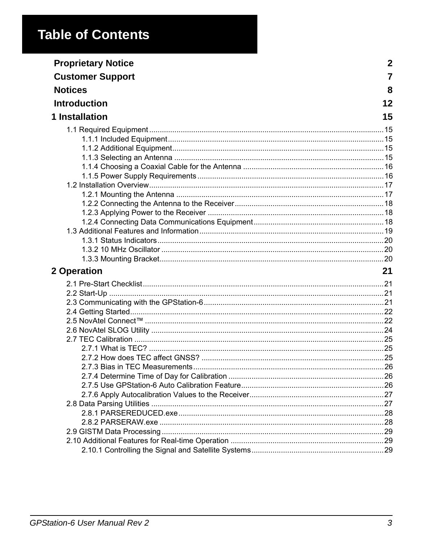# **Table of Contents**

| <b>Proprietary Notice</b> | 2  |
|---------------------------|----|
| <b>Customer Support</b>   | 7  |
| <b>Notices</b>            | 8  |
| <b>Introduction</b>       | 12 |
| 1 Installation            | 15 |
|                           |    |
|                           |    |
|                           |    |
|                           |    |
|                           |    |
|                           |    |
|                           |    |
|                           |    |
|                           |    |
|                           |    |
|                           |    |
|                           |    |
|                           |    |
|                           |    |
|                           |    |
| 2 Operation               | 21 |
|                           |    |
|                           |    |
|                           |    |
|                           |    |
|                           |    |
|                           |    |
|                           |    |
|                           |    |
|                           |    |
|                           |    |
|                           |    |
|                           |    |
|                           |    |
|                           |    |
|                           |    |
|                           |    |
|                           |    |
|                           |    |
|                           |    |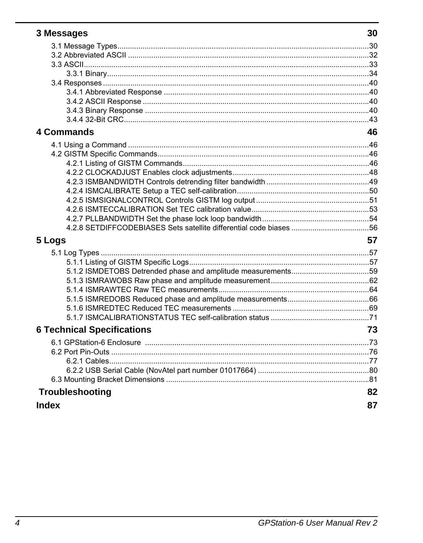| 3 Messages                        | 30 |
|-----------------------------------|----|
|                                   |    |
|                                   |    |
|                                   |    |
|                                   |    |
|                                   |    |
|                                   |    |
|                                   |    |
|                                   |    |
|                                   |    |
| <b>4 Commands</b>                 | 46 |
|                                   |    |
|                                   |    |
|                                   |    |
|                                   |    |
|                                   |    |
|                                   |    |
|                                   |    |
|                                   |    |
|                                   |    |
|                                   |    |
| 5 Logs                            | 57 |
|                                   |    |
|                                   |    |
|                                   |    |
|                                   |    |
|                                   |    |
|                                   |    |
|                                   |    |
|                                   |    |
| <b>6 Technical Specifications</b> | 73 |
|                                   |    |
|                                   |    |
|                                   |    |
|                                   |    |
|                                   |    |
| Troubleshooting                   | 82 |
| <b>Index</b>                      | 87 |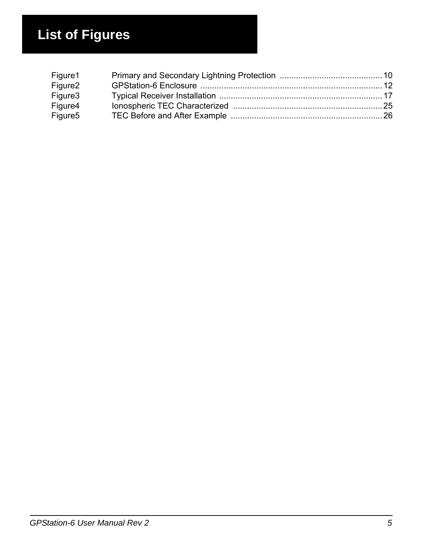# **List of Figures**

| Figure1             |  |
|---------------------|--|
| Figure <sub>2</sub> |  |
| Figure3             |  |
| Figure4             |  |
| Figure <sub>5</sub> |  |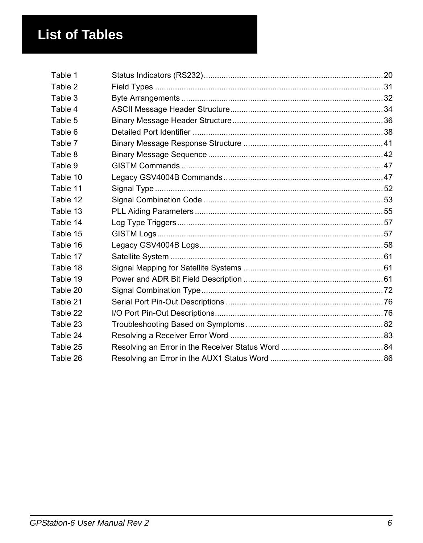# **List of Tables**

| Table 1  |  |
|----------|--|
| Table 2  |  |
| Table 3  |  |
| Table 4  |  |
| Table 5  |  |
| Table 6  |  |
| Table 7  |  |
| Table 8  |  |
| Table 9  |  |
| Table 10 |  |
| Table 11 |  |
| Table 12 |  |
| Table 13 |  |
| Table 14 |  |
| Table 15 |  |
| Table 16 |  |
| Table 17 |  |
| Table 18 |  |
| Table 19 |  |
| Table 20 |  |
| Table 21 |  |
| Table 22 |  |
| Table 23 |  |
| Table 24 |  |
| Table 25 |  |
| Table 26 |  |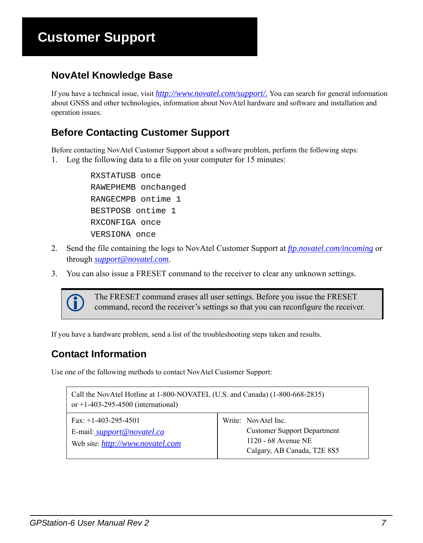# **Customer Support**

### <span id="page-6-0"></span>**NovAtel Knowledge Base**

If you have a technical issue, visit *[http://www.novatel.com/support/.](www.novatel.com/support/)* You can search for general information about GNSS and other technologies, information about NovAtel hardware and software and installation and operation issues.

### **Before Contacting Customer Support**

Before contacting NovAtel Customer Support about a software problem, perform the following steps: 1. Log the following data to a file on your computer for 15 minutes:

> RXSTATUSB once RAWEPHEMB onchanged RANGECMPB ontime 1 BESTPOSB ontime 1 RXCONFIGA once VERSIONA once

- 2. Send the file containing the logs to NovAtel Customer Support at *ftp.novatel.com/incoming* or through *[support@novatel.com](mailto://support@novatel.com)*.
- 3. You can also issue a FRESET command to the receiver to clear any unknown settings.



The FRESET command erases all user settings. Before you issue the FRESET command, record the receiver's settings so that you can reconfigure the receiver.

If you have a hardware problem, send a list of the troubleshooting steps taken and results.

### <span id="page-6-1"></span>**Contact Information**

Use one of the following methods to contact NovAtel Customer Support:

| Call the NovAtel Hotline at 1-800-NOVATEL (U.S. and Canada) (1-800-668-2835)<br>or +1-403-295-4500 (international) |                                                                                                                 |  |  |
|--------------------------------------------------------------------------------------------------------------------|-----------------------------------------------------------------------------------------------------------------|--|--|
| Fax: $+1-403-295-4501$<br>E-mail: <i>support@novatel.ca</i><br>Web site: <i>http://www.novatel.com</i>             | Write: NovAtel Inc.<br><b>Customer Support Department</b><br>1120 - 68 Avenue NE<br>Calgary, AB Canada, T2E 8S5 |  |  |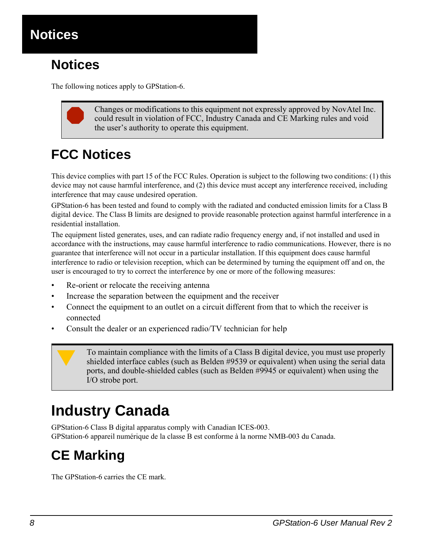<span id="page-7-0"></span>

# **Notices**

The following notices apply to GPStation-6.



 Changes or modifications to this equipment not expressly approved by NovAtel Inc. could result in violation of FCC, Industry Canada and CE Marking rules and void the user's authority to operate this equipment.

# **FCC Notices**

This device complies with part 15 of the FCC Rules. Operation is subject to the following two conditions: (1) this device may not cause harmful interference, and (2) this device must accept any interference received, including interference that may cause undesired operation.

GPStation-6 has been tested and found to comply with the radiated and conducted emission limits for a Class B digital device. The Class B limits are designed to provide reasonable protection against harmful interference in a residential installation.

The equipment listed generates, uses, and can radiate radio frequency energy and, if not installed and used in accordance with the instructions, may cause harmful interference to radio communications. However, there is no guarantee that interference will not occur in a particular installation. If this equipment does cause harmful interference to radio or television reception, which can be determined by turning the equipment off and on, the user is encouraged to try to correct the interference by one or more of the following measures:

- Re-orient or relocate the receiving antenna
- Increase the separation between the equipment and the receiver
- Connect the equipment to an outlet on a circuit different from that to which the receiver is connected
- Consult the dealer or an experienced radio/TV technician for help

To maintain compliance with the limits of a Class B digital device, you must use properly shielded interface cables (such as Belden #9539 or equivalent) when using the serial data next, and double shielded sobles (such as ports, and double-shielded cables (such as Belden #9945 or equivalent) when using the I/O strobe port.

# **Industry Canada**

GPStation-6 Class B digital apparatus comply with Canadian ICES-003. GPStation-6 appareil numérique de la classe B est conforme à la norme NMB-003 du Canada.

# **CE Marking**

The GPStation-6 carries the CE mark.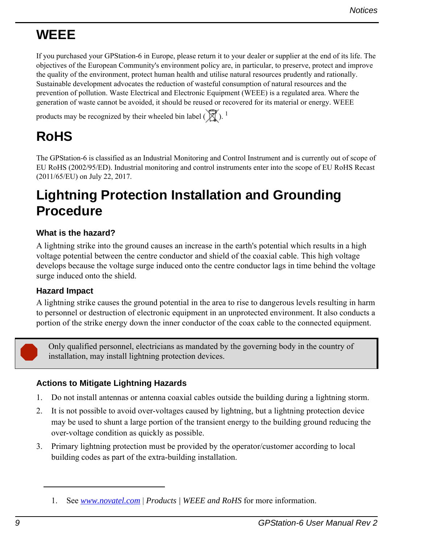# **WEEE**

If you purchased your GPStation-6 in Europe, please return it to your dealer or supplier at the end of its life. The objectives of the European Community's environment policy are, in particular, to preserve, protect and improve the quality of the environment, protect human health and utilise natural resources prudently and rationally. Sustainable development advocates the reduction of wasteful consumption of natural resources and the prevention of pollution. Waste Electrical and Electronic Equipment (WEEE) is a regulated area. Where the generation of waste cannot be avoided, it should be reused or recovered for its material or energy. WEEE

products may be recognized by their wheeled bin label  $(\overline{X})$ .<sup>1</sup>

# **RoHS**

The GPStation-6 is classified as an Industrial Monitoring and Control Instrument and is currently out of scope of EU RoHS (2002/95/ED). Industrial monitoring and control instruments enter into the scope of EU RoHS Recast (2011/65/EU) on July 22, 2017.

# <span id="page-8-0"></span>**Lightning Protection Installation and Grounding Procedure**

### **What is the hazard?**

A lightning strike into the ground causes an increase in the earth's potential which results in a high voltage potential between the centre conductor and shield of the coaxial cable. This high voltage develops because the voltage surge induced onto the centre conductor lags in time behind the voltage surge induced onto the shield.

#### **Hazard Impact**

A lightning strike causes the ground potential in the area to rise to dangerous levels resulting in harm to personnel or destruction of electronic equipment in an unprotected environment. It also conducts a portion of the strike energy down the inner conductor of the coax cable to the connected equipment.



 Only qualified personnel, electricians as mandated by the governing body in the country of installation, may install lightning protection devices.

### **Actions to Mitigate Lightning Hazards**

- 1. Do not install antennas or antenna coaxial cables outside the building during a lightning storm.
- 2. It is not possible to avoid over-voltages caused by lightning, but a lightning protection device may be used to shunt a large portion of the transient energy to the building ground reducing the over-voltage condition as quickly as possible.
- 3. Primary lightning protection must be provided by the operator/customer according to local building codes as part of the extra-building installation.

<sup>1.</sup> See *www.novatel.com* | *Products | WEEE and RoHS* for more information.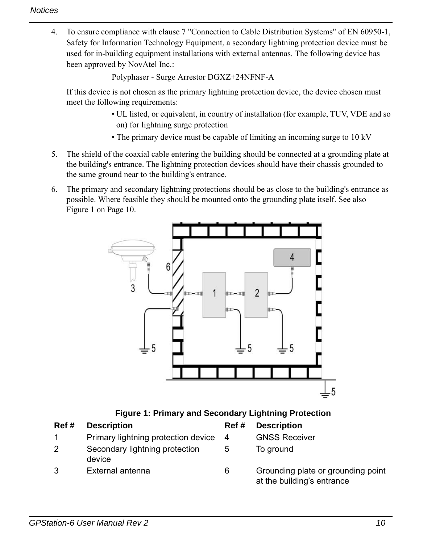4. To ensure compliance with clause 7 "Connection to Cable Distribution Systems" of EN 60950-1, Safety for Information Technology Equipment, a secondary lightning protection device must be used for in-building equipment installations with external antennas. The following device has been approved by NovAtel Inc.:

Polyphaser - Surge Arrestor DGXZ+24NFNF-A

If this device is not chosen as the primary lightning protection device, the device chosen must meet the following requirements:

- UL listed, or equivalent, in country of installation (for example, TUV, VDE and so on) for lightning surge protection
- The primary device must be capable of limiting an incoming surge to 10 kV
- 5. The shield of the coaxial cable entering the building should be connected at a grounding plate at the building's entrance. The lightning protection devices should have their chassis grounded to the same ground near to the building's entrance.
- 6. The primary and secondary lightning protections should be as close to the building's entrance as possible. Where feasible they should be mounted onto the grounding plate itself. See also [Figure 1 on Page 10.](#page-9-0)



| <b>Figure 1: Primary and Secondary Lightning Protection</b> |  |  |  |
|-------------------------------------------------------------|--|--|--|
|-------------------------------------------------------------|--|--|--|

<span id="page-9-0"></span>

| Ref # | <b>Description</b>                       | Ref # | <b>Description</b>                                               |
|-------|------------------------------------------|-------|------------------------------------------------------------------|
|       | Primary lightning protection device      | -4    | <b>GNSS Receiver</b>                                             |
| 2     | Secondary lightning protection<br>device | 5     | To ground                                                        |
| 3     | External antenna                         | 6     | Grounding plate or grounding point<br>at the building's entrance |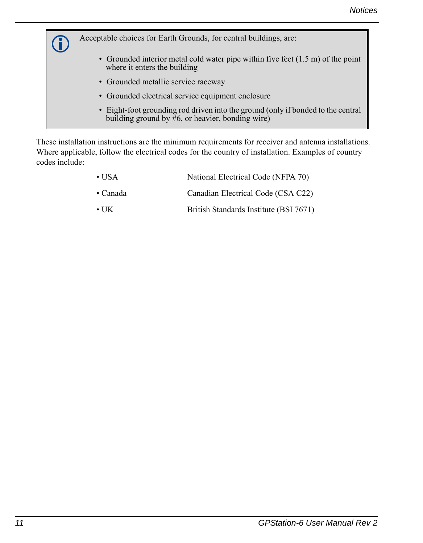Acceptable choices for Earth Grounds, for central buildings, are: • Grounded interior metal cold water pipe within five feet (1.5 m) of the point where it enters the building • Grounded metallic service raceway • Grounded electrical service equipment enclosure • Eight-foot grounding rod driven into the ground (only if bonded to the central building ground by  $#6$ , or heavier, bonding wire)

These installation instructions are the minimum requirements for receiver and antenna installations. Where applicable, follow the electrical codes for the country of installation. Examples of country codes include:

| $\bullet$ USA    | National Electrical Code (NFPA 70)     |
|------------------|----------------------------------------|
| $\bullet$ Canada | Canadian Electrical Code (CSA C22)     |
| $\cdot$ UK       | British Standards Institute (BSI 7671) |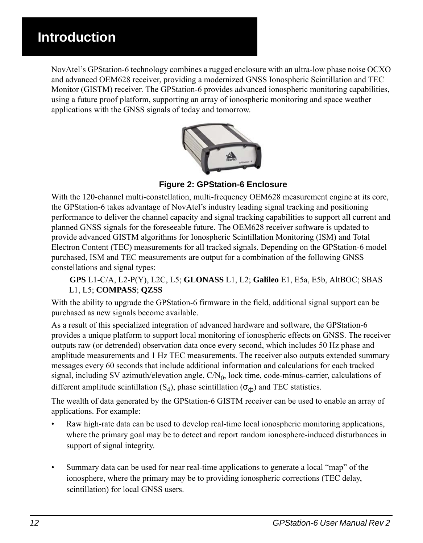# <span id="page-11-0"></span>**Introduction**

NovAtel's GPStation-6 technology combines a rugged enclosure with an ultra-low phase noise OCXO and advanced OEM628 receiver, providing a modernized GNSS Ionospheric Scintillation and TEC Monitor (GISTM) receiver. The GPStation-6 provides advanced ionospheric monitoring capabilities, using a future proof platform, supporting an array of ionospheric monitoring and space weather applications with the GNSS signals of today and tomorrow.



 **Figure 2: GPStation-6 Enclosure**

<span id="page-11-1"></span>With the 120-channel multi-constellation, multi-frequency OEM628 measurement engine at its core, the GPStation-6 takes advantage of NovAtel's industry leading signal tracking and positioning performance to deliver the channel capacity and signal tracking capabilities to support all current and planned GNSS signals for the foreseeable future. The OEM628 receiver software is updated to provide advanced GISTM algorithms for Ionospheric Scintillation Monitoring (ISM) and Total Electron Content (TEC) measurements for all tracked signals. Depending on the GPStation-6 model purchased, ISM and TEC measurements are output for a combination of the following GNSS constellations and signal types:

#### **GPS** L1-C/A, L2-P(Y), L2C, L5; **GLONASS** L1, L2; **Galileo** E1, E5a, E5b, AltBOC; SBAS L1, L5; **COMPASS**; **QZSS**

With the ability to upgrade the GPStation-6 firmware in the field, additional signal support can be purchased as new signals become available.

As a result of this specialized integration of advanced hardware and software, the GPStation-6 provides a unique platform to support local monitoring of ionospheric effects on GNSS. The receiver outputs raw (or detrended) observation data once every second, which includes 50 Hz phase and amplitude measurements and 1 Hz TEC measurements. The receiver also outputs extended summary messages every 60 seconds that include additional information and calculations for each tracked signal, including SV azimuth/elevation angle,  $C/N_0$ , lock time, code-minus-carrier, calculations of different amplitude scintillation  $(S_4)$ , phase scintillation  $(\sigma_{\phi})$  and TEC statistics.

The wealth of data generated by the GPStation-6 GISTM receiver can be used to enable an array of applications. For example:

- Raw high-rate data can be used to develop real-time local ionospheric monitoring applications, where the primary goal may be to detect and report random ionosphere-induced disturbances in support of signal integrity.
- Summary data can be used for near real-time applications to generate a local "map" of the ionosphere, where the primary may be to providing ionospheric corrections (TEC delay, scintillation) for local GNSS users.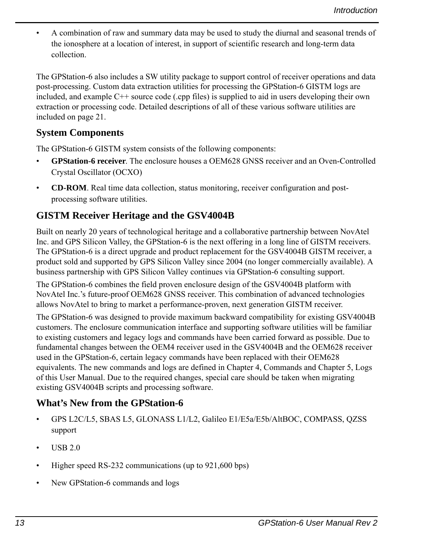• A combination of raw and summary data may be used to study the diurnal and seasonal trends of the ionosphere at a location of interest, in support of scientific research and long-term data collection.

The GPStation-6 also includes a SW utility package to support control of receiver operations and data post-processing. Custom data extraction utilities for processing the GPStation-6 GISTM logs are included, and example C++ source code (.cpp files) is supplied to aid in users developing their own extraction or processing code. Detailed descriptions of all of these various software utilities are included on page [21.](#page-20-4)

### **System Components**

The GPStation-6 GISTM system consists of the following components:

- **GPStation-6 receiver**. The enclosure houses a OEM628 GNSS receiver and an Oven-Controlled Crystal Oscillator (OCXO)
- **CD-ROM**. Real time data collection, status monitoring, receiver configuration and postprocessing software utilities.

### **GISTM Receiver Heritage and the GSV4004B**

Built on nearly 20 years of technological heritage and a collaborative partnership between NovAtel Inc. and GPS Silicon Valley, the GPStation-6 is the next offering in a long line of GISTM receivers. The GPStation-6 is a direct upgrade and product replacement for the GSV4004B GISTM receiver, a product sold and supported by GPS Silicon Valley since 2004 (no longer commercially available). A business partnership with GPS Silicon Valley continues via GPStation-6 consulting support.

The GPStation-6 combines the field proven enclosure design of the GSV4004B platform with NovAtel Inc.'s future-proof OEM628 GNSS receiver. This combination of advanced technologies allows NovAtel to bring to market a performance-proven, next generation GISTM receiver.

The GPStation-6 was designed to provide maximum backward compatibility for existing GSV4004B customers. The enclosure communication interface and supporting software utilities will be familiar to existing customers and legacy logs and commands have been carried forward as possible. Due to fundamental changes between the OEM4 receiver used in the GSV4004B and the OEM628 receiver used in the GPStation-6, certain legacy commands have been replaced with their OEM628 equivalents. The new commands and logs are defined in [Chapter 4, Commands](#page-45-4) and [Chapter 5, Logs](#page-56-3) of this User Manual. Due to the required changes, special care should be taken when migrating existing GSV4004B scripts and processing software.

### **What's New from the GPStation-6**

- GPS L2C/L5, SBAS L5, GLONASS L1/L2, Galileo E1/E5a/E5b/AltBOC, COMPASS, QZSS support
- $\cdot$  USB 2.0
- Higher speed RS-232 communications (up to 921,600 bps)
- New GPStation-6 commands and logs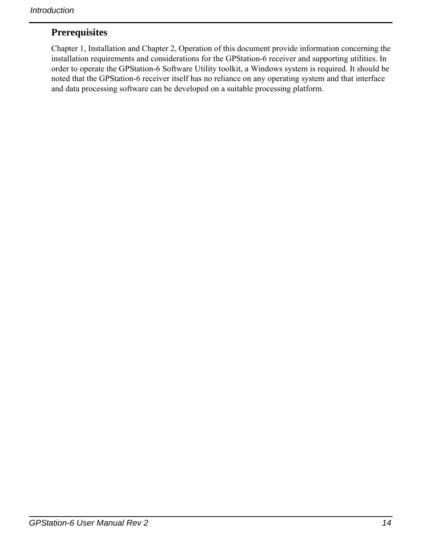### **Prerequisites**

[Chapter 1, Installation](#page-14-5) and [Chapter 2, Operation](#page-20-4) of this document provide information concerning the installation requirements and considerations for the GPStation-6 receiver and supporting utilities. In order to operate the GPStation-6 Software Utility toolkit, a Windows system is required. It should be noted that the GPStation-6 receiver itself has no reliance on any operating system and that interface and data processing software can be developed on a suitable processing platform.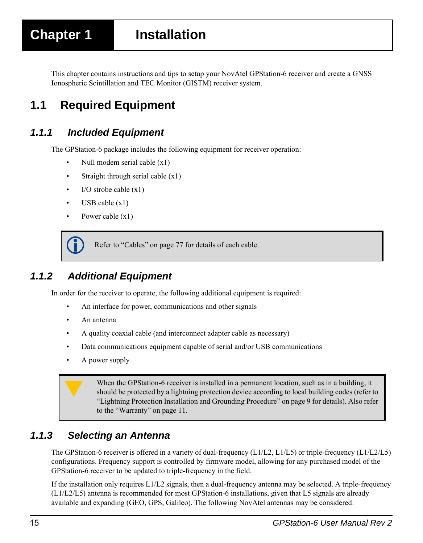<span id="page-14-5"></span><span id="page-14-0"></span>This chapter contains instructions and tips to setup your NovAtel GPStation-6 receiver and create a GNSS Ionospheric Scintillation and TEC Monitor (GISTM) receiver system.

# <span id="page-14-1"></span>**1.1 Required Equipment**

### <span id="page-14-2"></span>*1.1.1 Included Equipment*

The GPStation-6 package includes the following equipment for receiver operation:

- Null modem serial cable  $(x1)$
- Straight through serial cable  $(x1)$
- $\cdot$  I/O strobe cable  $(x1)$
- USB cable  $(x1)$
- Power cable (x1)

Refer to ["Cables" on page 77](#page-76-1) for details of each cable.

### <span id="page-14-3"></span>*1.1.2 Additional Equipment*

In order for the receiver to operate, the following additional equipment is required:

- An interface for power, communications and other signals
- An antenna
- A quality coaxial cable (and interconnect adapter cable as necessary)
- Data communications equipment capable of serial and/or USB communications
- A power supply

When the GPStation-6 receiver is installed in a permanent location, such as in a building, it<br>
should be protected by a lightning protection device according to local building codes (refer to<br>
"I interior Protection Instal ["Lightning Protection Installation and Grounding Procedure" on page 9](#page-8-0) for details). Also refer to the "Warranty" on page 11.

### <span id="page-14-4"></span>*1.1.3 Selecting an Antenna*

The GPStation-6 receiver is offered in a variety of dual-frequency (L1/L2, L1/L5) or triple-frequency (L1/L2/L5) configurations. Frequency support is controlled by firmware model, allowing for any purchased model of the GPStation-6 receiver to be updated to triple-frequency in the field.

If the installation only requires L1/L2 signals, then a dual-frequency antenna may be selected. A triple-frequency (L1/L2/L5) antenna is recommended for most GPStation-6 installations, given that L5 signals are already available and expanding (GEO, GPS, Galileo). The following NovAtel antennas may be considered: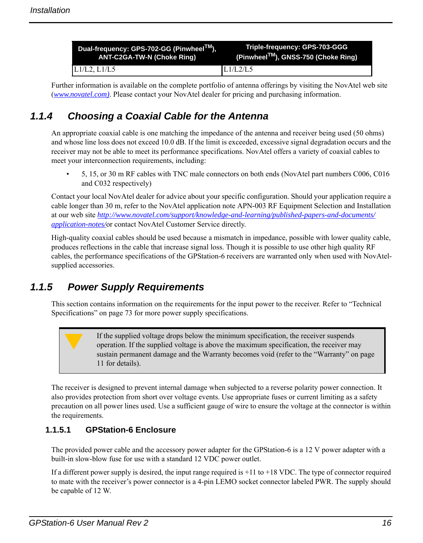| Dual-frequency: GPS-702-GG (Pinwheel™), | Triple-frequency: GPS-703-GGG      |
|-----------------------------------------|------------------------------------|
| ANT-C2GA-TW-N (Choke Ring)              | (Pinwheel™), GNSS-750 (Choke Ring) |
| $L1/L2$ , $L1/L5$                       | L1/L2/L5                           |

Further information is available on the complete portfolio of antenna offerings by visiting the NovAtel web site (*www.novatel.com)*. Please contact your NovAtel dealer for pricing and purchasing information.

### <span id="page-15-0"></span>*1.1.4 Choosing a Coaxial Cable for the Antenna*

An appropriate coaxial cable is one matching the impedance of the antenna and receiver being used (50 ohms) and whose line loss does not exceed 10.0 dB. If the limit is exceeded, excessive signal degradation occurs and the receiver may not be able to meet its performance specifications. NovAtel offers a variety of coaxial cables to meet your interconnection requirements, including:

• 5, 15, or 30 m RF cables with TNC male connectors on both ends (NovAtel part numbers C006, C016 and C032 respectively)

Contact your local NovAtel dealer for advice about your specific configuration. Should your application require a cable longer than 30 m, refer to the NovAtel application note APN-003 RF Equipment Selection and Installation at our web site *http://www.novatel.com/support/knowledge-and-learning/published-papers-and-documents/ application-notes/*or contact NovAtel Customer Service directly.

High-quality coaxial cables should be used because a mismatch in impedance, possible with lower quality cable, produces reflections in the cable that increase signal loss. Though it is possible to use other high quality RF cables, the performance specifications of the GPStation-6 receivers are warranted only when used with NovAtelsupplied accessories.

### <span id="page-15-1"></span>*1.1.5 Power Supply Requirements*

This section contains information on the requirements for the input power to the receiver. Refer to ["Technical](#page-72-2)  [Specifications" on page 73](#page-72-2) for more power supply specifications.

If the supplied voltage drops below the minimum specification, the receiver suspends<br>operation. If the supplied voltage is above the maximum specification, the receiver may<br>sustain normanant domess and the Warranty becomes sustain permanent damage and the Warranty becomes void (refer to the "Warranty" on page 11 for details).

The receiver is designed to prevent internal damage when subjected to a reverse polarity power connection. It also provides protection from short over voltage events. Use appropriate fuses or current limiting as a safety precaution on all power lines used. Use a sufficient gauge of wire to ensure the voltage at the connector is within the requirements.

#### **1.1.5.1 GPStation-6 Enclosure**

The provided power cable and the accessory power adapter for the GPStation-6 is a 12 V power adapter with a built-in slow-blow fuse for use with a standard 12 VDC power outlet.

If a different power supply is desired, the input range required is +11 to +18 VDC. The type of connector required to mate with the receiver's power connector is a 4-pin LEMO socket connector labeled PWR. The supply should be capable of 12 W.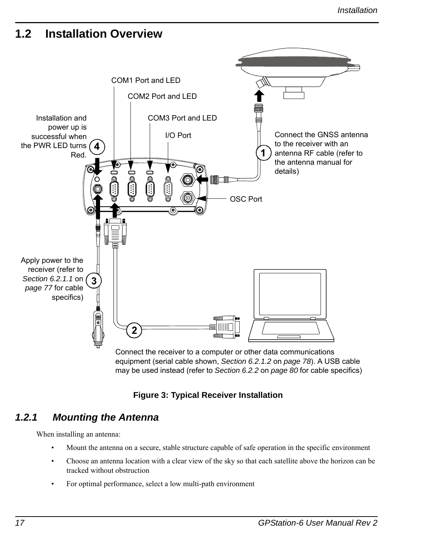### <span id="page-16-0"></span>**1.2 Installation Overview**



 **Figure 3: Typical Receiver Installation**

### <span id="page-16-2"></span><span id="page-16-1"></span>*1.2.1 Mounting the Antenna*

When installing an antenna:

- Mount the antenna on a secure, stable structure capable of safe operation in the specific environment
- Choose an antenna location with a clear view of the sky so that each satellite above the horizon can be tracked without obstruction
- For optimal performance, select a low multi-path environment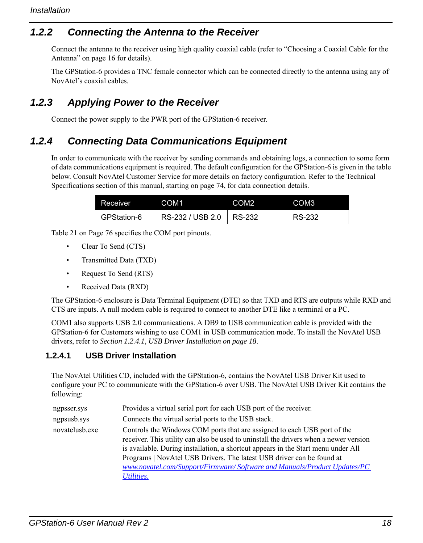### <span id="page-17-0"></span>*1.2.2 Connecting the Antenna to the Receiver*

Connect the antenna to the receiver using high quality coaxial cable (refer to ["Choosing a Coaxial Cable for the](#page-15-0)  [Antenna" on page 16](#page-15-0) for details).

The GPStation-6 provides a TNC female connector which can be connected directly to the antenna using any of NovAtel's coaxial cables.

### <span id="page-17-1"></span>*1.2.3 Applying Power to the Receiver*

Connect the power supply to the PWR port of the GPStation-6 receiver.

### <span id="page-17-2"></span>*1.2.4 Connecting Data Communications Equipment*

In order to communicate with the receiver by sending commands and obtaining logs, a connection to some form of data communications equipment is required. The default configuration for the GPStation-6 is given in the table below. Consult NovAtel Customer Service for more details on factory configuration. Refer to the Technical Specifications section of this manual, starting on [page 74,](#page-73-0) for data connection details.

| Receiver    | COM1                      | COM2 | COM3   |
|-------------|---------------------------|------|--------|
| GPStation-6 | RS-232 / USB 2.0   RS-232 |      | RS-232 |

[Table 21 on Page 76](#page-75-1) specifies the COM port pinouts.

- Clear To Send (CTS)
- Transmitted Data (TXD)
- Request To Send (RTS)
- Received Data (RXD)

The GPStation-6 enclosure is Data Terminal Equipment (DTE) so that TXD and RTS are outputs while RXD and CTS are inputs. A null modem cable is required to connect to another DTE like a terminal or a PC.

COM1 also supports USB 2.0 communications. A DB9 to USB communication cable is provided with the GPStation-6 for Customers wishing to use COM1 in USB communication mode. To install the NovAtel USB drivers, refer to *[Section 1.2.4.1, USB Driver Installation on page 18](#page-17-3)*.

#### <span id="page-17-3"></span>**1.2.4.1 USB Driver Installation**

The NovAtel Utilities CD, included with the GPStation-6, contains the NovAtel USB Driver Kit used to configure your PC to communicate with the GPStation-6 over USB. The NovAtel USB Driver Kit contains the following:

| ngpsser.sys    | Provides a virtual serial port for each USB port of the receiver.                                                                                                                                                                                                                                                                                                                                                         |
|----------------|---------------------------------------------------------------------------------------------------------------------------------------------------------------------------------------------------------------------------------------------------------------------------------------------------------------------------------------------------------------------------------------------------------------------------|
| ngpsusb.sys    | Connects the virtual serial ports to the USB stack.                                                                                                                                                                                                                                                                                                                                                                       |
| novatelusb.exe | Controls the Windows COM ports that are assigned to each USB port of the<br>receiver. This utility can also be used to uninstall the drivers when a newer version<br>is available. During installation, a shortcut appears in the Start menu under All<br>Programs   NovAtel USB Drivers. The latest USB driver can be found at<br>www.novatel.com/Support/Firmware/Software and Manuals/Product Updates/PC<br>Utilities. |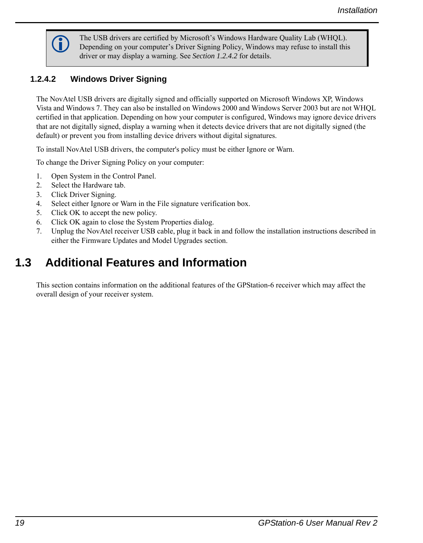

The USB drivers are certified by Microsoft's Windows Hardware Quality Lab (WHQL).<br>
Depending on your computer's Driver Signing Policy, Windows may refuse to install this driver or may display a warning. See *[Section 1.2.4.2](#page-18-1)* for details.

### <span id="page-18-1"></span>**1.2.4.2 Windows Driver Signing**

The NovAtel USB drivers are digitally signed and officially supported on Microsoft Windows XP, Windows Vista and Windows 7. They can also be installed on Windows 2000 and Windows Server 2003 but are not WHQL certified in that application. Depending on how your computer is configured, Windows may ignore device drivers that are not digitally signed, display a warning when it detects device drivers that are not digitally signed (the default) or prevent you from installing device drivers without digital signatures.

To install NovAtel USB drivers, the computer's policy must be either Ignore or Warn.

To change the Driver Signing Policy on your computer:

- 1. Open System in the Control Panel.
- 2. Select the Hardware tab.
- 3. Click Driver Signing.
- 4. Select either Ignore or Warn in the File signature verification box.
- 5. Click OK to accept the new policy.
- 6. Click OK again to close the System Properties dialog.
- 7. Unplug the NovAtel receiver USB cable, plug it back in and follow the installation instructions described in either the Firmware Updates and Model Upgrades section.

# <span id="page-18-0"></span>**1.3 Additional Features and Information**

This section contains information on the additional features of the GPStation-6 receiver which may affect the overall design of your receiver system.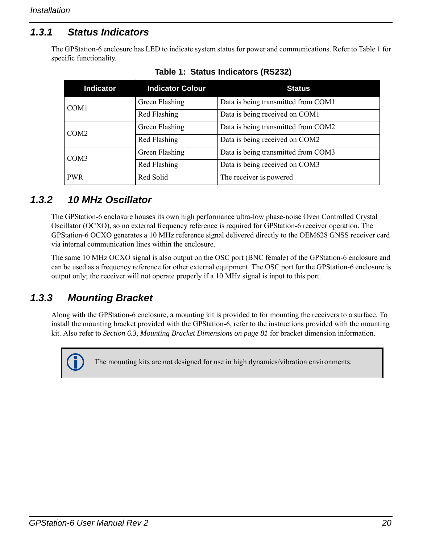### <span id="page-19-0"></span>*1.3.1 Status Indicators*

<span id="page-19-3"></span>The GPStation-6 enclosure has LED to indicate system status for power and communications. Refer to [Table 1](#page-19-3) for specific functionality.

| <b>Indicator</b> | <b>Indicator Colour</b> | <b>Status</b>                       |  |  |
|------------------|-------------------------|-------------------------------------|--|--|
| COM <sub>1</sub> | Green Flashing          | Data is being transmitted from COM1 |  |  |
|                  | Red Flashing            | Data is being received on COM1      |  |  |
| COM <sub>2</sub> | Green Flashing          | Data is being transmitted from COM2 |  |  |
|                  | Red Flashing            | Data is being received on COM2      |  |  |
| COM <sub>3</sub> | Green Flashing          | Data is being transmitted from COM3 |  |  |
|                  | Red Flashing            | Data is being received on COM3      |  |  |
| <b>PWR</b>       | Red Solid               | The receiver is powered             |  |  |

 **Table 1: Status Indicators (RS232)**

### <span id="page-19-1"></span>*1.3.2 10 MHz Oscillator*

The GPStation-6 enclosure houses its own high performance ultra-low phase-noise Oven Controlled Crystal Oscillator (OCXO), so no external frequency reference is required for GPStation-6 receiver operation. The GPStation-6 OCXO generates a 10 MHz reference signal delivered directly to the OEM628 GNSS receiver card via internal communication lines within the enclosure.

The same 10 MHz OCXO signal is also output on the OSC port (BNC female) of the GPStation-6 enclosure and can be used as a frequency reference for other external equipment. The OSC port for the GPStation-6 enclosure is output only; the receiver will not operate properly if a 10 MHz signal is input to this port.

### <span id="page-19-2"></span>*1.3.3 Mounting Bracket*

Along with the GPStation-6 enclosure, a mounting kit is provided to for mounting the receivers to a surface. To install the mounting bracket provided with the GPStation-6, refer to the instructions provided with the mounting kit. Also refer to *[Section 6.3, Mounting Bracket Dimensions on page 81](#page-80-1)* for bracket dimension information.



The mounting kits are not designed for use in high dynamics/vibration environments.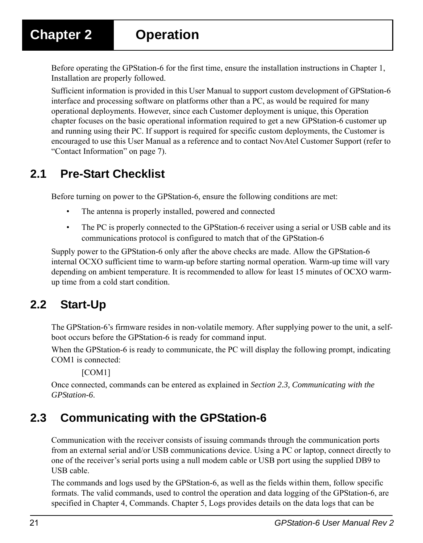# <span id="page-20-0"></span>**Chapter 2 Operation**

<span id="page-20-4"></span>Before operating the GPStation-6 for the first time, ensure the installation instructions in [Chapter 1,](#page-14-5)  [Installation](#page-14-5) are properly followed.

Sufficient information is provided in this User Manual to support custom development of GPStation-6 interface and processing software on platforms other than a PC, as would be required for many operational deployments. However, since each Customer deployment is unique, this Operation chapter focuses on the basic operational information required to get a new GPStation-6 customer up and running using their PC. If support is required for specific custom deployments, the Customer is encouraged to use this User Manual as a reference and to contact NovAtel Customer Support (refer to ["Contact Information" on page 7\)](#page-6-1).

# <span id="page-20-1"></span>**2.1 Pre-Start Checklist**

Before turning on power to the GPStation-6, ensure the following conditions are met:

- The antenna is properly installed, powered and connected
- The PC is properly connected to the GPStation-6 receiver using a serial or USB cable and its communications protocol is configured to match that of the GPStation-6

Supply power to the GPStation-6 only after the above checks are made. Allow the GPStation-6 internal OCXO sufficient time to warm-up before starting normal operation. Warm-up time will vary depending on ambient temperature. It is recommended to allow for least 15 minutes of OCXO warmup time from a cold start condition.

# <span id="page-20-2"></span>**2.2 Start-Up**

The GPStation-6's firmware resides in non-volatile memory. After supplying power to the unit, a selfboot occurs before the GPStation-6 is ready for command input.

When the GPStation-6 is ready to communicate, the PC will display the following prompt, indicating COM1 is connected:

[COM1]

Once connected, commands can be entered as explained in *[Section 2.3, Communicating with the](#page-20-3)  [GPStation-6](#page-20-3)*.

# <span id="page-20-3"></span>**2.3 Communicating with the GPStation-6**

Communication with the receiver consists of issuing commands through the communication ports from an external serial and/or USB communications device. Using a PC or laptop, connect directly to one of the receiver's serial ports using a null modem cable or USB port using the supplied DB9 to USB cable.

The commands and logs used by the GPStation-6, as well as the fields within them, follow specific formats. The valid commands, used to control the operation and data logging of the GPStation-6, are specified in [Chapter 4, Commands.](#page-45-4) [Chapter 5, Logs](#page-56-3) provides details on the data logs that can be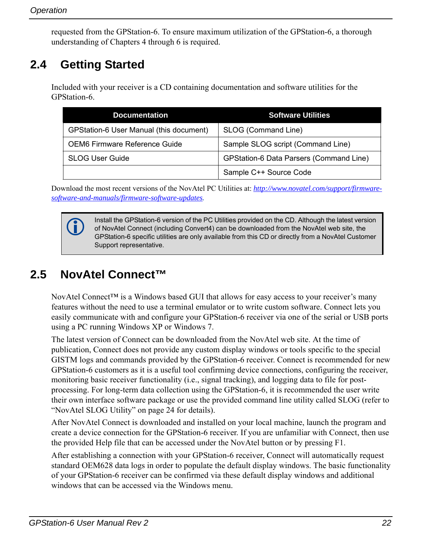requested from the GPStation-6. To ensure maximum utilization of the GPStation-6, a thorough understanding of Chapters 4 through 6 is required.

# <span id="page-21-0"></span>**2.4 Getting Started**

Included with your receiver is a CD containing documentation and software utilities for the GPStation-6.

| <b>Documentation</b>                    | <b>Software Utilities</b>               |
|-----------------------------------------|-----------------------------------------|
| GPStation-6 User Manual (this document) | SLOG (Command Line)                     |
| OEM6 Firmware Reference Guide           | Sample SLOG script (Command Line)       |
| <b>SLOG User Guide</b>                  | GPStation-6 Data Parsers (Command Line) |
|                                         | Sample C++ Source Code                  |

Download the most recent versions of the NovAtel PC Utilities at: *http://www.novatel.com/support/firmwaresoftware-and-manuals/firmware-software-updates.*

 Install the GPStation-6 version of the PC Utilities provided on the CD. Although the latest version of NovAtel Connect (including Convert4) can be downloaded from the NovAtel web site, the GPStation-6 specific utilities are only available from this CD or directly from a NovAtel Customer Support representative.

# <span id="page-21-1"></span>**2.5 NovAtel Connect™**

NovAtel Connect<sup>™</sup> is a Windows based GUI that allows for easy access to your receiver's many features without the need to use a terminal emulator or to write custom software. Connect lets you easily communicate with and configure your GPStation-6 receiver via one of the serial or USB ports using a PC running Windows XP or Windows 7.

The latest version of Connect can be downloaded from the NovAtel web site. At the time of publication, Connect does not provide any custom display windows or tools specific to the special GISTM logs and commands provided by the GPStation-6 receiver. Connect is recommended for new GPStation-6 customers as it is a useful tool confirming device connections, configuring the receiver, monitoring basic receiver functionality (i.e., signal tracking), and logging data to file for postprocessing. For long-term data collection using the GPStation-6, it is recommended the user write their own interface software package or use the provided command line utility called SLOG (refer to ["NovAtel SLOG Utility" on page 24](#page-23-0) for details).

After NovAtel Connect is downloaded and installed on your local machine, launch the program and create a device connection for the GPStation-6 receiver. If you are unfamiliar with Connect, then use the provided Help file that can be accessed under the NovAtel button or by pressing F1.

After establishing a connection with your GPStation-6 receiver, Connect will automatically request standard OEM628 data logs in order to populate the default display windows. The basic functionality of your GPStation-6 receiver can be confirmed via these default display windows and additional windows that can be accessed via the Windows menu.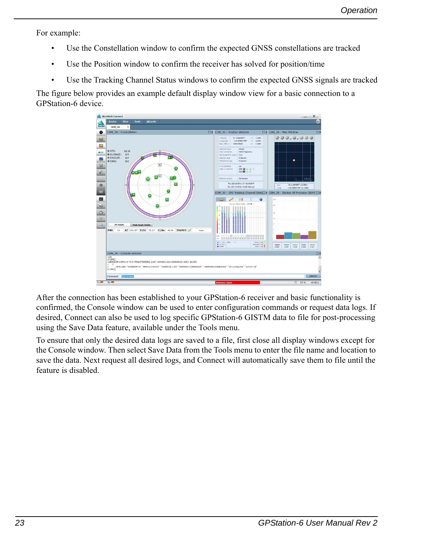For example:

- Use the Constellation window to confirm the expected GNSS constellations are tracked
- Use the Position window to confirm the receiver has solved for position/time
- Use the Tracking Channel Status windows to confirm the expected GNSS signals are tracked

The figure below provides an example default display window view for a basic connection to a GPStation-6 device.



After the connection has been established to your GPStation-6 receiver and basic functionality is confirmed, the Console window can be used to enter configuration commands or request data logs. If desired, Connect can also be used to log specific GPStation-6 GISTM data to file for post-processing using the Save Data feature, available under the Tools menu.

To ensure that only the desired data logs are saved to a file, first close all display windows except for the Console window. Then select Save Data from the Tools menu to enter the file name and location to save the data. Next request all desired logs, and Connect will automatically save them to file until the feature is disabled.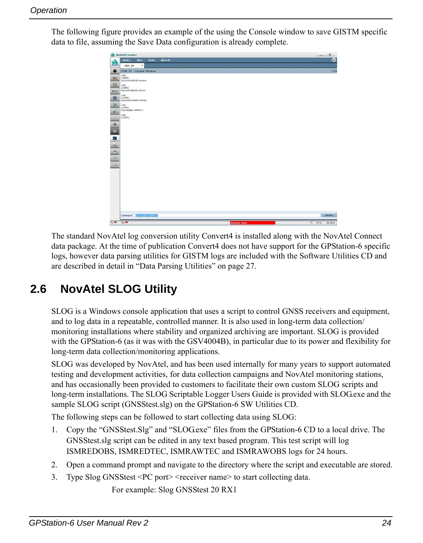$\bullet$  COM **EN CON1**  $51$ 63. **<u>Sill</u>** COK<br>
[COM1]<br>
log rang <OK<br>[COM1]  $\bullet$  3 1 2 9 9  $Rx =$ 

The following figure provides an example of the using the Console window to save GISTM specific data to file, assuming the Save Data configuration is already complete.

The standard NovAtel log conversion utility Convert4 is installed along with the NovAtel Connect data package. At the time of publication Convert4 does not have support for the GPStation-6 specific logs, however data parsing utilities for GISTM logs are included with the Software Utilities CD and are described in detail in ["Data Parsing Utilities" on page 27](#page-26-1).

# <span id="page-23-0"></span>**2.6 NovAtel SLOG Utility**

SLOG is a Windows console application that uses a script to control GNSS receivers and equipment, and to log data in a repeatable, controlled manner. It is also used in long-term data collection/ monitoring installations where stability and organized archiving are important. SLOG is provided with the GPStation-6 (as it was with the GSV4004B), in particular due to its power and flexibility for long-term data collection/monitoring applications.

SLOG was developed by NovAtel, and has been used internally for many years to support automated testing and development activities, for data collection campaigns and NovAtel monitoring stations, and has occasionally been provided to customers to facilitate their own custom SLOG scripts and long-term installations. The SLOG Scriptable Logger Users Guide is provided with SLOG.exe and the sample SLOG script (GNSStest.slg) on the GPStation-6 SW Utilities CD.

The following steps can be followed to start collecting data using SLOG:

- 1. Copy the "GNSStest.Slg" and "SLOG.exe" files from the GPStation-6 CD to a local drive. The GNSStest.slg script can be edited in any text based program. This test script will log ISMREDOBS, ISMREDTEC, ISMRAWTEC and ISMRAWOBS logs for 24 hours.
- 2. Open a command prompt and navigate to the directory where the script and executable are stored.
- 3. Type Slog GNSStest <PC port> <receiver name> to start collecting data.

For example: Slog GNSStest 20 RX1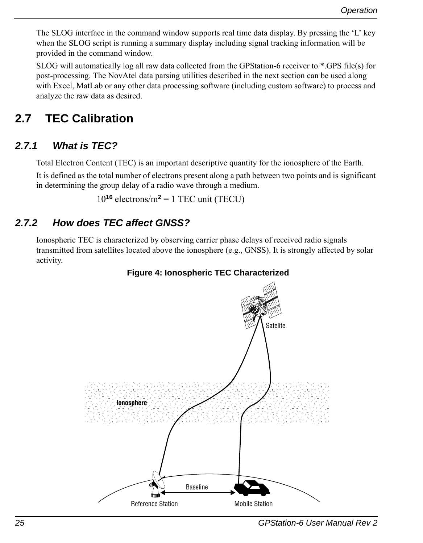The SLOG interface in the command window supports real time data display. By pressing the 'L' key when the SLOG script is running a summary display including signal tracking information will be provided in the command window.

SLOG will automatically log all raw data collected from the GPStation-6 receiver to \*.GPS file(s) for post-processing. The NovAtel data parsing utilities described in the next section can be used along with Excel, MatLab or any other data processing software (including custom software) to process and analyze the raw data as desired.

# <span id="page-24-0"></span>**2.7 TEC Calibration**

### <span id="page-24-1"></span>*2.7.1 What is TEC?*

Total Electron Content (TEC) is an important descriptive quantity for the ionosphere of the Earth.

It is defined as the total number of electrons present along a path between two points and is significant in determining the group delay of a radio wave through a medium.

 $10^{16}$  electrons/m<sup>2</sup> = 1 TEC unit (TECU)

### <span id="page-24-2"></span>*2.7.2 How does TEC affect GNSS?*

<span id="page-24-3"></span>Ionospheric TEC is characterized by observing carrier phase delays of received radio signals transmitted from satellites located above the ionosphere (e.g., GNSS). It is strongly affected by solar activity.

#### **Figure 4: Ionospheric TEC Characterized**

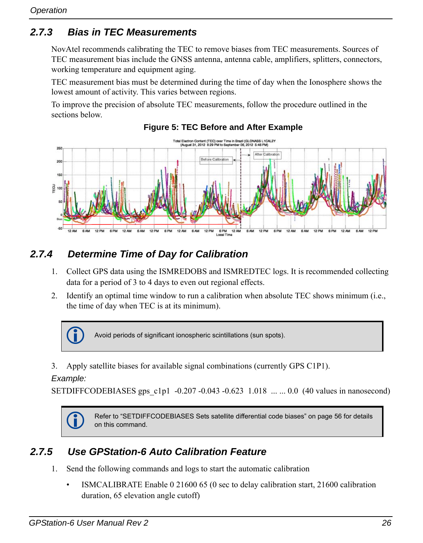### <span id="page-25-0"></span>*2.7.3 Bias in TEC Measurements*

NovAtel recommends calibrating the TEC to remove biases from TEC measurements. Sources of TEC measurement bias include the GNSS antenna, antenna cable, amplifiers, splitters, connectors, working temperature and equipment aging.

TEC measurement bias must be determined during the time of day when the Ionosphere shows the lowest amount of activity. This varies between regions.

To improve the precision of absolute TEC measurements, follow the procedure outlined in the sections below.

<span id="page-25-3"></span>

#### **Figure 5: TEC Before and After Example**

### <span id="page-25-1"></span>*2.7.4 Determine Time of Day for Calibration*

- 1. Collect GPS data using the ISMREDOBS and ISMREDTEC logs. It is recommended collecting data for a period of 3 to 4 days to even out regional effects.
- 2. Identify an optimal time window to run a calibration when absolute TEC shows minimum (i.e., the time of day when TEC is at its minimum).



3. Apply satellite biases for available signal combinations (currently GPS C1P1).

#### *Example:*

SETDIFFCODEBIASES gps\_c1p1 -0.207 -0.043 -0.623 1.018 ... ... 0.0 (40 values in nanosecond)



 Refer to ["SETDIFFCODEBIASES Sets satellite differential code biases" on page 56](#page-55-1) for details on this command.

### <span id="page-25-2"></span>*2.7.5 Use GPStation-6 Auto Calibration Feature*

- 1. Send the following commands and logs to start the automatic calibration
	- ISMCALIBRATE Enable 0 21600 65 (0 sec to delay calibration start, 21600 calibration duration, 65 elevation angle cutoff)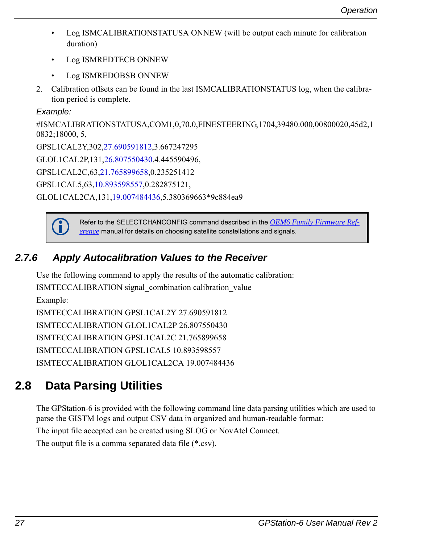- Log ISMCALIBRATIONSTATUSA ONNEW (will be output each minute for calibration duration)
- Log ISMREDTECB ONNEW
- Log ISMREDOBSB ONNEW
- 2. Calibration offsets can be found in the last ISMCALIBRATIONSTATUS log, when the calibration period is complete.

#### *Example:*

```
#ISMCALIBRATIONSTATUSA,COM1,0,70.0,FINESTEERING,1704,39480.000,00800020,45d2,1
0832;18000, 5,
GPSL1CAL2Y,302,27.690591812,3.667247295
GLOL1CAL2P,131,26.807550430,4.445590496,
GPSL1CAL2C,63,21.765899658,0.235251412
GPSL1CAL5,63,10.893598557,0.282875121,
GLOL1CAL2CA,131,19.007484436,5.380369663*9c884ea9
```


 [Refer to the SELECTCHANCONFIG command described in the](http://www.novatel.com/assets/Documents/Manuals/om-20000129.pdf) *OEM6 Family Firmware Reference* manual for details on choosing satellite constellations and signals.

### <span id="page-26-0"></span>*2.7.6 Apply Autocalibration Values to the Receiver*

Use the following command to apply the results of the automatic calibration: ISMTECCALIBRATION signal\_combination calibration\_value Example: ISMTECCALIBRATION GPSL1CAL2Y 27.690591812 ISMTECCALIBRATION GLOL1CAL2P 26.807550430 ISMTECCALIBRATION GPSL1CAL2C 21.765899658 ISMTECCALIBRATION GPSL1CAL5 10.893598557 ISMTECCALIBRATION GLOL1CAL2CA 19.007484436

# <span id="page-26-1"></span>**2.8 Data Parsing Utilities**

The GPStation-6 is provided with the following command line data parsing utilities which are used to parse the GISTM logs and output CSV data in organized and human-readable format:

The input file accepted can be created using SLOG or NovAtel Connect.

The output file is a comma separated data file (\*.csv).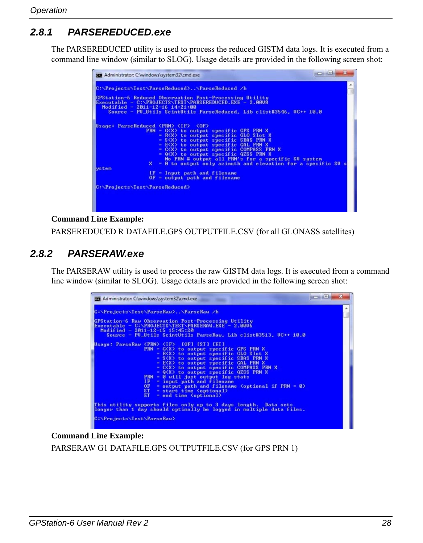### <span id="page-27-0"></span>*2.8.1 PARSEREDUCED.exe*

The PARSEREDUCED utility is used to process the reduced GISTM data logs. It is executed from a command line window (similar to SLOG). Usage details are provided in the following screen shot:

| <b>GET</b> Administrator: C:\windows\system32\cmd.exe                                                                                                                                                                                                                                                                                                                                                                                                                                                                                                                                        | <b>BOOK</b> |
|----------------------------------------------------------------------------------------------------------------------------------------------------------------------------------------------------------------------------------------------------------------------------------------------------------------------------------------------------------------------------------------------------------------------------------------------------------------------------------------------------------------------------------------------------------------------------------------------|-------------|
| C:\Projects\Test\ParseReduced>\ParseReduced /h                                                                                                                                                                                                                                                                                                                                                                                                                                                                                                                                               | ▲           |
| GPStation-6 Reduced Observation Post-Processing Utility<br>Executable - C:\PROJECTS\TEST\PARSEREDUCED.EXE - 2.0008<br>Modified - $2011 - 12 - 16$ 14:21:00<br>Source - PU Utils ScintUtils ParseReduced, Lib clist#3546, UC++ 10.0                                                                                                                                                                                                                                                                                                                                                           |             |
| Usage: ParseReduced <prn> <if> <of><br/><math>PRN = GX</math> to output specific GPS PRN X<br/><math>= R(X)</math> to output specific GLO Slot X<br/>= S<x> to output specific SBAS PRN X<br/><math>=</math> E<math>\langle</math>X<math>\rangle</math> to output specific GAL PRN X<br/><math>=</math> <math>C(X)</math> to output specific COMPASS PRN X<br/><math>= Q(X)</math> to output specific <math>QZSS</math> PRN X<br/>No PRN # output all PRN's for a specific SV system<br/>X = 0 to output only azimuth and elevation for a specific SV s<br/><b>ustem</b></x></of></if></prn> |             |
| $IF = Input path and filename$<br>$OF = output$ path and filename                                                                                                                                                                                                                                                                                                                                                                                                                                                                                                                            |             |
| C:\Projects\Test\ParseReduced>                                                                                                                                                                                                                                                                                                                                                                                                                                                                                                                                                               |             |

#### **Command Line Example:**

PARSEREDUCED R DATAFILE.GPS OUTPUTFILE.CSV (for all GLONASS satellites)

### <span id="page-27-1"></span>*2.8.2 PARSERAW.exe*

The PARSERAW utility is used to process the raw GISTM data logs. It is executed from a command line window (similar to SLOG). Usage details are provided in the following screen shot:

| <b>GEV</b> Administrator: C:\windows\system32\cmd.exe                                                                                                                                                                                                                                                                                                                                                                                                                                                                                                                                                                                                                                   | $\mathbf x$<br>المست |
|-----------------------------------------------------------------------------------------------------------------------------------------------------------------------------------------------------------------------------------------------------------------------------------------------------------------------------------------------------------------------------------------------------------------------------------------------------------------------------------------------------------------------------------------------------------------------------------------------------------------------------------------------------------------------------------------|----------------------|
| C:\Projects\Test\ParseRaw>\ParseRaw /h                                                                                                                                                                                                                                                                                                                                                                                                                                                                                                                                                                                                                                                  |                      |
| <b>GPStation-6 Raw Observation Post-Processing Utility</b><br>Executable - C:\PROJECTS\TEST\PARSERAW.EXE - 2.0006<br>Modified - $2011 - 12 - 15$ 15:45:20<br>Source - PU Utils ScintUtils ParseRaw, Lib clist#3513, UC++ 10.0                                                                                                                                                                                                                                                                                                                                                                                                                                                           |                      |
| Usage: ParseRaw <prn> <if> [OF] [ST] [ET]<br/><math>PRN = G(X)</math> to output specific GPS PRN X<br/>= R<x> to output specific GLO Slot X<br/>= S<x> to output specific SBAS PRN X<br/><math>=</math> E<math>\langle</math> X<math>\rangle</math> to output specific GAL PRN X<br/>= C<x> to output specific COMPASS PRN X<br/>= Q<x> to output specific QZSS PRN X<br/><math>PRN = 0</math> will just output <math>log</math> stats<br/><math>IF = input path and filename</math><br/><math>OF = output path</math> and filename (optional if <math>PRN = 0</math>)<br/><math>ST = start time (optional)</math><br/><math>ET</math> = end time (optional)</x></x></x></x></if></prn> |                      |
| This utility supports files only up to 3 days length. Data sets<br>longer than 1 day should optimally be logged in multiple data files.                                                                                                                                                                                                                                                                                                                                                                                                                                                                                                                                                 |                      |
| C:\Projects\Test\ParseRaw>                                                                                                                                                                                                                                                                                                                                                                                                                                                                                                                                                                                                                                                              |                      |

#### **Command Line Example:**

PARSERAW G1 DATAFILE.GPS OUTPUTFILE.CSV (for GPS PRN 1)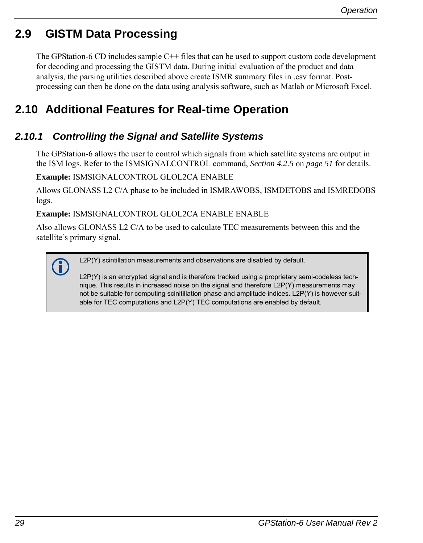## <span id="page-28-0"></span>**2.9 GISTM Data Processing**

The GPStation-6 CD includes sample C++ files that can be used to support custom code development for decoding and processing the GISTM data. During initial evaluation of the product and data analysis, the parsing utilities described above create ISMR summary files in .csv format. Postprocessing can then be done on the data using analysis software, such as Matlab or Microsoft Excel.

# <span id="page-28-1"></span>**2.10 Additional Features for Real-time Operation**

### <span id="page-28-2"></span>*2.10.1 Controlling the Signal and Satellite Systems*

The GPStation-6 allows the user to control which signals from which satellite systems are output in the ISM logs. Refer to the ISMSIGNALCONTROL command, *[Section 4.2.5](#page-50-1)* on *page 51* for details.

**Example:** ISMSIGNALCONTROL GLOL2CA ENABLE

Allows GLONASS L2 C/A phase to be included in ISMRAWOBS, ISMDETOBS and ISMREDOBS logs.

**Example:** ISMSIGNALCONTROL GLOL2CA ENABLE ENABLE

Also allows GLONASS L2 C/A to be used to calculate TEC measurements between this and the satellite's primary signal.

L2P(Y) scintillation measurements and observations are disabled by default.

L2P(Y) is an encrypted signal and is therefore tracked using a proprietary semi-codeless technique. This results in increased noise on the signal and therefore L2P(Y) measurements may not be suitable for computing scinitillation phase and amplitude indices. L2P(Y) is however suitable for TEC computations and L2P(Y) TEC computations are enabled by default.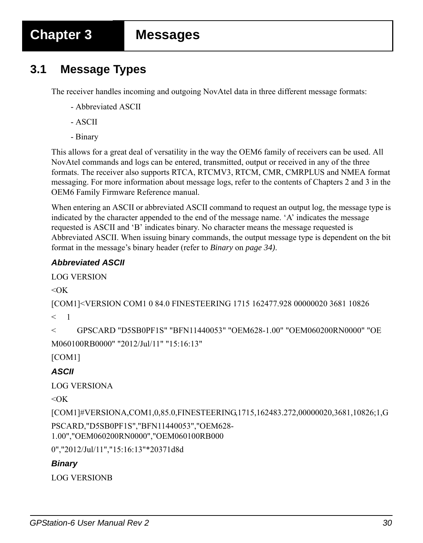## <span id="page-29-1"></span><span id="page-29-0"></span>**3.1 Message Types**

The receiver handles incoming and outgoing NovAtel data in three different message formats:

- Abbreviated ASCII
- ASCII
- Binary

This allows for a great deal of versatility in the way the OEM6 family of receivers can be used. All NovAtel commands and logs can be entered, transmitted, output or received in any of the three formats. The receiver also supports RTCA, RTCMV3, RTCM, CMR, CMRPLUS and NMEA format messaging. For more information about message logs, refer to the contents of Chapters 2 and 3 in the OEM6 Family Firmware Reference manual.

When entering an ASCII or abbreviated ASCII command to request an output log, the message type is indicated by the character appended to the end of the message name. 'A' indicates the message requested is ASCII and 'B' indicates binary. No character means the message requested is Abbreviated ASCII. When issuing binary commands, the output message type is dependent on the bit format in the message's binary header (refer to *Binary* on *[page 34\)](#page-33-0)*.

#### *Abbreviated ASCII*

LOG VERSION

 $<$ OK

```
[COM1]<VERSION COM1 0 84.0 FINESTEERING 1715 162477.928 00000020 3681 10826
```
 $<$  1

```
< GPSCARD "D5SB0PF1S" "BFN11440053" "OEM628-1.00" "OEM060200RN0000" "OE
```
M060100RB0000" "2012/Jul/11" "15:16:13"

[COM1]

### *ASCII*

LOG VERSIONA

 $<$ OK

[COM1]#VERSIONA,COM1,0,85.0,FINESTEERING,1715,162483.272,00000020,3681,10826;1,G PSCARD,"D5SB0PF1S","BFN11440053","OEM628- 1.00","OEM060200RN0000","OEM060100RB000

0","2012/Jul/11","15:16:13"\*20371d8d

#### *Binary*

LOG VERSIONB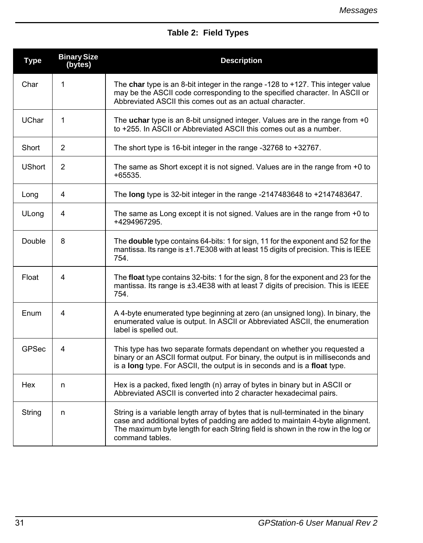### **Table 2: Field Types**

| <b>Type</b>   | <b>Binary Size</b><br>(bytes) | <b>Description</b>                                                                                                                                                                                                                                                     |
|---------------|-------------------------------|------------------------------------------------------------------------------------------------------------------------------------------------------------------------------------------------------------------------------------------------------------------------|
| Char          | 1                             | The char type is an 8-bit integer in the range -128 to +127. This integer value<br>may be the ASCII code corresponding to the specified character. In ASCII or<br>Abbreviated ASCII this comes out as an actual character.                                             |
| <b>UChar</b>  | 1                             | The uchar type is an 8-bit unsigned integer. Values are in the range from +0<br>to +255. In ASCII or Abbreviated ASCII this comes out as a number.                                                                                                                     |
| Short         | 2                             | The short type is 16-bit integer in the range -32768 to +32767.                                                                                                                                                                                                        |
| <b>UShort</b> | 2                             | The same as Short except it is not signed. Values are in the range from +0 to<br>+65535.                                                                                                                                                                               |
| Long          | 4                             | The long type is 32-bit integer in the range -2147483648 to +2147483647.                                                                                                                                                                                               |
| ULong         | 4                             | The same as Long except it is not signed. Values are in the range from $+0$ to<br>+4294967295.                                                                                                                                                                         |
| Double        | 8                             | The double type contains 64-bits: 1 for sign, 11 for the exponent and 52 for the<br>mantissa. Its range is ±1.7E308 with at least 15 digits of precision. This is IEEE<br>754.                                                                                         |
| Float         | 4                             | The float type contains 32-bits: 1 for the sign, 8 for the exponent and 23 for the<br>mantissa. Its range is ±3.4E38 with at least 7 digits of precision. This is IEEE<br>754.                                                                                         |
| Enum          | 4                             | A 4-byte enumerated type beginning at zero (an unsigned long). In binary, the<br>enumerated value is output. In ASCII or Abbreviated ASCII, the enumeration<br>label is spelled out.                                                                                   |
| <b>GPSec</b>  | 4                             | This type has two separate formats dependant on whether you requested a<br>binary or an ASCII format output. For binary, the output is in milliseconds and<br>is a long type. For ASCII, the output is in seconds and is a float type.                                 |
| Hex           | n                             | Hex is a packed, fixed length (n) array of bytes in binary but in ASCII or<br>Abbreviated ASCII is converted into 2 character hexadecimal pairs.                                                                                                                       |
| String        | n                             | String is a variable length array of bytes that is null-terminated in the binary<br>case and additional bytes of padding are added to maintain 4-byte alignment.<br>The maximum byte length for each String field is shown in the row in the log or<br>command tables. |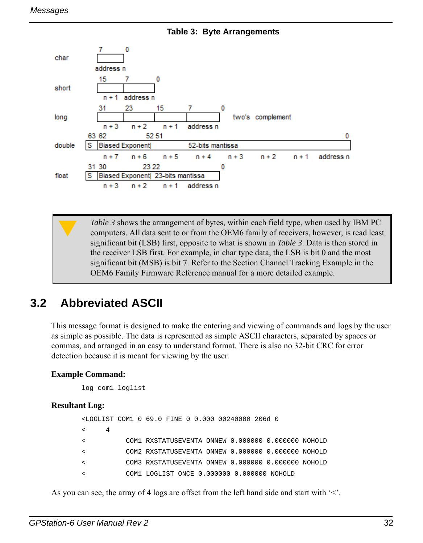<span id="page-31-1"></span>

 **Table 3: Byte Arrangements**

[Table 3](#page-31-1) shows the arrangement of bytes, within each field type, when used by IBM PC computers. All data sent to or from the OEM6 family of receivers, however, is read least significant bit (LSB) first, opposite to what is shown in *[Table 3](#page-31-1)*. Data is then stored in the receiver LSB first. For example, in char type data, the LSB is bit 0 and the most significant bit (MSB) is bit 7. Refer to the Section Channel Tracking Example in the OEM6 Family Firmware Reference manual for a more detailed example.

# <span id="page-31-0"></span>**3.2 Abbreviated ASCII**

This message format is designed to make the entering and viewing of commands and logs by the user as simple as possible. The data is represented as simple ASCII characters, separated by spaces or commas, and arranged in an easy to understand format. There is also no 32-bit CRC for error detection because it is meant for viewing by the user.

#### **Example Command:**

log com1 loglist

#### **Resultant Log:**

```
<LOGLIST COM1 0 69.0 FINE 0 0.000 00240000 206d 0
< 4
< COM1 RXSTATUSEVENTA ONNEW 0.000000 0.000000 NOHOLD
< COM2 RXSTATUSEVENTA ONNEW 0.000000 0.000000 NOHOLD
< COM3 RXSTATUSEVENTA ONNEW 0.000000 0.000000 NOHOLD
< COM1 LOGLIST ONCE 0.000000 0.000000 NOHOLD
```
As you can see, the array of 4 logs are offset from the left hand side and start with  $\leq$ .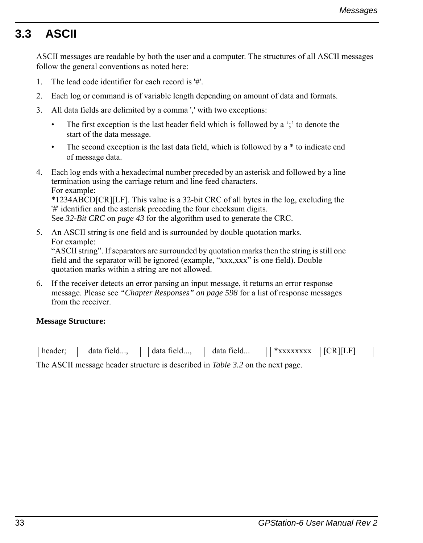# <span id="page-32-0"></span>**3.3 ASCII**

ASCII messages are readable by both the user and a computer. The structures of all ASCII messages follow the general conventions as noted here:

- 1. The lead code identifier for each record is '#'.
- 2. Each log or command is of variable length depending on amount of data and formats.
- 3. All data fields are delimited by a comma ',' with two exceptions:
	- The first exception is the last header field which is followed by a  $\cdot$ ; to denote the start of the data message.
	- The second exception is the last data field, which is followed by  $a *$  to indicate end of message data.
- 4. Each log ends with a hexadecimal number preceded by an asterisk and followed by a line termination using the carriage return and line feed characters. For example:

\*1234ABCD[CR][LF]. This value is a 32-bit CRC of all bytes in the log, excluding the '#' identifier and the asterisk preceding the four checksum digits.

See *[32-Bit CRC](#page-42-0)* on *page 43* for the algorithm used to generate the CRC.

- 5. An ASCII string is one field and is surrounded by double quotation marks. For example: "ASCII string". If separators are surrounded by quotation marks then the string is still one field and the separator will be ignored (example, "xxx,xxx" is one field). Double quotation marks within a string are not allowed.
- 6. If the receiver detects an error parsing an input message, it returns an error response message. Please see *"Chapter Responses" on page 598* for a list of response messages from the receiver.

#### **Message Structure:**

| head to head to head to head to head to head to have a more than the same. | HClU<br>uc | ага<br>HClU<br> | data<br>$Heiu$ | F<br>R<br>-- |
|----------------------------------------------------------------------------|------------|-----------------|----------------|--------------|
| ___                                                                        |            | .<br>.          |                |              |

The ASCII message header structure is described in *[Table 3.2](#page-31-0)* on the next page.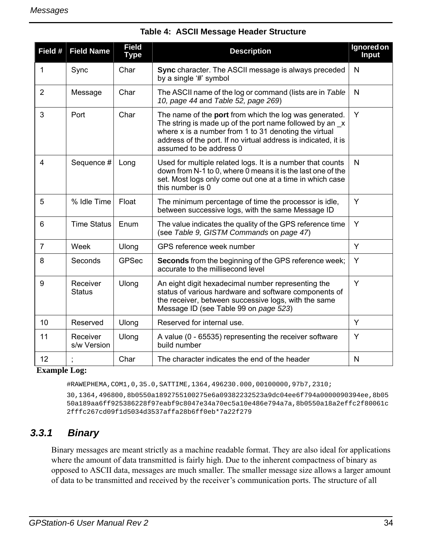| Field #        | <b>Field Name</b>         | <b>Field</b><br><b>Type</b> | <b>Description</b>                                                                                                                                                                                                                                                                        | Ignored on<br><b>Input</b> |
|----------------|---------------------------|-----------------------------|-------------------------------------------------------------------------------------------------------------------------------------------------------------------------------------------------------------------------------------------------------------------------------------------|----------------------------|
| 1              | Sync                      | Char                        | Sync character. The ASCII message is always preceded<br>by a single '#' symbol                                                                                                                                                                                                            | N                          |
| $\overline{2}$ | Message                   | Char                        | The ASCII name of the log or command (lists are in Table<br>10, page 44 and Table 52, page 269)                                                                                                                                                                                           | N                          |
| 3              | Port                      | Char                        | The name of the <b>port</b> from which the log was generated.<br>The string is made up of the port name followed by an $\mathbf{x}$<br>where x is a number from 1 to 31 denoting the virtual<br>address of the port. If no virtual address is indicated, it is<br>assumed to be address 0 | Y                          |
| 4              | Sequence #                | Long                        | Used for multiple related logs. It is a number that counts<br>down from N-1 to 0, where 0 means it is the last one of the<br>set. Most logs only come out one at a time in which case<br>this number is 0                                                                                 | N                          |
| 5              | % Idle Time               | Float                       | The minimum percentage of time the processor is idle,<br>between successive logs, with the same Message ID                                                                                                                                                                                | Y                          |
| 6              | <b>Time Status</b>        | Enum                        | The value indicates the quality of the GPS reference time<br>(see Table 9, GISTM Commands on page 47)                                                                                                                                                                                     | Y                          |
| 7              | Week                      | Ulong                       | GPS reference week number                                                                                                                                                                                                                                                                 | Y                          |
| 8              | Seconds                   | GPSec                       | <b>Seconds</b> from the beginning of the GPS reference week;<br>accurate to the millisecond level                                                                                                                                                                                         | Y                          |
| 9              | Receiver<br><b>Status</b> | Ulong                       | An eight digit hexadecimal number representing the<br>status of various hardware and software components of<br>the receiver, between successive logs, with the same<br>Message ID (see Table 99 on page 523)                                                                              | Y                          |
| 10             | Reserved                  | Ulong                       | Reserved for internal use.                                                                                                                                                                                                                                                                | Y                          |
| 11             | Receiver<br>s/w Version   | Ulong                       | A value (0 - 65535) representing the receiver software<br>build number                                                                                                                                                                                                                    | Y                          |
| 12             |                           | Char                        | The character indicates the end of the header                                                                                                                                                                                                                                             | N                          |

#### **Table 4: ASCII Message Header Structure**

#### **Example Log:**

#RAWEPHEMA,COM1,0,35.0,SATTIME,1364,496230.000,00100000,97b7,2310;

30,1364,496800,8b0550a1892755100275e6a09382232523a9dc04ee6f794a0000090394ee,8b05 50a189aa6ff925386228f97eabf9c8047e34a70ec5a10e486e794a7a,8b0550a18a2effc2f80061c 2fffc267cd09f1d5034d3537affa28b6ff0eb\*7a22f279

### <span id="page-33-0"></span>*3.3.1 Binary*

Binary messages are meant strictly as a machine readable format. They are also ideal for applications where the amount of data transmitted is fairly high. Due to the inherent compactness of binary as opposed to ASCII data, messages are much smaller. The smaller message size allows a larger amount of data to be transmitted and received by the receiver's communication ports. The structure of all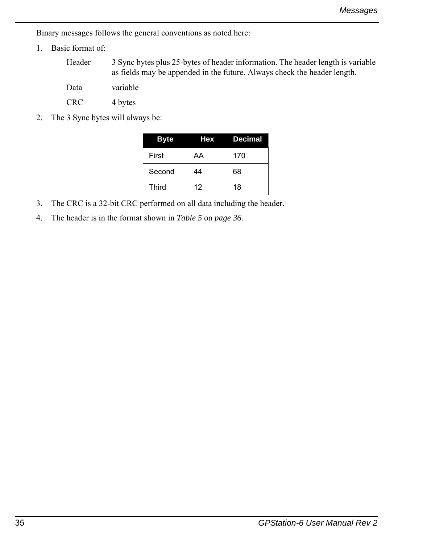Binary messages follows the general conventions as noted here:

1. Basic format of:

Header 3 Sync bytes plus 25-bytes of header information. The header length is variable as fields may be appended in the future. Always check the header length.

Data variable

CRC 4 bytes

2. The 3 Sync bytes will always be:

| <b>Byte</b> | <b>Hex</b> | <b>Decimal</b> |  |
|-------------|------------|----------------|--|
| First       | AA         | 170            |  |
| Second      | 44         | 68             |  |
| Third       | 12         | 18             |  |

- 3. The CRC is a 32-bit CRC performed on all data including the header.
- 4. The header is in the format shown in *[Table 5](#page-35-0)* on *page 36.*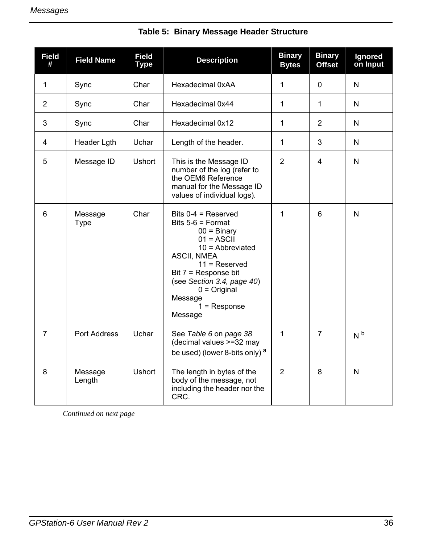<span id="page-35-0"></span>

| <b>Field</b><br># | <b>Field Name</b>   | <b>Field</b><br>Type | <b>Description</b>                                                                                                                                                                                                                                                  | <b>Binary</b><br><b>Bytes</b> | <b>Binary</b><br><b>Offset</b> | Ignored<br>on Input |
|-------------------|---------------------|----------------------|---------------------------------------------------------------------------------------------------------------------------------------------------------------------------------------------------------------------------------------------------------------------|-------------------------------|--------------------------------|---------------------|
| $\mathbf 1$       | Sync                | Char                 | Hexadecimal 0xAA                                                                                                                                                                                                                                                    | $\mathbf{1}$                  | $\mathbf{0}$                   | N                   |
| 2                 | Sync                | Char                 | Hexadecimal 0x44                                                                                                                                                                                                                                                    | $\mathbf{1}$                  | 1                              | N                   |
| 3                 | Sync                | Char                 | Hexadecimal 0x12                                                                                                                                                                                                                                                    | $\mathbf{1}$                  | 2                              | N                   |
| 4                 | Header Lgth         | Uchar                | Length of the header.                                                                                                                                                                                                                                               | $\mathbf{1}$                  | 3                              | N                   |
| 5                 | Message ID          | <b>Ushort</b>        | This is the Message ID<br>number of the log (refer to<br>the OEM6 Reference<br>manual for the Message ID<br>values of individual logs).                                                                                                                             | 2                             | 4                              | N                   |
| 6                 | Message<br>Type     | Char                 | Bits $0-4$ = Reserved<br>Bits $5-6$ = Format<br>$00 = \text{Binary}$<br>$01 = ASCII$<br>$10 =$ Abbreviated<br><b>ASCII, NMEA</b><br>$11 =$ Reserved<br>Bit 7 = Response bit<br>(see Section 3.4, page 40)<br>$0 = Original$<br>Message<br>$1 =$ Response<br>Message | 1                             | 6                              | N                   |
| $\overline{7}$    | <b>Port Address</b> | Uchar                | See Table 6 on page 38<br>(decimal values >=32 may<br>be used) (lower 8-bits only) <sup>a</sup>                                                                                                                                                                     | 1                             | $\overline{7}$                 | N <sub>b</sub>      |
| 8                 | Message<br>Length   | <b>Ushort</b>        | The length in bytes of the<br>body of the message, not<br>including the header nor the<br>CRC.                                                                                                                                                                      | 2                             | 8                              | N                   |

### **Table 5: Binary Message Header Structure**

*Continued on next page*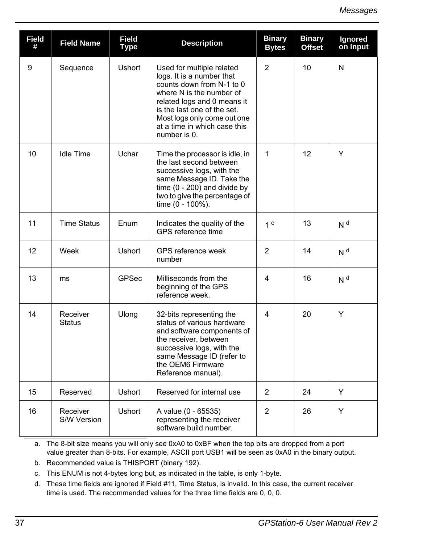| <b>Field</b><br># | <b>Field Name</b>         | <b>Field</b><br><b>Type</b> | <b>Description</b>                                                                                                                                                                                                                                           | <b>Binary</b><br><b>Bytes</b> | <b>Binary</b><br><b>Offset</b> | Ignored<br>on Input |
|-------------------|---------------------------|-----------------------------|--------------------------------------------------------------------------------------------------------------------------------------------------------------------------------------------------------------------------------------------------------------|-------------------------------|--------------------------------|---------------------|
| 9                 | Sequence                  | <b>Ushort</b>               | Used for multiple related<br>logs. It is a number that<br>counts down from N-1 to 0<br>where N is the number of<br>related logs and 0 means it<br>is the last one of the set.<br>Most logs only come out one<br>at a time in which case this<br>number is 0. | $\overline{2}$                | 10                             | N                   |
| 10                | <b>Idle Time</b>          | Uchar                       | Time the processor is idle, in<br>the last second between<br>successive logs, with the<br>same Message ID. Take the<br>time $(0 - 200)$ and divide by<br>two to give the percentage of<br>time (0 - 100%).                                                   | 1                             | 12                             | Y                   |
| 11                | <b>Time Status</b>        | Enum                        | Indicates the quality of the<br>GPS reference time                                                                                                                                                                                                           | 1 <sup>c</sup>                | 13                             | N <sup>d</sup>      |
| 12                | Week                      | <b>Ushort</b>               | GPS reference week<br>number                                                                                                                                                                                                                                 | $\overline{2}$                | 14                             | N <sup>d</sup>      |
| 13                | ms                        | <b>GPSec</b>                | Milliseconds from the<br>beginning of the GPS<br>reference week.                                                                                                                                                                                             | 4                             | 16                             | N <sup>d</sup>      |
| 14                | Receiver<br><b>Status</b> | Ulong                       | 32-bits representing the<br>status of various hardware<br>and software components of<br>the receiver, between<br>successive logs, with the<br>same Message ID (refer to<br>the OEM6 Firmware<br>Reference manual).                                           | 4                             | 20                             | Y                   |
| 15                | Reserved                  | <b>Ushort</b>               | Reserved for internal use                                                                                                                                                                                                                                    | 2                             | 24                             | Y                   |
| 16                | Receiver<br>S/W Version   | Ushort                      | A value (0 - 65535)<br>representing the receiver<br>software build number.                                                                                                                                                                                   | $\overline{2}$                | 26                             | Y                   |

a. The 8-bit size means you will only see 0xA0 to 0xBF when the top bits are dropped from a port value greater than 8-bits. For example, ASCII port USB1 will be seen as 0xA0 in the binary output.

b. Recommended value is THISPORT (binary 192).

- c. This ENUM is not 4-bytes long but, as indicated in the table, is only 1-byte.
- d. These time fields are ignored if Field #11, Time Status, is invalid. In this case, the current receiver time is used. The recommended values for the three time fields are 0, 0, 0.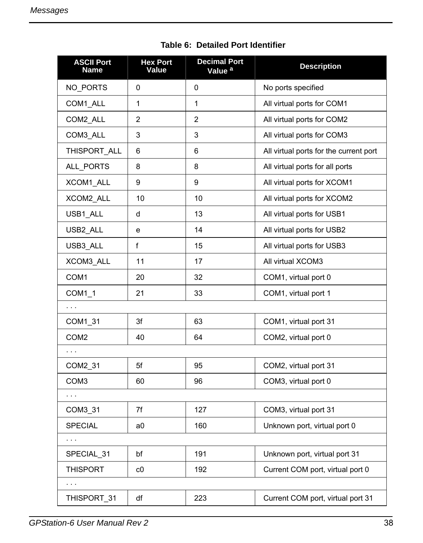<span id="page-37-0"></span>

| <b>ASCII Port</b><br>Name | <b>Hex Port</b><br>Value | <b>Decimal Port</b><br>Value <sup>a</sup> | <b>Description</b>                     |
|---------------------------|--------------------------|-------------------------------------------|----------------------------------------|
| NO PORTS                  | 0                        | 0                                         | No ports specified                     |
| COM1_ALL                  | 1                        | 1                                         | All virtual ports for COM1             |
| COM2_ALL                  | 2                        | $\overline{2}$                            | All virtual ports for COM2             |
| COM3 ALL                  | 3                        | 3                                         | All virtual ports for COM3             |
| THISPORT ALL              | 6                        | 6                                         | All virtual ports for the current port |
| ALL PORTS                 | 8                        | 8                                         | All virtual ports for all ports        |
| XCOM1 ALL                 | 9                        | 9                                         | All virtual ports for XCOM1            |
| XCOM2 ALL                 | 10                       | 10                                        | All virtual ports for XCOM2            |
| USB1 ALL                  | d                        | 13                                        | All virtual ports for USB1             |
| USB2 ALL                  | e                        | 14                                        | All virtual ports for USB2             |
| USB3 ALL                  | f                        | 15                                        | All virtual ports for USB3             |
| XCOM3 ALL                 | 11                       | 17                                        | All virtual XCOM3                      |
| COM1                      | 20                       | 32                                        | COM1, virtual port 0                   |
| COM1 1                    | 21                       | 33                                        | COM1, virtual port 1                   |
| $\sim$ $\sim$ $\sim$      |                          |                                           |                                        |
| COM1_31                   | 3f                       | 63                                        | COM1, virtual port 31                  |
| COM <sub>2</sub>          | 40                       | 64                                        | COM2, virtual port 0                   |
|                           |                          |                                           |                                        |
| COM2_31                   | 5f                       | 95                                        | COM2, virtual port 31                  |
| COM <sub>3</sub>          | 60                       | 96                                        | COM3, virtual port 0                   |
| $\sim$ $\sim$             |                          |                                           |                                        |
| COM3_31                   | 7f                       | 127                                       | COM3, virtual port 31                  |
| <b>SPECIAL</b>            | a <sub>0</sub>           | 160                                       | Unknown port, virtual port 0           |
| $\sim$ $\sim$ $\sim$      |                          |                                           |                                        |
| SPECIAL 31                | bf                       | 191                                       | Unknown port, virtual port 31          |
| <b>THISPORT</b>           | C <sub>0</sub>           | 192                                       | Current COM port, virtual port 0       |
| $\sim$ $\sim$ $\sim$      |                          |                                           |                                        |
| THISPORT 31               | df                       | 223                                       | Current COM port, virtual port 31      |

 **Table 6: Detailed Port Identifier**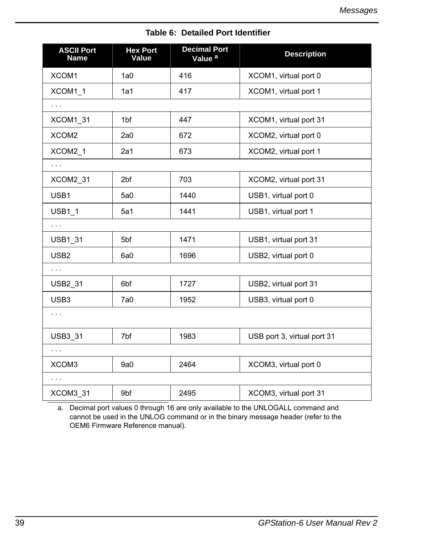| <b>ASCII Port</b><br><b>Name</b> | <b>Hex Port</b><br>Value | <b>Decimal Port</b><br>Value <sup>a</sup> | <b>Description</b>          |
|----------------------------------|--------------------------|-------------------------------------------|-----------------------------|
| XCOM1                            | 1a0                      | 416                                       | XCOM1, virtual port 0       |
| XCOM1 1                          | 1a1                      | 417                                       | XCOM1, virtual port 1       |
| $\sim$ $\sim$ $\sim$             |                          |                                           |                             |
| XCOM1 31                         | 1 <sub>bf</sub>          | 447                                       | XCOM1, virtual port 31      |
| XCOM2                            | 2a0                      | 672                                       | XCOM2, virtual port 0       |
| XCOM2 1                          | 2a1                      | 673                                       | XCOM2, virtual port 1       |
| $\sim$ $\sim$ $\sim$             |                          |                                           |                             |
| XCOM2 31                         | 2bf                      | 703                                       | XCOM2, virtual port 31      |
| USB1                             | 5a0                      | 1440                                      | USB1, virtual port 0        |
| USB1_1                           | 5a1                      | 1441                                      | USB1, virtual port 1        |
| $\sim$ $\sim$                    |                          |                                           |                             |
| <b>USB1 31</b>                   | 5 <sub>bf</sub>          | 1471                                      | USB1, virtual port 31       |
| USB <sub>2</sub>                 | 6a0                      | 1696                                      | USB2, virtual port 0        |
| $\sim$ $\sim$ $\sim$             |                          |                                           |                             |
| <b>USB2 31</b>                   | 6 <sub>bf</sub>          | 1727                                      | USB2, virtual port 31       |
| USB3                             | 7a0                      | 1952                                      | USB3, virtual port 0        |
| $\sim$ $\sim$                    |                          |                                           |                             |
| <b>USB3 31</b>                   | 7bf                      | 1983                                      | USB port 3, virtual port 31 |
| $\sim$ $\sim$                    |                          |                                           |                             |
| XCOM3                            | 9a0                      | 2464                                      | XCOM3, virtual port 0       |
| $\sim$ $\sim$ $\sim$             |                          |                                           |                             |
| XCOM3 31                         | 9bf                      | 2495                                      | XCOM3, virtual port 31      |

## **Table 6: Detailed Port Identifier**

a. Decimal port values 0 through 16 are only available to the UNLOGALL command and cannot be used in the UNLOG command or in the binary message header (refer to the OEM6 Firmware Reference manual)*.*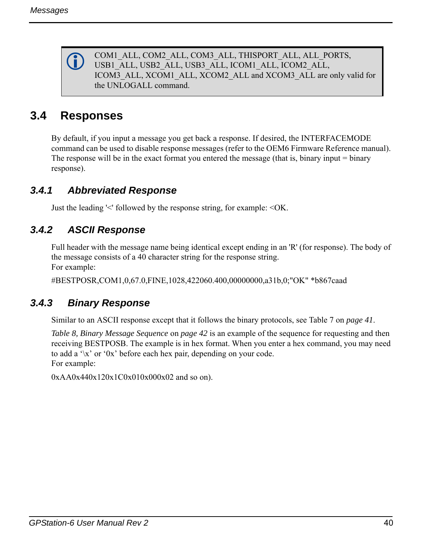COM1\_ALL, COM2\_ALL, COM3\_ALL, THISPORT\_ALL, ALL\_PORTS, USB1\_ALL, USB2\_ALL, USB3\_ALL, ICOM1\_ALL, ICOM2\_ALL, ICOM3\_ALL, XCOM1\_ALL, XCOM2\_ALL and XCOM3\_ALL are only valid for the UNLOGALL command.

# **3.4 Responses**

By default, if you input a message you get back a response. If desired, the INTERFACEMODE command can be used to disable response messages (refer to the OEM6 Firmware Reference manual). The response will be in the exact format you entered the message (that is, binary input = binary response).

# *3.4.1 Abbreviated Response*

Just the leading '<' followed by the response string, for example: <OK.

# *3.4.2 ASCII Response*

Full header with the message name being identical except ending in an 'R' (for response). The body of the message consists of a 40 character string for the response string. For example:

#BESTPOSR,COM1,0,67.0,FINE,1028,422060.400,00000000,a31b,0;"OK" \*b867caad

# *3.4.3 Binary Response*

Similar to an ASCII response except that it follows the binary protocols, see [Table 7 on](#page-40-0) *page 41*.

*[Table 8, Binary Message Sequence](#page-41-0)* on *page 42* is an example of the sequence for requesting and then receiving BESTPOSB. The example is in hex format. When you enter a hex command, you may need to add a '\x' or '0x' before each hex pair, depending on your code. For example:

0xAA0x440x120x1C0x010x000x02 and so on).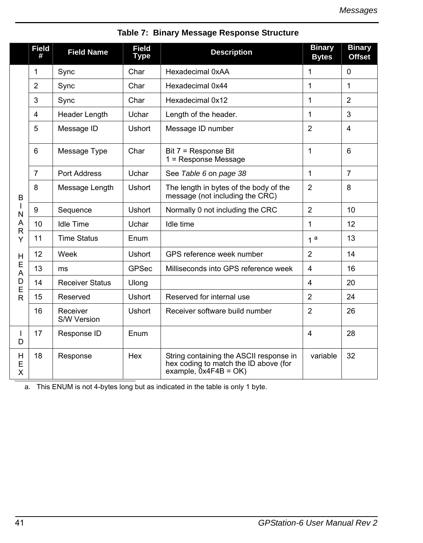<span id="page-40-0"></span>

|               | <b>Field</b><br># | <b>Field Name</b>       | <b>Field</b><br><b>Type</b> | <b>Description</b>                                                                                         | <b>Binary</b><br><b>Bytes</b> | <b>Binary</b><br><b>Offset</b> |
|---------------|-------------------|-------------------------|-----------------------------|------------------------------------------------------------------------------------------------------------|-------------------------------|--------------------------------|
|               | 1                 | Sync                    | Char                        | Hexadecimal 0xAA                                                                                           | 1                             | $\Omega$                       |
|               | $\overline{2}$    | Sync                    | Char                        | Hexadecimal 0x44                                                                                           | 1                             | $\mathbf{1}$                   |
|               | 3                 | Sync                    | Char                        | Hexadecimal 0x12                                                                                           | 1                             | $\overline{2}$                 |
|               | $\overline{4}$    | Header Length           | Uchar                       | Length of the header.                                                                                      | 1                             | 3                              |
|               | 5                 | Message ID              | <b>Ushort</b>               | Message ID number                                                                                          | 2                             | 4                              |
|               | 6                 | Message Type            | Char                        | Bit 7 = Response Bit<br>$1 =$ Response Message                                                             | $\mathbf{1}$                  | 6                              |
|               | $\overline{7}$    | Port Address            | Uchar                       | See Table 6 on page 38                                                                                     | $\mathbf{1}$                  | $\overline{7}$                 |
| B             | 8                 | Message Length          | <b>Ushort</b>               | The length in bytes of the body of the<br>message (not including the CRC)                                  | $\overline{2}$                | 8                              |
| N             | $\boldsymbol{9}$  | Sequence                | Ushort                      | Normally 0 not including the CRC                                                                           | $\overline{2}$                | 10                             |
| Α<br>R        | 10                | <b>Idle Time</b>        | Uchar                       | Idle time                                                                                                  | $\mathbf{1}$                  | 12                             |
| Υ             | 11                | <b>Time Status</b>      | Enum                        |                                                                                                            | 1 <sup>a</sup>                | 13                             |
| н             | 12                | Week                    | Ushort                      | GPS reference week number                                                                                  | 2                             | 14                             |
| Е<br>A        | 13                | ms                      | <b>GPSec</b>                | Milliseconds into GPS reference week                                                                       | $\overline{4}$                | 16                             |
| D<br>E        | 14                | <b>Receiver Status</b>  | Ulong                       |                                                                                                            | 4                             | 20                             |
| R             | 15                | Reserved                | <b>Ushort</b>               | Reserved for internal use                                                                                  | $\overline{2}$                | 24                             |
|               | 16                | Receiver<br>S/W Version | <b>Ushort</b>               | Receiver software build number                                                                             | $\overline{2}$                | 26                             |
| <b>I</b><br>D | 17                | Response ID             | Enum                        |                                                                                                            | 4                             | 28                             |
| H<br>Ε<br>X   | 18                | Response                | Hex                         | String containing the ASCII response in<br>hex coding to match the ID above (for<br>example, $0x4F4B = OK$ | variable                      | 32                             |

# **Table 7: Binary Message Response Structure**

a. This ENUM is not 4-bytes long but as indicated in the table is only 1 byte.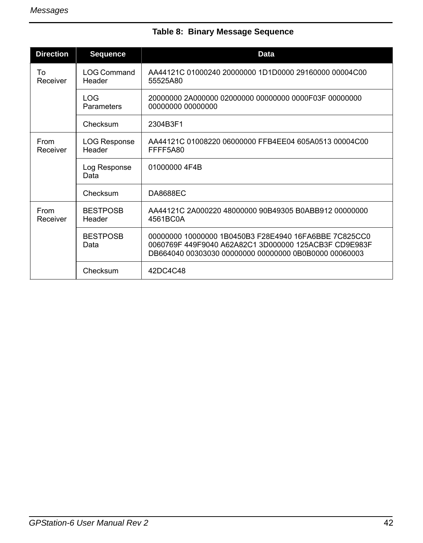<span id="page-41-0"></span>

| <b>Direction</b> | <b>Sequence</b>              | <b>Data</b>                                                                                                                                                             |
|------------------|------------------------------|-------------------------------------------------------------------------------------------------------------------------------------------------------------------------|
| Т٥<br>Receiver   | <b>LOG Command</b><br>Header | AA44121C 01000240 20000000 1D1D0000 29160000 00004C00<br>55525A80                                                                                                       |
|                  | LOG.<br>Parameters           | 20000000 2A000000 02000000 00000000 0000F03F 00000000<br>00000000 00000000                                                                                              |
|                  | Checksum                     | 2304B3F1                                                                                                                                                                |
| From<br>Receiver | LOG Response<br>Header       | AA44121C 01008220 06000000 FFB4EE04 605A0513 00004C00<br>FFFF5A80                                                                                                       |
|                  | Log Response<br>Data         | 01000000 4F4B                                                                                                                                                           |
|                  | Checksum                     | <b>DA8688EC</b>                                                                                                                                                         |
| From<br>Receiver | <b>BESTPOSB</b><br>Header    | AA44121C 2A000220 48000000 90B49305 B0ABB912 00000000<br>4561BC0A                                                                                                       |
|                  | <b>BESTPOSB</b><br>Data      | 00000000 10000000 1B0450B3 F28E4940 16FA6BBE 7C825CC0<br>0060769F 449F9040 A62A82C1 3D000000 125ACB3F CD9E983F<br>DB664040 00303030 00000000 00000000 0B0B0000 00060003 |
|                  | Checksum                     | 42DC4C48                                                                                                                                                                |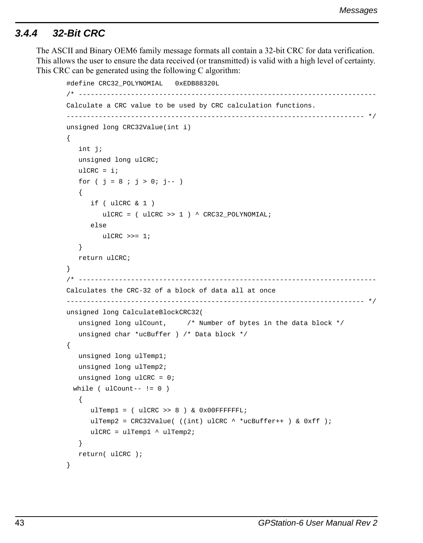## *3.4.4 32-Bit CRC*

The ASCII and Binary OEM6 family message formats all contain a 32-bit CRC for data verification. This allows the user to ensure the data received (or transmitted) is valid with a high level of certainty. This CRC can be generated using the following C algorithm:

```
#define CRC32_POLYNOMIAL 0xEDB88320L
/* --------------------------------------------------------------------------
Calculate a CRC value to be used by CRC calculation functions. 
-------------------------------------------------------------------------- */
unsigned long CRC32Value(int i)
{
    int j;
   unsigned long ulCRC;
  ulCRC = i;
   for ( j = 8 ; j > 0; j = -1)
    {
       if ( ulCRC & 1 )
         ulCRC = ( ulCRC >> 1 ) ^ CRC32_POLYNOMIAL;
       else
         ulCRC \gg= 1; }
   return ulCRC;
}
/* --------------------------------------------------------------------------
Calculates the CRC-32 of a block of data all at once
-------------------------------------------------------------------------- */
unsigned long CalculateBlockCRC32(
    unsigned long ulCount, /* Number of bytes in the data block */
   unsigned char *ucBuffer ) /* Data block */
{
   unsigned long ulTemp1;
   unsigned long ulTemp2;
   unsigned long ulCRC = 0;
 while ( ulCount-- != 0 )
    {
      ulTemp1 = ( ulCRC >> 8 ) & 0x00FFFFFFL;ulTemp2 = CRC32Value( ((int) ulCRC ^ *ucBuffer++ ) & 0xff );
      ulCRC = ulTemp1 \land ulTemp2;
    }
    return( ulCRC );
}
```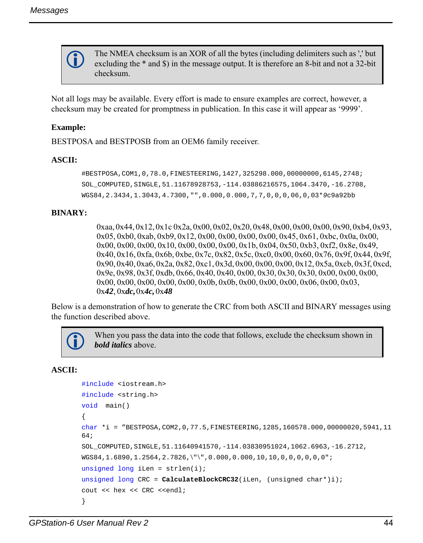

The NMEA checksum is an XOR of all the bytes (including delimiters such as ',' but excluding the \* and \$) in the message output. It is therefore an 8-bit and not a 32-bit checksum.

Not all logs may be available. Every effort is made to ensure examples are correct, however, a checksum may be created for promptness in publication. In this case it will appear as '9999'.

## **Example:**

BESTPOSA and BESTPOSB from an OEM6 family receiver.

### **ASCII:**

```
#BESTPOSA,COM1,0,78.0,FINESTEERING,1427,325298.000,00000000,6145,2748;
SOL_COMPUTED,SINGLE,51.11678928753,-114.03886216575,1064.3470,-16.2708,
WGS84,2.3434,1.3043,4.7300,"",0.000,0.000,7,7,0,0,0,06,0,03*9c9a92bb
```
## **BINARY:**

0xaa, 0x44, 0x12,0x1c 0x2a, 0x00, 0x02, 0x20, 0x48,0x00, 0x00, 0x00,0x90, 0xb4, 0x93, 0x05, 0xb0, 0xab, 0xb9, 0x12, 0x00, 0x00, 0x00, 0x00, 0x45, 0x61, 0xbc, 0x0a, 0x00, 0x00, 0x00, 0x00, 0x10, 0x00, 0x00, 0x00, 0x1b, 0x04, 0x50, 0xb3, 0xf2, 0x8e, 0x49, 0x40, 0x16, 0xfa, 0x6b, 0xbe, 0x7c, 0x82, 0x5c, 0xc0, 0x00, 0x60, 0x76, 0x9f, 0x44, 0x9f, 0x90, 0x40, 0xa6, 0x2a, 0x82, 0xc1, 0x3d, 0x00, 0x00, 0x00, 0x12, 0x5a, 0xcb, 0x3f, 0xcd, 0x9e, 0x98, 0x3f, 0xdb, 0x66, 0x40, 0x40, 0x00, 0x30, 0x30, 0x30, 0x00, 0x00, 0x00, 0x00, 0x00, 0x00, 0x00, 0x00, 0x0b, 0x0b, 0x00, 0x00, 0x00, 0x06, 0x00, 0x03, 0x*42*, 0x*dc,*0x*4c,* 0x*48* 

Below is a demonstration of how to generate the CRC from both ASCII and BINARY messages using the function described above.

 When you pass the data into the code that follows, exclude the checksum shown in *bold italics* above.

## **ASCII:**

```
#include <iostream.h>
#include <string.h>
void main()
{
char_*i_=_"BESTPOSA,COM2,0,77.5,FINESTEERING,1285,160578.000,00000020,5941,11
64;
SOL_COMPUTED,SINGLE,51.11640941570,-114.03830951024,1062.6963,-16.2712,
WGS84,1.6890,1.2564,2.7826,\"\",0.000,0.000,10,10,0,0,0,0,0,0";
unsigned long iLen = strlen(i);unsigned long CRC = CalculateBlockCRC32(iLen, (unsigned char*)i);
cout << hex << CRC <<endl;
}
```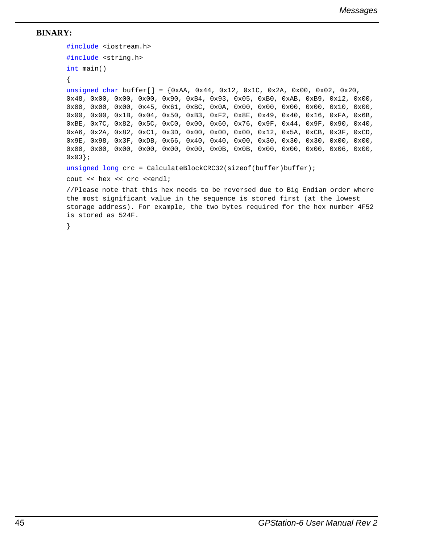## **BINARY:**

```
#include <iostream.h>
#include <string.h>
int main()
{
unsigned char buffer[] = \{0xAA, 0x44, 0x12, 0x1C, 0x2A, 0x00, 0x02, 0x20,0x48, 0x00, 0x00, 0x00, 0x90, 0xB4, 0x93, 0x05, 0xB0, 0xAB, 0xB9, 0x12, 0x00, 
0x00, 0x00, 0x00, 0x45, 0x61, 0xBC, 0x0A, 0x00, 0x00, 0x00, 0x00, 0x10, 0x00, 
0x00, 0x00, 0x1B, 0x04, 0x50, 0xB3, 0xF2, 0x8E, 0x49, 0x40, 0x16, 0xFA, 0x6B, 
0xBE, 0x7C, 0x82, 0x5C, 0xC0, 0x00, 0x60, 0x76, 0x9F, 0x44, 0x9F, 0x90, 0x40, 
0xA6, 0x2A, 0x82, 0xC1, 0x3D, 0x00, 0x00, 0x00, 0x12, 0x5A, 0xCB, 0x3F, 0xCD, 
0x9E, 0x98, 0x3F, 0xDB, 0x66, 0x40, 0x40, 0x00, 0x30, 0x30, 0x30, 0x00, 0x00, 
0x00, 0x00, 0x00, 0x00, 0x00, 0x00, 0x0B, 0x0B, 0x00, 0x00, 0x00, 0x06, 0x00, 
0x03;
unsigned long crc = CalculateBlockCRC32(sizeof(buffer)buffer);
cout << hex << crc <<endl;
//Please note that this hex needs to be reversed due to Big Endian order where 
the most significant value in the sequence is stored first (at the lowest 
storage address). For example, the two bytes required for the hex number 4F52 
is stored as 524F.
}
```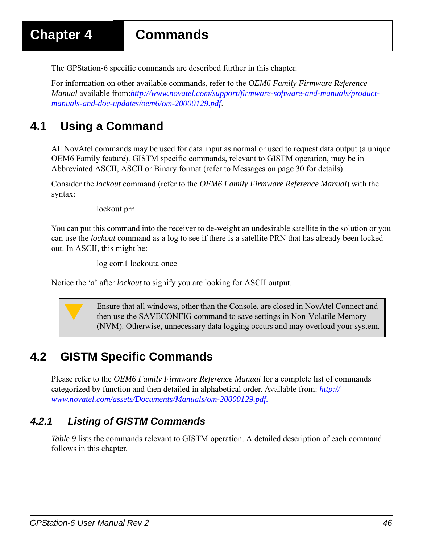The GPStation-6 specific commands are described further in this chapter.

For information on other available commands, refer to the *OEM6 Family Firmware Reference Manual* [available from:](http://www.novatel.com/assets/Documents/Manuals/om-20000129.pdf)*http://www.novatel.com/support/firmware-software-and-manuals/productmanuals-and-doc-updates/oem6/om-20000129.pdf*.

# **4.1 Using a Command**

All NovAtel commands may be used for data input as normal or used to request data output (a unique OEM6 Family feature). GISTM specific commands, relevant to GISTM operation, may be in Abbreviated ASCII, ASCII or Binary format (refer to [Messages on page 30](#page-29-0) for details).

Consider the *lockout* command (refer to the *OEM6 Family Firmware Reference Manual*) with the syntax:

lockout prn

You can put this command into the receiver to de-weight an undesirable satellite in the solution or you can use the *lockout* command as a log to see if there is a satellite PRN that has already been locked out. In ASCII, this might be:

log com1 lockouta once

Notice the 'a' after *lockout* to signify you are looking for ASCII output.



 Ensure that all windows, other than the Console, are closed in NovAtel Connect and then use the SAVECONFIG command to save settings in Non-Volatile Memory (NVM). Otherwise, unnecessary data logging occurs and may overload your system.

# **4.2 GISTM Specific Commands**

Please refer to the *OEM6 Family Firmware Reference Manual* [for a complete list of commands](http://www.novatel.com/assets/Documents/Manuals/om-20000129.pdf)  [categorized by function and then detailed in alphabetical order. Available from:](http://www.novatel.com/assets/Documents/Manuals/om-20000129.pdf) *http:// www.novatel.com/assets/Documents/Manuals/om-20000129.pdf.*

# *4.2.1 Listing of GISTM Commands*

*[Table 9](#page-46-0)* lists the commands relevant to GISTM operation. A detailed description of each command follows in this chapter.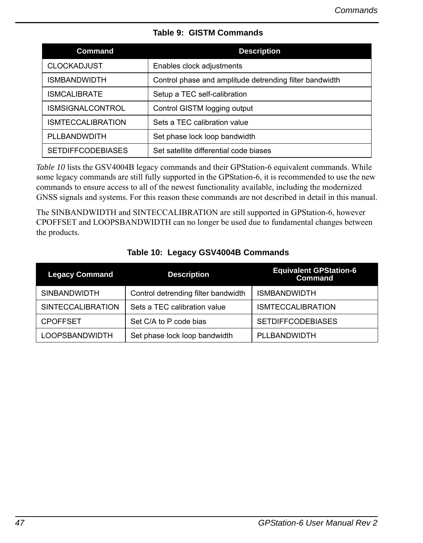<span id="page-46-0"></span>

| Command                  | <b>Description</b>                                      |
|--------------------------|---------------------------------------------------------|
| <b>CLOCKADJUST</b>       | Enables clock adjustments                               |
| <b>ISMBANDWIDTH</b>      | Control phase and amplitude detrending filter bandwidth |
| <b>ISMCALIBRATE</b>      | Setup a TEC self-calibration                            |
| ISMSIGNALCONTROL         | Control GISTM logging output                            |
| <b>ISMTECCALIBRATION</b> | Sets a TEC calibration value                            |
| PLLBANDWDITH             | Set phase lock loop bandwidth                           |
| <b>SETDIFFCODEBIASES</b> | Set satellite differential code biases                  |

## **Table 9: GISTM Commands**

*[Table 10](#page-46-1)* lists the GSV4004B legacy commands and their GPStation-6 equivalent commands. While some legacy commands are still fully supported in the GPStation-6, it is recommended to use the new commands to ensure access to all of the newest functionality available, including the modernized GNSS signals and systems. For this reason these commands are not described in detail in this manual.

The SINBANDWIDTH and SINTECCALIBRATION are still supported in GPStation-6, however CPOFFSET and LOOPSBANDWIDTH can no longer be used due to fundamental changes between the products.

<span id="page-46-1"></span>

| <b>Legacy Command</b>    | <b>Description</b>                  | <b>Equivalent GPStation-6</b><br><b>Command</b> |
|--------------------------|-------------------------------------|-------------------------------------------------|
| <b>SINBANDWIDTH</b>      | Control detrending filter bandwidth | <b>ISMBANDWIDTH</b>                             |
| <b>SINTECCALIBRATION</b> | Sets a TEC calibration value        | <b>ISMTECCALIBRATION</b>                        |
| <b>CPOFFSET</b>          | Set C/A to P code bias              | <b>SETDIFFCODEBIASES</b>                        |
| <b>LOOPSBANDWIDTH</b>    | Set phase lock loop bandwidth       | PLLBANDWIDTH                                    |

## **Table 10: Legacy GSV4004B Commands**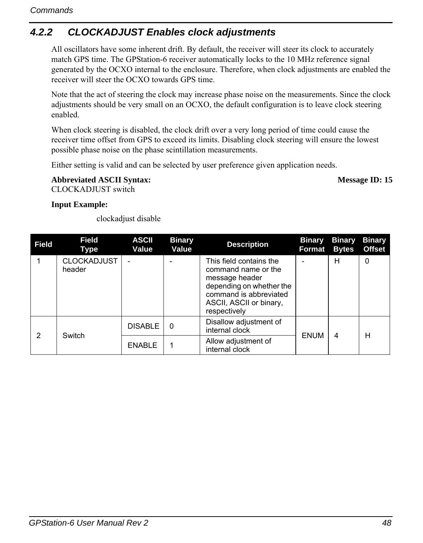# *4.2.2 CLOCKADJUST Enables clock adjustments*

All oscillators have some inherent drift. By default, the receiver will steer its clock to accurately match GPS time. The GPStation-6 receiver automatically locks to the 10 MHz reference signal generated by the OCXO internal to the enclosure. Therefore, when clock adjustments are enabled the receiver will steer the OCXO towards GPS time.

Note that the act of steering the clock may increase phase noise on the measurements. Since the clock adjustments should be very small on an OCXO, the default configuration is to leave clock steering enabled.

When clock steering is disabled, the clock drift over a very long period of time could cause the receiver time offset from GPS to exceed its limits. Disabling clock steering will ensure the lowest possible phase noise on the phase scintillation measurements.

Either setting is valid and can be selected by user preference given application needs.

Abbreviated ASCII Syntax: Message ID: 15 CLOCKADJUST switch

## **Input Example:**

clockadjust disable

| Field | Field<br>Type                | <b>ASCII</b><br>Value | <b>Binary</b><br>Value | <b>Description</b>                                                                                                                                                | <b>Binary</b><br><b>Format Bytes</b> | <b>Binary</b> | <b>Binary</b><br><b>Offset</b> |
|-------|------------------------------|-----------------------|------------------------|-------------------------------------------------------------------------------------------------------------------------------------------------------------------|--------------------------------------|---------------|--------------------------------|
|       | <b>CLOCKADJUST</b><br>header |                       |                        | This field contains the<br>command name or the<br>message header<br>depending on whether the<br>command is abbreviated<br>ASCII, ASCII or binary,<br>respectively |                                      | н             | 0                              |
|       |                              | <b>DISABLE</b>        | 0                      | Disallow adjustment of<br>internal clock                                                                                                                          | <b>ENUM</b>                          |               | н                              |
| 2     | Switch                       | <b>ENABLE</b>         |                        | Allow adjustment of<br>internal clock                                                                                                                             |                                      | 4             |                                |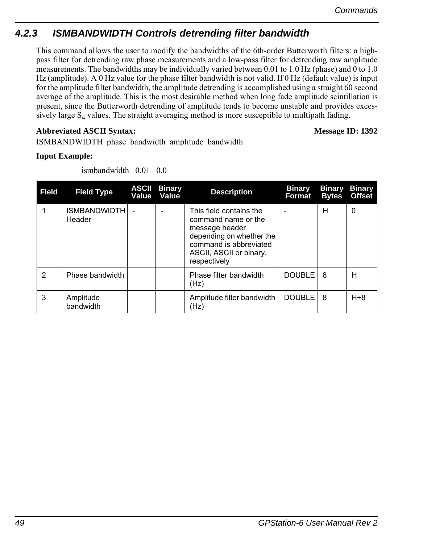# *4.2.3 ISMBANDWIDTH Controls detrending filter bandwidth*

This command allows the user to modify the bandwidths of the 6th-order Butterworth filters: a highpass filter for detrending raw phase measurements and a low-pass filter for detrending raw amplitude measurements. The bandwidths may be individually varied between 0.01 to 1.0 Hz (phase) and 0 to 1.0 Hz (amplitude). A 0 Hz value for the phase filter bandwidth is not valid. If 0 Hz (default value) is input for the amplitude filter bandwidth, the amplitude detrending is accomplished using a straight 60 second average of the amplitude. This is the most desirable method when long fade amplitude scintillation is present, since the Butterworth detrending of amplitude tends to become unstable and provides excessively large  $S_4$  values. The straight averaging method is more susceptible to multipath fading.

## **Abbreviated ASCII Syntax: Message ID: 1392**

ISMBANDWIDTH phase\_bandwidth amplitude\_bandwidth

## **Input Example:**

ismbandwidth 0.01 0.0

| <b>Field</b> | <b>Field Type</b>             | <b>ASCII</b><br>Value | <b>Binary</b><br>Value | <b>Description</b>                                                                                                                                                | <b>Binary</b><br>Format | <b>Bytes</b> | <b>Binary Binary</b><br><b>Offset</b> |
|--------------|-------------------------------|-----------------------|------------------------|-------------------------------------------------------------------------------------------------------------------------------------------------------------------|-------------------------|--------------|---------------------------------------|
|              | <b>ISMBANDWIDTH</b><br>Header |                       |                        | This field contains the<br>command name or the<br>message header<br>depending on whether the<br>command is abbreviated<br>ASCII, ASCII or binary,<br>respectively |                         | н            | 0                                     |
| 2            | Phase bandwidth               |                       |                        | Phase filter bandwidth<br>(Hz)                                                                                                                                    | <b>DOUBLE</b>           | 8            | н                                     |
| 3            | Amplitude<br>bandwidth        |                       |                        | Amplitude filter bandwidth<br>(Hz)                                                                                                                                | DOUBLE                  | 8            | $H + 8$                               |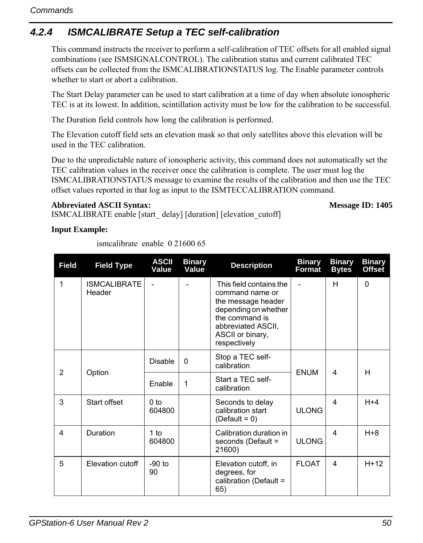# *4.2.4 ISMCALIBRATE Setup a TEC self-calibration*

This command instructs the receiver to perform a self-calibration of TEC offsets for all enabled signal combinations (see ISMSIGNALCONTROL). The calibration status and current calibrated TEC offsets can be collected from the ISMCALIBRATIONSTATUS log. The Enable parameter controls whether to start or abort a calibration.

The Start Delay parameter can be used to start calibration at a time of day when absolute ionospheric TEC is at its lowest. In addition, scintillation activity must be low for the calibration to be successful.

The Duration field controls how long the calibration is performed.

The Elevation cutoff field sets an elevation mask so that only satellites above this elevation will be used in the TEC calibration.

Due to the unpredictable nature of ionospheric activity, this command does not automatically set the TEC calibration values in the receiver once the calibration is complete. The user must log the ISMCALIBRATIONSTATUS message to examine the results of the calibration and then use the TEC offset values reported in that log as input to the ISMTECCALIBRATION command.

## **Abbreviated ASCII Syntax: Message ID: 1405**

ISMCALIBRATE enable [start\_ delay] [duration] [elevation\_cutoff]

## **Input Example:**

ismcalibrate enable 0 21600 65

| <b>Field</b>   | <b>Field Type</b>             | <b>ASCII</b><br>Value     | <b>Binary</b><br>Value | <b>Description</b>                                                                                                                                                   | <b>Binary</b><br>Format | <b>Binary</b><br><b>Bytes</b> | <b>Binary</b><br><b>Offset</b> |
|----------------|-------------------------------|---------------------------|------------------------|----------------------------------------------------------------------------------------------------------------------------------------------------------------------|-------------------------|-------------------------------|--------------------------------|
| $\mathbf{1}$   | <b>ISMCALIBRATE</b><br>Header |                           |                        | This field contains the<br>command name or<br>the message header<br>depending on whether<br>the command is<br>abbreviated ASCII.<br>ASCII or binary,<br>respectively |                         | H                             | $\Omega$                       |
| $\overline{2}$ | Option                        | <b>Disable</b>            | $\Omega$               | Stop a TEC self-<br>calibration                                                                                                                                      | <b>ENUM</b>             | 4                             | H                              |
|                |                               | Enable                    | 1                      | Start a TEC self-<br>calibration                                                                                                                                     |                         |                               |                                |
| 3              | Start offset                  | 0 <sub>to</sub><br>604800 |                        | Seconds to delay<br>calibration start<br>(Default = $0$ )                                                                                                            | <b>ULONG</b>            | 4                             | $H+4$                          |
| 4              | Duration                      | 1 to<br>604800            |                        | Calibration duration in<br>seconds (Default =<br>21600)                                                                                                              | <b>ULONG</b>            | 4                             | $H + 8$                        |
| 5              | Elevation cutoff              | $-90$ to<br>90            |                        | Elevation cutoff, in<br>degrees, for<br>calibration (Default =<br>65)                                                                                                | <b>FLOAT</b>            | 4                             | $H+12$                         |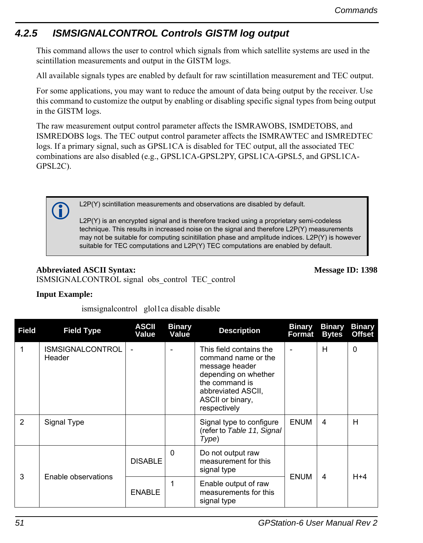# *4.2.5 ISMSIGNALCONTROL Controls GISTM log output*

This command allows the user to control which signals from which satellite systems are used in the scintillation measurements and output in the GISTM logs.

All available signals types are enabled by default for raw scintillation measurement and TEC output.

For some applications, you may want to reduce the amount of data being output by the receiver. Use this command to customize the output by enabling or disabling specific signal types from being output in the GISTM logs.

The raw measurement output control parameter affects the ISMRAWOBS, ISMDETOBS, and ISMREDOBS logs. The TEC output control parameter affects the ISMRAWTEC and ISMREDTEC logs. If a primary signal, such as GPSL1CA is disabled for TEC output, all the associated TEC combinations are also disabled (e.g., GPSL1CA-GPSL2PY, GPSL1CA-GPSL5, and GPSL1CA-GPSL2C).

L2P(Y) scintillation measurements and observations are disabled by default.

L2P(Y) is an encrypted signal and is therefore tracked using a proprietary semi-codeless technique. This results in increased noise on the signal and therefore L2P(Y) measurements may not be suitable for computing scinitillation phase and amplitude indices. L2P(Y) is however suitable for TEC computations and L2P(Y) TEC computations are enabled by default.

## **Abbreviated ASCII Syntax: Message ID: 1398**

ISMSIGNALCONTROL signal obs\_control TEC\_control

## **Input Example:**

ismsignalcontrol glol1ca disable disable

| <b>Field</b>   | <b>Field Type</b>                 | <b>ASCII</b><br>Value | <b>Binary</b><br>Value | <b>Description</b>                                                                                                                                                   | <b>Binary</b><br>Format | <b>Binary</b><br><b>Bytes</b> | <b>Binary</b><br>Offset |
|----------------|-----------------------------------|-----------------------|------------------------|----------------------------------------------------------------------------------------------------------------------------------------------------------------------|-------------------------|-------------------------------|-------------------------|
| 1              | <b>ISMSIGNALCONTROL</b><br>Header |                       |                        | This field contains the<br>command name or the<br>message header<br>depending on whether<br>the command is<br>abbreviated ASCII,<br>ASCII or binary,<br>respectively |                         | H                             | $\Omega$                |
| $\overline{2}$ | Signal Type                       |                       |                        | Signal type to configure<br>(refer to Table 11, Signal<br>Type)                                                                                                      | <b>ENUM</b>             | $\overline{\mathbf{4}}$       | H                       |
|                |                                   | <b>DISABLE</b>        | $\Omega$               | Do not output raw<br>measurement for this<br>signal type                                                                                                             |                         |                               |                         |
| 3              | Enable observations               | <b>ENABLE</b>         | 1                      | Enable output of raw<br>measurements for this<br>signal type                                                                                                         | <b>ENUM</b>             | $\overline{4}$                | $H + 4$                 |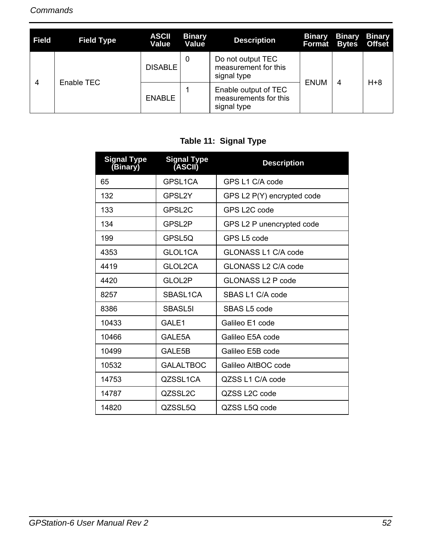| Field                        | <b>Field Type</b> | <b>ASCII</b><br>Value | <b>Binary</b><br>Value | <b>Description</b>                                           | <b>Binary</b><br>Format | <b>Binary</b><br><b>Bytes</b> | <b>Binary</b><br><b>Offset</b> |
|------------------------------|-------------------|-----------------------|------------------------|--------------------------------------------------------------|-------------------------|-------------------------------|--------------------------------|
| Enable TEC<br>$\overline{4}$ |                   | DISABLE <sup>1</sup>  | 0                      | Do not output TEC<br>measurement for this<br>signal type     | ENUM                    | 4                             | $H + 8$                        |
|                              |                   | <b>ENABLE</b>         |                        | Enable output of TEC<br>measurements for this<br>signal type |                         |                               |                                |

# **Table 11: Signal Type**

<span id="page-51-0"></span>

| <b>Signal Type</b><br>(Binary) | Signal Type<br>(ASCII) | <b>Description</b>         |
|--------------------------------|------------------------|----------------------------|
| 65                             | <b>GPSI 1CA</b>        | GPS L1 C/A code            |
| 132                            | <b>GPSI 2Y</b>         | GPS L2 P(Y) encrypted code |
| 133                            | GPSL <sub>2C</sub>     | GPS L2C code               |
| 134                            | GPSL2P                 | GPS L2 P unencrypted code  |
| 199                            | GPSL5Q                 | GPS L5 code                |
| 4353                           | GLOL1CA                | GLONASS L1 C/A code        |
| 4419                           | GLOL2CA                | GLONASS L2 C/A code        |
| 4420                           | GLOL2P                 | GLONASS L2 P code          |
| 8257                           | SBASL1CA               | SBAS L1 C/A code           |
| 8386                           | SBASL5I                | SBAS L5 code               |
| 10433                          | GALE1                  | Galileo E1 code            |
| 10466                          | GALE5A                 | Galileo E5A code           |
| 10499                          | GALE5B                 | Galileo E5B code           |
| 10532                          | <b>GALALTBOC</b>       | Galileo AltBOC code        |
| 14753                          | QZSSL1CA               | QZSS L1 C/A code           |
| 14787                          | QZSSL2C                | QZSS L2C code              |
| 14820                          | QZSSL5Q                | QZSS L5Q code              |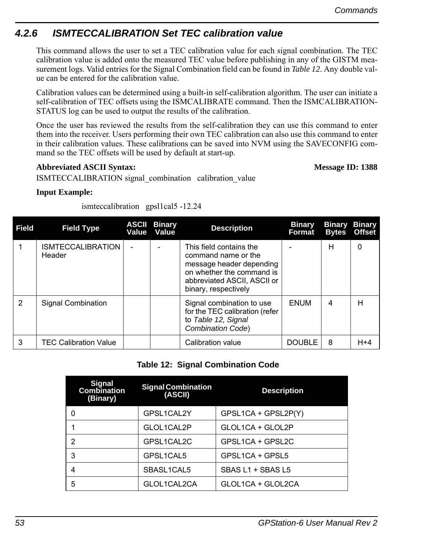# *4.2.6 ISMTECCALIBRATION Set TEC calibration value*

This command allows the user to set a TEC calibration value for each signal combination. The TEC calibration value is added onto the measured TEC value before publishing in any of the GISTM measurement logs. Valid entries for the Signal Combination field can be found in *[Table 12](#page-52-0)*. Any double value can be entered for the calibration value.

Calibration values can be determined using a built-in self-calibration algorithm. The user can initiate a self-calibration of TEC offsets using the ISMCALIBRATE command. Then the ISMCALIBRATION-STATUS log can be used to output the results of the calibration.

Once the user has reviewed the results from the self-calibration they can use this command to enter them into the receiver. Users performing their own TEC calibration can also use this command to enter in their calibration values. These calibrations can be saved into NVM using the SAVECONFIG command so the TEC offsets will be used by default at start-up.

## **Abbreviated ASCII Syntax: Message ID: 1388**

ISMTECCALIBRATION signal\_combination calibration\_value

## **Input Example:**

ismteccalibration gpsl1cal5 -12.24

| <b>Field</b> | <b>Field Type</b>                  | <b>ASCII Binary</b><br>Value Value | <b>Description</b>                                                                                                                                             | <b>Binary</b><br>Format | <b>Bytes</b> | <b>Binary Binary</b><br><b>Offset</b> |
|--------------|------------------------------------|------------------------------------|----------------------------------------------------------------------------------------------------------------------------------------------------------------|-------------------------|--------------|---------------------------------------|
|              | <b>ISMTECCALIBRATION</b><br>Header |                                    | This field contains the<br>command name or the<br>message header depending<br>on whether the command is<br>abbreviated ASCII, ASCII or<br>binary, respectively |                         | н            | 0                                     |
| 2            | Signal Combination                 |                                    | Signal combination to use<br>for the TEC calibration (refer<br>to Table 12, Signal<br><b>Combination Code)</b>                                                 | <b>ENUM</b>             | 4            | н                                     |
| 3            | <b>TEC Calibration Value</b>       |                                    | Calibration value                                                                                                                                              | <b>DOUBLE</b>           | 8            | $H+4$                                 |

## **Table 12: Signal Combination Code**

<span id="page-52-0"></span>

| <b>Signal</b><br><b>Combination</b><br>(Binary) | <b>Signal Combination</b><br>(ASCII) | <b>Description</b>  |
|-------------------------------------------------|--------------------------------------|---------------------|
| 0                                               | GPSL1CAL2Y                           | GPSL1CA + GPSL2P(Y) |
|                                                 | GLOL1CAL2P                           | GLOL1CA + GLOL2P    |
| 2                                               | GPSL1CAL2C                           | GPSL1CA + GPSL2C    |
| 3                                               | GPSL1CAL5                            | GPSL1CA + GPSL5     |
|                                                 | SBASL1CAL5                           | SBAS L1 + SBAS L5   |
| 5                                               | GLOL1CAL2CA                          | GLOL1CA + GLOL2CA   |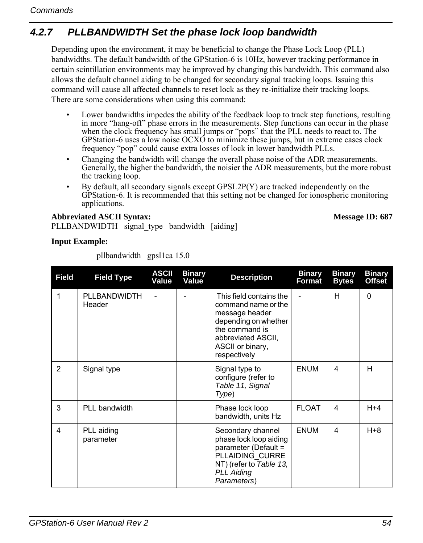# *4.2.7 PLLBANDWIDTH Set the phase lock loop bandwidth*

Depending upon the environment, it may be beneficial to change the Phase Lock Loop (PLL) bandwidths. The default bandwidth of the GPStation-6 is 10Hz, however tracking performance in certain scintillation environments may be improved by changing this bandwidth. This command also allows the default channel aiding to be changed for secondary signal tracking loops. Issuing this command will cause all affected channels to reset lock as they re-initialize their tracking loops. There are some considerations when using this command:

- Lower bandwidths impedes the ability of the feedback loop to track step functions, resulting in more "hang-off" phase errors in the measurements. Step functions can occur in the phase when the clock frequency has small jumps or "pops" that the PLL needs to react to. The GPStation-6 uses a low noise OCXO to minimize these jumps, but in extreme cases clock frequency "pop" could cause extra losses of lock in lower bandwidth PLLs.
- Changing the bandwidth will change the overall phase noise of the ADR measurements. Generally, the higher the bandwidth, the noisier the ADR measurements, but the more robust the tracking loop.
- By default, all secondary signals except GPSL2P(Y) are tracked independently on the GPStation-6. It is recommended that this setting not be changed for ionospheric monitoring applications.

Abbreviated ASCII Syntax: **Message ID: 687** PLLBANDWIDTH signal type bandwidth [aiding]

## **Input Example:**

| <b>Field</b>   | <b>Field Type</b>       | <b>ASCII</b><br>Value | <b>Binary</b><br>Value | <b>Description</b>                                                                                                                                                   | <b>Binary</b><br>Format | <b>Binary</b><br><b>Bytes</b> | <b>Binary</b><br><b>Offset</b> |
|----------------|-------------------------|-----------------------|------------------------|----------------------------------------------------------------------------------------------------------------------------------------------------------------------|-------------------------|-------------------------------|--------------------------------|
| 1              | PLLBANDWIDTH<br>Header  |                       |                        | This field contains the<br>command name or the<br>message header<br>depending on whether<br>the command is<br>abbreviated ASCII.<br>ASCII or binary,<br>respectively |                         | H                             | $\Omega$                       |
| $\overline{2}$ | Signal type             |                       |                        | Signal type to<br>configure (refer to<br>Table 11, Signal<br>Type)                                                                                                   | <b>ENUM</b>             | 4                             | H                              |
| 3              | PLL bandwidth           |                       |                        | Phase lock loop<br>bandwidth, units Hz                                                                                                                               | <b>FLOAT</b>            | 4                             | $H + 4$                        |
| 4              | PLL aiding<br>parameter |                       |                        | Secondary channel<br>phase lock loop aiding<br>parameter (Default =<br>PLLAIDING CURRE<br>NT) (refer to Table 13,<br><b>PLL Aiding</b><br>Parameters)                | <b>ENUM</b>             | 4                             | $H + 8$                        |

pllbandwidth gpsl1ca 15.0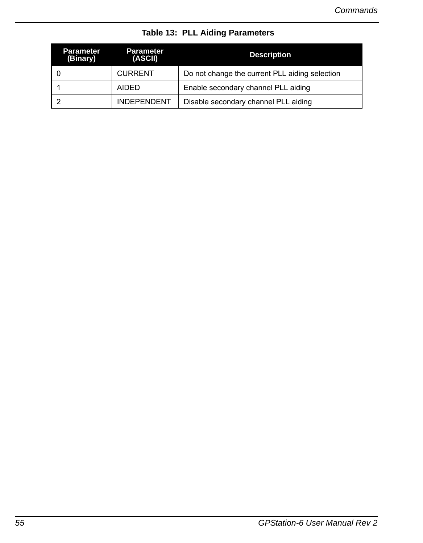<span id="page-54-0"></span>

| Parameter<br>(Binary) | <b>Parameter</b><br>(ASCII) | <b>Description</b>                             |
|-----------------------|-----------------------------|------------------------------------------------|
|                       | <b>CURRENT</b>              | Do not change the current PLL aiding selection |
|                       | <b>AIDED</b>                | Enable secondary channel PLL aiding            |
|                       | <b>INDEPENDENT</b>          | Disable secondary channel PLL aiding           |

 **Table 13: PLL Aiding Parameters**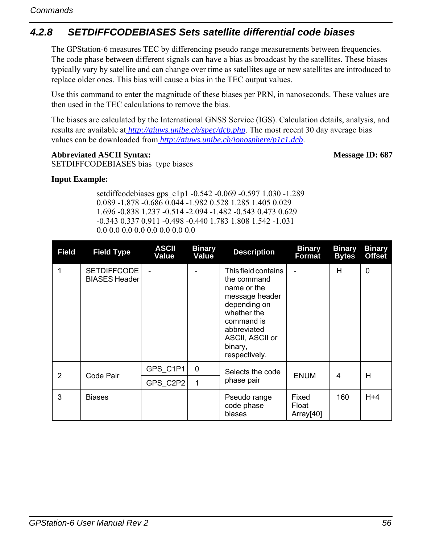# *4.2.8 SETDIFFCODEBIASES Sets satellite differential code biases*

The GPStation-6 measures TEC by differencing pseudo range measurements between frequencies. The code phase between different signals can have a bias as broadcast by the satellites. These biases typically vary by satellite and can change over time as satellites age or new satellites are introduced to replace older ones. This bias will cause a bias in the TEC output values.

Use this command to enter the magnitude of these biases per PRN, in nanoseconds. These values are then used in the TEC calculations to remove the bias.

The biases are calculated by the International GNSS Service (IGS). Calculation details, analysis, and results are available at*<http://aiuws.unibe.ch/spec/dcb.php>*. The most recent 30 day average bias values can be downloaded from*<http://aiuws.unibe.ch/ionosphere/p1c1.dcb>*.

## Abbreviated ASCII Syntax: Message ID: 687

SETDIFFCODEBIASES bias type biases

## **Input Example:**

setdiffcodebiases gps\_c1p1 -0.542 -0.069 -0.597 1.030 -1.289 0.089 -1.878 -0.686 0.044 -1.982 0.528 1.285 1.405 0.029 1.696 -0.838 1.237 -0.514 -2.094 -1.482 -0.543 0.473 0.629 -0.343 0.337 0.911 -0.498 -0.440 1.783 1.808 1.542 -1.031 0.0 0.0 0.0 0.0 0.0 0.0 0.0 0.0

| <b>Field</b> | <b>Field Type</b>                          | <b>ASCII</b><br>Value | <b>Binary</b><br>Value | <b>Description</b>                                                                                                                                                             | <b>Binary</b><br>Format                 | <b>Binary</b><br><b>Bytes</b> | <b>Binary</b><br><b>Offset</b> |
|--------------|--------------------------------------------|-----------------------|------------------------|--------------------------------------------------------------------------------------------------------------------------------------------------------------------------------|-----------------------------------------|-------------------------------|--------------------------------|
| 1            | <b>SETDIFFCODE</b><br><b>BIASES Header</b> |                       |                        | This field contains<br>the command<br>name or the<br>message header<br>depending on<br>whether the<br>command is<br>abbreviated<br>ASCII, ASCII or<br>binary,<br>respectively. |                                         | H                             | $\mathbf{0}$                   |
|              |                                            | GPS C1P1              | 0                      | Selects the code                                                                                                                                                               |                                         |                               | H                              |
| 2            | Code Pair                                  | GPS C2P2              |                        | phase pair                                                                                                                                                                     | <b>ENUM</b>                             | 4                             |                                |
| 3            | <b>Biases</b>                              |                       |                        | Pseudo range<br>code phase<br>biases                                                                                                                                           | Fixed<br>Float<br>Array <sup>[40]</sup> | 160                           | $H + 4$                        |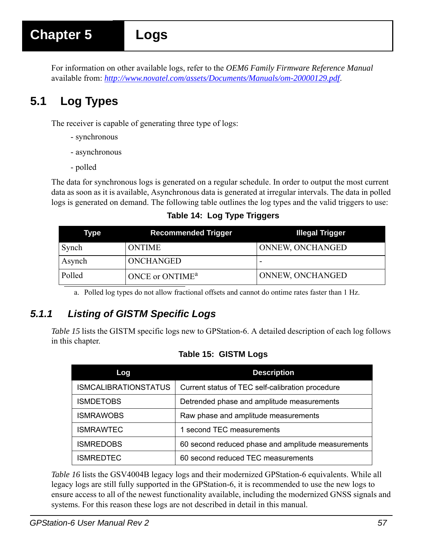For information on other available logs, refer to the *OEM6 Family Firmware Reference Manual* available from: *http://www.novatel.com/assets/Documents/Manuals/om-20000129.pdf*.

# **5.1 Log Types**

The receiver is capable of generating three type of logs:

- synchronous
- asynchronous
- polled

The data for synchronous logs is generated on a regular schedule. In order to output the most current data as soon as it is available, Asynchronous data is generated at irregular intervals. The data in polled logs is generated on demand. The following table outlines the log types and the valid triggers to use:

 **Table 14: Log Type Triggers**

| Type   | Recommended Trigger         | Illegal Trigger  |
|--------|-----------------------------|------------------|
| Synch  | <b>ONTIME</b>               | ONNEW, ONCHANGED |
| Asynch | ONCHANGED                   |                  |
| Polled | ONCE or ONTIME <sup>a</sup> | ONNEW, ONCHANGED |

a. Polled log types do not allow fractional offsets and cannot do ontime rates faster than 1 Hz.

# *5.1.1 Listing of GISTM Specific Logs*

<span id="page-56-0"></span>*[Table 15](#page-56-0)* lists the GISTM specific logs new to GPStation-6. A detailed description of each log follows in this chapter.

## **Table 15: GISTM Logs**

| Log                         | <b>Description</b>                                 |
|-----------------------------|----------------------------------------------------|
| <b>ISMCALIBRATIONSTATUS</b> | Current status of TEC self-calibration procedure   |
| <b>ISMDETOBS</b>            | Detrended phase and amplitude measurements         |
| ISMRAWOBS                   | Raw phase and amplitude measurements               |
| <b>ISMRAWTEC</b>            | 1 second TEC measurements                          |
| <b>ISMREDOBS</b>            | 60 second reduced phase and amplitude measurements |
| ISMREDTEC                   | 60 second reduced TEC measurements                 |

*[Table 16](#page-57-0)* lists the GSV4004B legacy logs and their modernized GPStation-6 equivalents. While all legacy logs are still fully supported in the GPStation-6, it is recommended to use the new logs to ensure access to all of the newest functionality available, including the modernized GNSS signals and systems. For this reason these logs are not described in detail in this manual.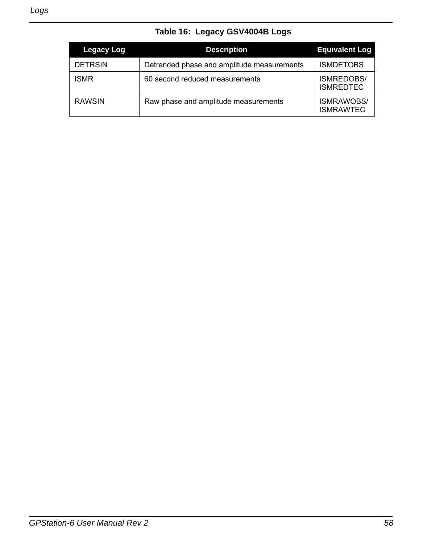|  |  | Table 16: Legacy GSV4004B Logs |  |
|--|--|--------------------------------|--|
|--|--|--------------------------------|--|

<span id="page-57-0"></span>

| Legacy Log     | <b>Description</b>                         | <b>Equivalent Log</b>                 |
|----------------|--------------------------------------------|---------------------------------------|
| <b>DETRSIN</b> | Detrended phase and amplitude measurements | <b>ISMDETOBS</b>                      |
| <b>ISMR</b>    | 60 second reduced measurements             | <b>ISMREDOBS/</b><br><b>ISMREDTEC</b> |
| <b>RAWSIN</b>  | Raw phase and amplitude measurements       | <b>ISMRAWOBS/</b><br><b>ISMRAWTEC</b> |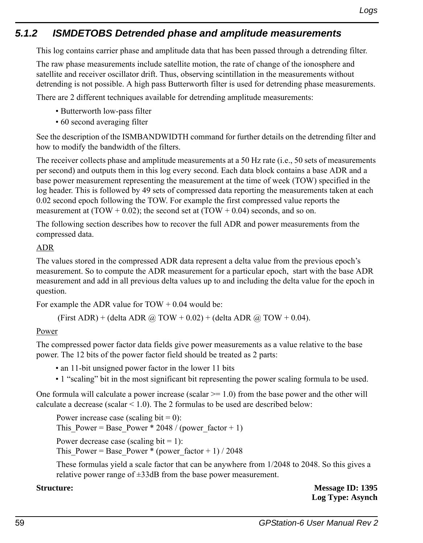# *5.1.2 ISMDETOBS Detrended phase and amplitude measurements*

This log contains carrier phase and amplitude data that has been passed through a detrending filter.

The raw phase measurements include satellite motion, the rate of change of the ionosphere and satellite and receiver oscillator drift. Thus, observing scintillation in the measurements without detrending is not possible. A high pass Butterworth filter is used for detrending phase measurements.

There are 2 different techniques available for detrending amplitude measurements:

- Butterworth low-pass filter
- 60 second averaging filter

See the description of the ISMBANDWIDTH command for further details on the detrending filter and how to modify the bandwidth of the filters.

The receiver collects phase and amplitude measurements at a 50 Hz rate (i.e., 50 sets of measurements per second) and outputs them in this log every second. Each data block contains a base ADR and a base power measurement representing the measurement at the time of week (TOW) specified in the log header. This is followed by 49 sets of compressed data reporting the measurements taken at each 0.02 second epoch following the TOW. For example the first compressed value reports the measurement at  $(TOW + 0.02)$ ; the second set at  $(TOW + 0.04)$  seconds, and so on.

The following section describes how to recover the full ADR and power measurements from the compressed data.

## ADR

The values stored in the compressed ADR data represent a delta value from the previous epoch's measurement. So to compute the ADR measurement for a particular epoch, start with the base ADR measurement and add in all previous delta values up to and including the delta value for the epoch in question.

For example the ADR value for  $TOW + 0.04$  would be:

(First ADR) + (delta ADR  $\omega$  TOW + 0.02) + (delta ADR  $\omega$  TOW + 0.04).

## Power

The compressed power factor data fields give power measurements as a value relative to the base power. The 12 bits of the power factor field should be treated as 2 parts:

• an 11-bit unsigned power factor in the lower 11 bits

• 1 "scaling" bit in the most significant bit representing the power scaling formula to be used.

One formula will calculate a power increase (scalar  $\ge$  1.0) from the base power and the other will calculate a decrease (scalar  $\leq$  1.0). The 2 formulas to be used are described below:

Power increase case (scaling bit  $= 0$ ): This Power = Base Power \* 2048 / (power factor + 1)

Power decrease case (scaling bit  $= 1$ ):

This Power = Base Power \* (power factor + 1) / 2048

These formulas yield a scale factor that can be anywhere from 1/2048 to 2048. So this gives a relative power range of ±33dB from the base power measurement.

**Structure:** Message ID: 1395 **Log Type: Asynch**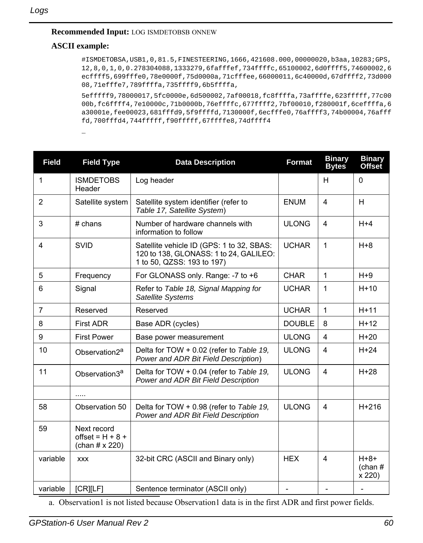### **Recommended Input:** LOG ISMDETOBSB ONNEW

## **ASCII example:**

#ISMDETOBSA,USB1,0,81.5,FINESTEERING,1666,421608.000,00000020,b3aa,10283;GPS, 12,8,0,1,0,0.278304088,1333279,6fafffef,734ffffc,65100002,6d0ffff5,74600002,6 ecffff5,699fffe0,78e0000f,75d0000a,71cfffee,66000011,6c40000d,67dffff2,73d000 08,71efffe7,789ffffa,735ffff9,6b5ffffa,

5efffff9,78000017,5fc0000e,6d500002,7af00018,fc8ffffa,73affffe,623fffff,77c00 00b,fc6ffff4,7e10000c,71b0000b,76effffc,677ffff2,7bf00010,f280001f,6ceffffa,6 a30001e,fee00023,681fffd9,5f9ffffd,7130000f,6ecfffe0,76affff3,74b00004,76afff fd,700fffd4,744fffff,f90fffff,67ffffe8,74dffff4

…

| <b>Field</b>   | <b>Field Type</b>                                   | <b>Data Description</b>                                                                                           | <b>Format</b> | <b>Binary</b><br><b>Bytes</b> | <b>Binary</b><br><b>Offset</b> |
|----------------|-----------------------------------------------------|-------------------------------------------------------------------------------------------------------------------|---------------|-------------------------------|--------------------------------|
| 1              | <b>ISMDETOBS</b><br>Header                          | Log header                                                                                                        |               | H                             | $\mathbf 0$                    |
| $\overline{2}$ | Satellite system                                    | Satellite system identifier (refer to<br>Table 17, Satellite System)                                              | <b>ENUM</b>   | 4                             | H                              |
| 3              | $#$ chans                                           | Number of hardware channels with<br>information to follow                                                         | <b>ULONG</b>  | $\overline{\mathbf{A}}$       | $H + 4$                        |
| 4              | <b>SVID</b>                                         | Satellite vehicle ID (GPS: 1 to 32, SBAS:<br>120 to 138, GLONASS: 1 to 24, GALILEO:<br>1 to 50, QZSS: 193 to 197) | <b>UCHAR</b>  | $\mathbf{1}$                  | $H + 8$                        |
| 5              | Frequency                                           | For GLONASS only. Range: -7 to +6                                                                                 | <b>CHAR</b>   | $\mathbf{1}$                  | $H+9$                          |
| 6              | Signal                                              | Refer to Table 18, Signal Mapping for<br>Satellite Systems                                                        | <b>UCHAR</b>  | 1                             | $H+10$                         |
| 7              | Reserved                                            | Reserved                                                                                                          | <b>UCHAR</b>  | $\mathbf{1}$                  | $H+11$                         |
| 8              | <b>First ADR</b>                                    | Base ADR (cycles)                                                                                                 | <b>DOUBLE</b> | 8                             | $H+12$                         |
| 9              | <b>First Power</b>                                  | Base power measurement                                                                                            | <b>ULONG</b>  | 4                             | $H+20$                         |
| 10             | Observation2 <sup>a</sup>                           | Delta for TOW + 0.02 (refer to Table 19,<br>Power and ADR Bit Field Description)                                  | <b>ULONG</b>  | $\overline{\mathbf{4}}$       | $H+24$                         |
| 11             | Observation3 <sup>a</sup>                           | Delta for TOW + 0.04 (refer to Table 19,<br>Power and ADR Bit Field Description                                   | <b>ULONG</b>  | 4                             | $H+28$                         |
|                | .                                                   |                                                                                                                   |               |                               |                                |
| 58             | Observation 50                                      | Delta for TOW + 0.98 (refer to Table 19,<br>Power and ADR Bit Field Description                                   | <b>ULONG</b>  | $\overline{\mathbf{4}}$       | $H+216$                        |
| 59             | Next record<br>offset = $H + 8 +$<br>(chan # x 220) |                                                                                                                   |               |                               |                                |
| variable       | <b>XXX</b>                                          | 32-bit CRC (ASCII and Binary only)                                                                                | <b>HEX</b>    | 4                             | $H + 8 +$<br>(chan#)<br>x 220) |
| variable       | [CR][LF]                                            | Sentence terminator (ASCII only)                                                                                  |               |                               | $\overline{\phantom{a}}$       |

a. Observation1 is not listed because Observation1 data is in the first ADR and first power fields.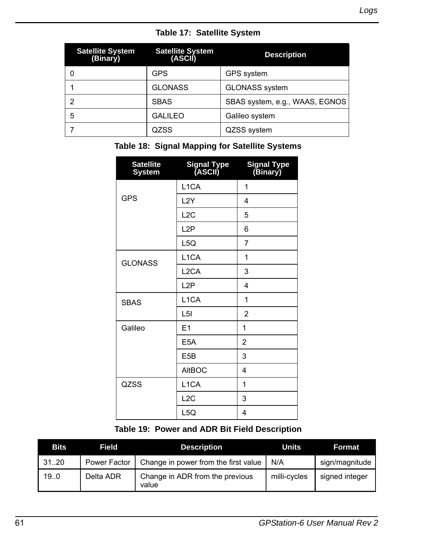|  |  | Table 17: Satellite System |  |
|--|--|----------------------------|--|
|--|--|----------------------------|--|

<span id="page-60-0"></span>

| <b>Satellite System</b><br>(Binary) | <b>Satellite System</b><br>(ASCII) | <b>Description</b>             |
|-------------------------------------|------------------------------------|--------------------------------|
|                                     | GPS                                | <b>GPS</b> system              |
|                                     | <b>GLONASS</b>                     | GLONASS system                 |
|                                     | <b>SBAS</b>                        | SBAS system, e.g., WAAS, EGNOS |
| 5                                   | <b>GALILEO</b>                     | Galileo system                 |
|                                     | QZSS                               | QZSS system                    |

## <span id="page-60-1"></span> **Table 18: Signal Mapping for Satellite Systems**

| <b>Satellite</b><br><b>System</b> | Signal Type<br>(ASCII) | Signal Type<br>(Binary) |
|-----------------------------------|------------------------|-------------------------|
|                                   | L <sub>1</sub> CA      | 1                       |
| <b>GPS</b>                        | L <sub>2</sub> Y       | 4                       |
|                                   | L2C                    | 5                       |
|                                   | L <sub>2</sub> P       | 6                       |
|                                   | L <sub>5</sub> Q       | 7                       |
| <b>GLONASS</b>                    | L <sub>1</sub> CA      | 1                       |
|                                   | L <sub>2</sub> CA      | 3                       |
|                                   | L <sub>2</sub> P       | 4                       |
| <b>SBAS</b>                       | L <sub>1</sub> CA      | 1                       |
|                                   | L <sub>5</sub>         | $\overline{2}$          |
| Galileo                           | E1                     | 1                       |
|                                   | E <sub>5</sub> A       | $\overline{2}$          |
|                                   | E <sub>5</sub> B       | 3                       |
|                                   | <b>AltBOC</b>          | 4                       |
| QZSS                              | L <sub>1</sub> CA      | 1                       |
|                                   | L2C                    | 3                       |
|                                   | L <sub>5Q</sub>        | 4                       |

## **Table 19: Power and ADR Bit Field Description**

<span id="page-60-2"></span>

| <b>Bits</b> | Field        | <b>Description</b>                       | Units        | Format         |
|-------------|--------------|------------------------------------------|--------------|----------------|
| 3120        | Power Factor | Change in power from the first value     | N/A          | sign/magnitude |
| 19.0        | Delta ADR    | Change in ADR from the previous<br>value | milli-cycles | signed integer |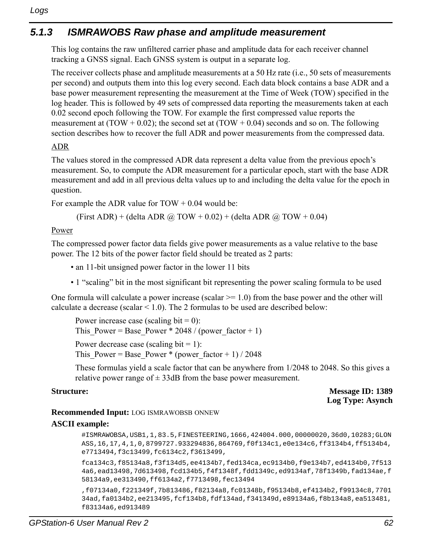# *5.1.3 ISMRAWOBS Raw phase and amplitude measurement*

This log contains the raw unfiltered carrier phase and amplitude data for each receiver channel tracking a GNSS signal. Each GNSS system is output in a separate log.

The receiver collects phase and amplitude measurements at a 50 Hz rate (i.e., 50 sets of measurements per second) and outputs them into this log every second. Each data block contains a base ADR and a base power measurement representing the measurement at the Time of Week (TOW) specified in the log header. This is followed by 49 sets of compressed data reporting the measurements taken at each 0.02 second epoch following the TOW. For example the first compressed value reports the measurement at (TOW + 0.02); the second set at (TOW + 0.04) seconds and so on. The following section describes how to recover the full ADR and power measurements from the compressed data.

## ADR

The values stored in the compressed ADR data represent a delta value from the previous epoch's measurement. So, to compute the ADR measurement for a particular epoch, start with the base ADR measurement and add in all previous delta values up to and including the delta value for the epoch in question.

For example the ADR value for  $TOW + 0.04$  would be:

(First ADR) + (delta ADR  $\omega$  TOW + 0.02) + (delta ADR  $\omega$  TOW + 0.04)

## Power

The compressed power factor data fields give power measurements as a value relative to the base power. The 12 bits of the power factor field should be treated as 2 parts:

- an 11-bit unsigned power factor in the lower 11 bits
- 1 "scaling" bit in the most significant bit representing the power scaling formula to be used

One formula will calculate a power increase (scalar  $\ge$  1.0) from the base power and the other will calculate a decrease (scalar  $\leq$  1.0). The 2 formulas to be used are described below:

```
Power increase case (scaling bit = 0):
This Power = Base Power * 2048 / (power factor + 1)
Power decrease case (scaling bit = 1):
This Power = Base Power * (power factor + 1) / 2048
```
These formulas yield a scale factor that can be anywhere from 1/2048 to 2048. So this gives a relative power range of  $\pm$  33dB from the base power measurement.

```
Structure: Message ID: 1389
                              Log Type: Asynch
```
## **Recommended Input:** LOG ISMRAWOBSB ONNEW

## **ASCII example:**

#ISMRAWOBSA,USB1,1,83.5,FINESTEERING,1666,424004.000,00000020,36d0,10283;GLON ASS,16,17,4,1,0,8799727.933294836,864769,f0f134c1,e0e134c6,ff3134b4,ff5134b4, e7713494,f3c13499,fc6134c2,f3613499,

fca134c3,f85134a8,f3f134d5,ee4134b7,fed134ca,ec9134b0,f9e134b7,ed4134b0,7f513 4a6,ead13498,7d613498,fcd134b5,f4f1348f,fdd1349c,ed9134af,78f1349b,fad134ae,f 58134a9,ee313490,ff6134a2,f7713498,fec13494

```
,f07134a0,f221349f,7b813486,f82134a8,fc01348b,f95134b8,ef4134b2,f99134c8,7701
34ad,fa0134b2,ee213495,fcf134b8,fdf134ad,f341349d,e89134a6,f8b134a8,ea513481,
f83134a6,ed913489
```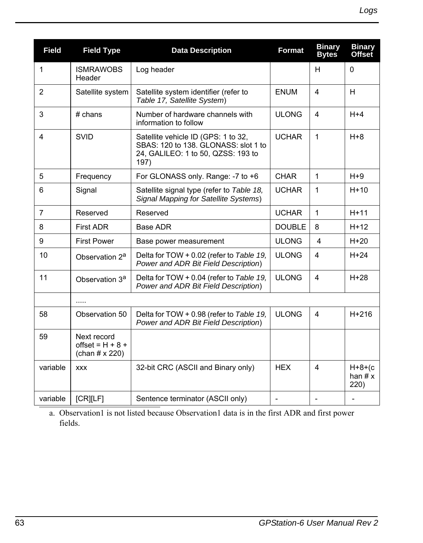| <b>Field</b>   | <b>Field Type</b>                                           | <b>Data Description</b>                                                                                                   | <b>Format</b>            | <b>Binary</b><br><b>Bytes</b> | <b>Binary</b><br>Offset        |
|----------------|-------------------------------------------------------------|---------------------------------------------------------------------------------------------------------------------------|--------------------------|-------------------------------|--------------------------------|
| 1              | <b>ISMRAWOBS</b><br>Header                                  | Log header                                                                                                                |                          | H                             | $\Omega$                       |
| $\overline{2}$ | Satellite system                                            | Satellite system identifier (refer to<br>Table 17, Satellite System)                                                      | <b>ENUM</b>              | $\overline{4}$                | H                              |
| 3              | $#$ chans                                                   | Number of hardware channels with<br>information to follow                                                                 | <b>ULONG</b>             | 4                             | $H + 4$                        |
| 4              | <b>SVID</b>                                                 | Satellite vehicle ID (GPS: 1 to 32,<br>SBAS: 120 to 138. GLONASS: slot 1 to<br>24, GALILEO: 1 to 50, QZSS: 193 to<br>197) | <b>UCHAR</b>             | $\mathbf{1}$                  | $H + 8$                        |
| 5              | Frequency                                                   | For GLONASS only. Range: -7 to +6                                                                                         | <b>CHAR</b>              | 1                             | $H+9$                          |
| 6              | Signal                                                      | Satellite signal type (refer to Table 18,<br>Signal Mapping for Satellite Systems)                                        | <b>UCHAR</b>             | 1                             | $H+10$                         |
| 7              | Reserved                                                    | Reserved                                                                                                                  | <b>UCHAR</b>             | $\mathbf{1}$                  | $H+11$                         |
| 8              | <b>First ADR</b>                                            | Base ADR                                                                                                                  | <b>DOUBLE</b>            | 8                             | $H+12$                         |
| 9              | <b>First Power</b>                                          | Base power measurement                                                                                                    | <b>ULONG</b>             | 4                             | $H+20$                         |
| 10             | Observation 2 <sup>a</sup>                                  | Delta for TOW + 0.02 (refer to Table 19,<br>Power and ADR Bit Field Description)                                          | <b>ULONG</b>             | $\overline{4}$                | $H+24$                         |
| 11             | Observation 3 <sup>a</sup>                                  | Delta for TOW + 0.04 (refer to Table 19,<br>Power and ADR Bit Field Description)                                          | <b>ULONG</b>             | 4                             | $H+28$                         |
|                | .                                                           |                                                                                                                           |                          |                               |                                |
| 58             | Observation 50                                              | Delta for TOW + 0.98 (refer to Table 19,<br>Power and ADR Bit Field Description)                                          | <b>ULONG</b>             | 4                             | $H + 216$                      |
| 59             | Next record<br>offset = $H + 8 +$<br>(chan $# \times 220$ ) |                                                                                                                           |                          |                               |                                |
| variable       | <b>XXX</b>                                                  | 32-bit CRC (ASCII and Binary only)                                                                                        | <b>HEX</b>               | 4                             | $H+8+(c)$<br>han $# x$<br>220) |
| variable       | [CR][LF]                                                    | Sentence terminator (ASCII only)                                                                                          | $\overline{\phantom{a}}$ |                               |                                |

a. Observation1 is not listed because Observation1 data is in the first ADR and first power fields.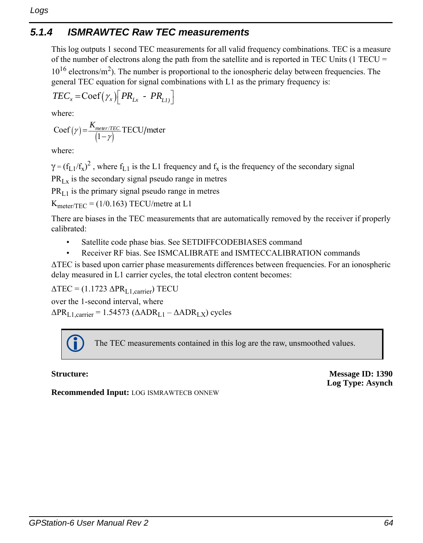# *5.1.4 ISMRAWTEC Raw TEC measurements*

This log outputs 1 second TEC measurements for all valid frequency combinations. TEC is a measure of the number of electrons along the path from the satellite and is reported in TEC Units (1 TECU  $=$  $10^{16}$  electrons/m<sup>2</sup>). The number is proportional to the ionospheric delay between frequencies. The general TEC equation for signal combinations with L1 as the primary frequency is:

$$
TEC_x = \text{Coef}(\gamma_x) \Big[ PR_{Lx} - PR_{L1)} \Big]
$$

where:

$$
Coef(\gamma) = \frac{K_{meer/TEC}}{(1-\gamma)} \text{TECU/meter}
$$

where:

 $\gamma = (f_{L1}/f_x)^2$ , where  $f_{L1}$  is the L1 frequency and  $f_x$  is the frequency of the secondary signal  $PR_{Lx}$  is the secondary signal pseudo range in metres

 $PR_{L1}$  is the primary signal pseudo range in metres

 $K_{\text{meter/TEC}} = (1/0.163) \text{ TECU/metre at L1}$ 

There are biases in the TEC measurements that are automatically removed by the receiver if properly calibrated:

- Satellite code phase bias. See SETDIFFCODEBIASES command
- Receiver RF bias. See ISMCALIBRATE and ISMTECCALIBRATION commands

ΔTEC is based upon carrier phase measurements differences between frequencies. For an ionospheric delay measured in L1 carrier cycles, the total electron content becomes:

 $\Delta \text{TEC} = (1.1723 \ \Delta \text{PR}_{\text{L1, carrier}}) \text{TECU}$ over the 1-second interval, where  $\Delta PR_{L1, \text{carrier}} = 1.54573 \left( \Delta ADR_{L1} - \Delta ADR_{LX} \right)$  cycles

The TEC measurements contained in this log are the raw, unsmoothed values.

**Structure: Message ID: 1390 Log Type: Asynch**

**Recommended Input:** LOG ISMRAWTECB ONNEW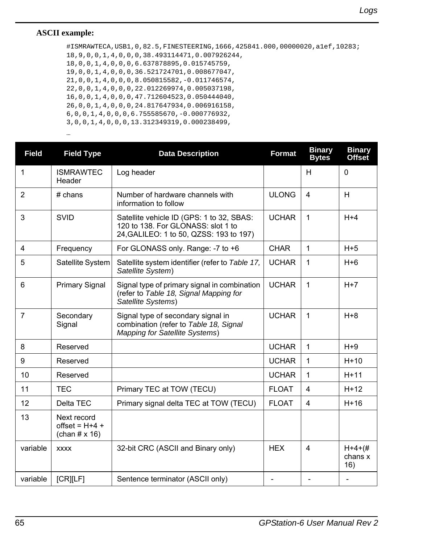## **ASCII example:**

…

#ISMRAWTECA,USB1,0,82.5,FINESTEERING,1666,425841.000,00000020,a1ef,10283; 18,9,0,0,1,4,0,0,0,38.493114471,0.007926244, 18,0,0,1,4,0,0,0,6.637878895,0.015745759, 19,0,0,1,4,0,0,0,36.521724701,0.008677047, 21,0,0,1,4,0,0,0,8.050815582,-0.011746574, 22,0,0,1,4,0,0,0,22.012269974,0.005037198, 16,0,0,1,4,0,0,0,47.712604523,0.050444040, 26,0,0,1,4,0,0,0,24.817647934,0.006916158, 6,0,0,1,4,0,0,0,6.755585670,-0.000776932, 3,0,0,1,4,0,0,0,13.312349319,0.000238499,

| <b>Field</b>   | <b>Field Type</b>                                        | <b>Data Description</b>                                                                                                    | <b>Format</b> | <b>Binary</b><br><b>Bytes</b> | <b>Binary</b><br>Offset        |
|----------------|----------------------------------------------------------|----------------------------------------------------------------------------------------------------------------------------|---------------|-------------------------------|--------------------------------|
| 1              | <b>ISMRAWTEC</b><br>Header                               | Log header                                                                                                                 |               | н                             | 0                              |
| $\overline{2}$ | $#$ chans                                                | Number of hardware channels with<br>information to follow                                                                  | <b>ULONG</b>  | 4                             | H                              |
| 3              | <b>SVID</b>                                              | Satellite vehicle ID (GPS: 1 to 32, SBAS:<br>120 to 138. For GLONASS: slot 1 to<br>24, GALILEO: 1 to 50, QZSS: 193 to 197) | <b>UCHAR</b>  | 1                             | $H+4$                          |
| 4              | Frequency                                                | For GLONASS only. Range: -7 to +6                                                                                          | <b>CHAR</b>   | 1                             | $H+5$                          |
| 5              | Satellite System                                         | Satellite system identifier (refer to Table 17,<br>Satellite System)                                                       | <b>UCHAR</b>  | 1                             | $H + 6$                        |
| 6              | <b>Primary Signal</b>                                    | Signal type of primary signal in combination<br>(refer to Table 18, Signal Mapping for<br>Satellite Systems)               | <b>UCHAR</b>  | 1                             | $H+7$                          |
| $\overline{7}$ | Secondary<br>Signal                                      | Signal type of secondary signal in<br>combination (refer to Table 18, Signal<br>Mapping for Satellite Systems)             | <b>UCHAR</b>  | 1                             | $H + 8$                        |
| 8              | Reserved                                                 |                                                                                                                            | <b>UCHAR</b>  | 1                             | $H+9$                          |
| 9              | Reserved                                                 |                                                                                                                            | <b>UCHAR</b>  | 1                             | $H+10$                         |
| 10             | Reserved                                                 |                                                                                                                            | <b>UCHAR</b>  | 1                             | $H+11$                         |
| 11             | <b>TEC</b>                                               | Primary TEC at TOW (TECU)                                                                                                  | <b>FLOAT</b>  | 4                             | $H+12$                         |
| 12             | Delta TEC                                                | Primary signal delta TEC at TOW (TECU)                                                                                     | <b>FLOAT</b>  | 4                             | $H+16$                         |
| 13             | Next record<br>offset = $H+4$ +<br>(chan $# \times 16$ ) |                                                                                                                            |               |                               |                                |
| variable       | <b>XXXX</b>                                              | 32-bit CRC (ASCII and Binary only)                                                                                         | <b>HEX</b>    | 4                             | $H + 4 + (#$<br>chans x<br>16) |
| variable       | [CR][LF]                                                 | Sentence terminator (ASCII only)                                                                                           |               |                               |                                |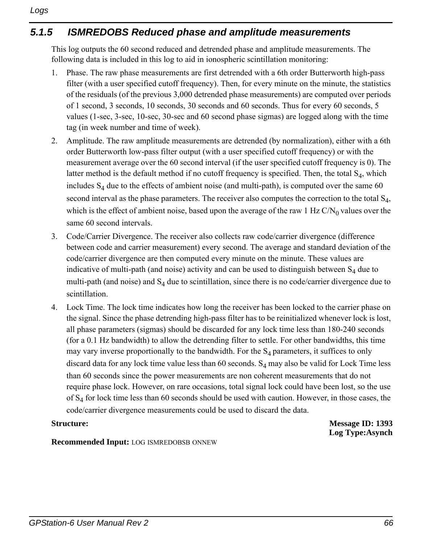# *5.1.5 ISMREDOBS Reduced phase and amplitude measurements*

This log outputs the 60 second reduced and detrended phase and amplitude measurements. The following data is included in this log to aid in ionospheric scintillation monitoring:

- 1. Phase. The raw phase measurements are first detrended with a 6th order Butterworth high-pass filter (with a user specified cutoff frequency). Then, for every minute on the minute, the statistics of the residuals (of the previous 3,000 detrended phase measurements) are computed over periods of 1 second, 3 seconds, 10 seconds, 30 seconds and 60 seconds. Thus for every 60 seconds, 5 values (1-sec, 3-sec, 10-sec, 30-sec and 60 second phase sigmas) are logged along with the time tag (in week number and time of week).
- 2. Amplitude. The raw amplitude measurements are detrended (by normalization), either with a 6th order Butterworth low-pass filter output (with a user specified cutoff frequency) or with the measurement average over the 60 second interval (if the user specified cutoff frequency is 0). The latter method is the default method if no cutoff frequency is specified. Then, the total  $S_4$ , which includes  $S_4$  due to the effects of ambient noise (and multi-path), is computed over the same 60 second interval as the phase parameters. The receiver also computes the correction to the total S<sub>4</sub>, which is the effect of ambient noise, based upon the average of the raw 1 Hz  $C/N_0$  values over the same 60 second intervals.
- 3. Code/Carrier Divergence. The receiver also collects raw code/carrier divergence (difference between code and carrier measurement) every second. The average and standard deviation of the code/carrier divergence are then computed every minute on the minute. These values are indicative of multi-path (and noise) activity and can be used to distinguish between  $S_4$  due to multi-path (and noise) and  $S_4$  due to scintillation, since there is no code/carrier divergence due to scintillation.
- 4. Lock Time. The lock time indicates how long the receiver has been locked to the carrier phase on the signal. Since the phase detrending high-pass filter has to be reinitialized whenever lock is lost, all phase parameters (sigmas) should be discarded for any lock time less than 180-240 seconds (for a 0.1 Hz bandwidth) to allow the detrending filter to settle. For other bandwidths, this time may vary inverse proportionally to the bandwidth. For the  $S_4$  parameters, it suffices to only discard data for any lock time value less than 60 seconds.  $S_4$  may also be valid for Lock Time less than 60 seconds since the power measurements are non coherent measurements that do not require phase lock. However, on rare occasions, total signal lock could have been lost, so the use of  $S_4$  for lock time less than 60 seconds should be used with caution. However, in those cases, the code/carrier divergence measurements could be used to discard the data.

**Structure:** Message ID: 1393 **Log Type:Asynch**

## **Recommended Input:** LOG ISMREDOBSB ONNEW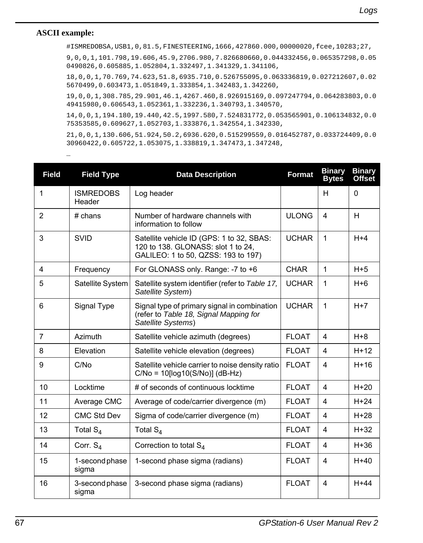## **ASCII example:**

…

#ISMREDOBSA,USB1,0,81.5,FINESTEERING,1666,427860.000,00000020,fcee,10283;27,

9,0,0,1,101.798,19.606,45.9,2706.980,7.826680660,0.044332456,0.065357298,0.05 0490826,0.605885,1.052804,1.332497,1.341329,1.341106,

18,0,0,1,70.769,74.623,51.8,6935.710,0.526755095,0.063336819,0.027212607,0.02 5670499,0.603473,1.051849,1.333854,1.342483,1.342260,

19,0,0,1,308.785,29.901,46.1,4267.460,8.926915169,0.097247794,0.064283803,0.0 49415980,0.606543,1.052361,1.332236,1.340793,1.340570,

14,0,0,1,194.180,19.440,42.5,1997.580,7.524831772,0.053565901,0.106134832,0.0 75353585,0.609627,1.052703,1.333876,1.342554,1.342330,

21,0,0,1,130.606,51.924,50.2,6936.620,0.515299559,0.016452787,0.033724409,0.0 30960422,0.605722,1.053075,1.338819,1.347473,1.347248,

| <b>Field</b>   | <b>Field Type</b>          | <b>Data Description</b>                                                                                                | <b>Format</b> | <b>Binary</b><br><b>Bytes</b> | <b>Binary</b><br><b>Offset</b> |
|----------------|----------------------------|------------------------------------------------------------------------------------------------------------------------|---------------|-------------------------------|--------------------------------|
| 1              | <b>ISMREDOBS</b><br>Header | Log header                                                                                                             |               | H                             | $\mathbf{0}$                   |
| $\overline{2}$ | $#$ chans                  | Number of hardware channels with<br>information to follow                                                              | <b>ULONG</b>  | 4                             | H                              |
| 3              | <b>SVID</b>                | Satellite vehicle ID (GPS: 1 to 32, SBAS:<br>120 to 138. GLONASS: slot 1 to 24,<br>GALILEO: 1 to 50, QZSS: 193 to 197) | <b>UCHAR</b>  | 1                             | $H + 4$                        |
| 4              | Frequency                  | For GLONASS only. Range: -7 to +6                                                                                      | <b>CHAR</b>   | $\mathbf{1}$                  | $H+5$                          |
| 5              | Satellite System           | Satellite system identifier (refer to Table 17,<br>Satellite System)                                                   | <b>UCHAR</b>  | 1                             | $H + 6$                        |
| 6              | Signal Type                | Signal type of primary signal in combination<br>(refer to Table 18, Signal Mapping for<br>Satellite Systems)           | <b>UCHAR</b>  | $\mathbf{1}$                  | $H+7$                          |
| 7              | Azimuth                    | Satellite vehicle azimuth (degrees)                                                                                    | <b>FLOAT</b>  | 4                             | $H + 8$                        |
| 8              | Elevation                  | Satellite vehicle elevation (degrees)                                                                                  | <b>FLOAT</b>  | 4                             | $H+12$                         |
| 9              | C/No                       | Satellite vehicle carrier to noise density ratio<br>$C/No = 10[log10(S/No)]$ (dB-Hz)                                   | <b>FLOAT</b>  | 4                             | $H+16$                         |
| 10             | Locktime                   | # of seconds of continuous locktime                                                                                    | <b>FLOAT</b>  | 4                             | $H+20$                         |
| 11             | Average CMC                | Average of code/carrier divergence (m)                                                                                 | <b>FLOAT</b>  | 4                             | $H+24$                         |
| 12             | CMC Std Dev                | Sigma of code/carrier divergence (m)                                                                                   | <b>FLOAT</b>  | 4                             | $H+28$                         |
| 13             | Total $S_4$                | Total $S_4$                                                                                                            | <b>FLOAT</b>  | 4                             | $H+32$                         |
| 14             | Corr. $S_4$                | Correction to total S <sub>4</sub>                                                                                     | <b>FLOAT</b>  | 4                             | $H+36$                         |
| 15             | 1-second phase<br>sigma    | 1-second phase sigma (radians)                                                                                         | <b>FLOAT</b>  | 4                             | $H+40$                         |
| 16             | 3-second phase<br>sigma    | 3-second phase sigma (radians)                                                                                         | <b>FLOAT</b>  | 4                             | $H+44$                         |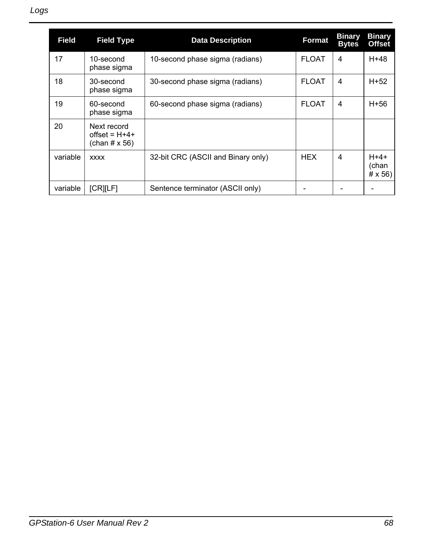| Field    | <b>Field Type</b>                                       | <b>Data Description</b>            | <b>Format</b> | Binary<br><b>Bytes</b> | <b>Binary</b><br><b>Offset</b>   |
|----------|---------------------------------------------------------|------------------------------------|---------------|------------------------|----------------------------------|
| 17       | 10-second<br>phase sigma                                | 10-second phase sigma (radians)    | <b>FLOAT</b>  | 4                      | H+48                             |
| 18       | 30-second<br>phase sigma                                | 30-second phase sigma (radians)    | <b>FLOAT</b>  | 4                      | H+52                             |
| 19       | 60-second<br>phase sigma                                | 60-second phase sigma (radians)    | <b>FLOAT</b>  | 4                      | H+56                             |
| 20       | Next record<br>offset = $H+4+$<br>(chan $# \times 56$ ) |                                    |               |                        |                                  |
| variable | <b>XXXX</b>                                             | 32-bit CRC (ASCII and Binary only) | <b>HFX</b>    | 4                      | $H+4+$<br>(chan<br>$# \times 56$ |
| variable | <b>[CR][LF]</b>                                         | Sentence terminator (ASCII only)   |               |                        |                                  |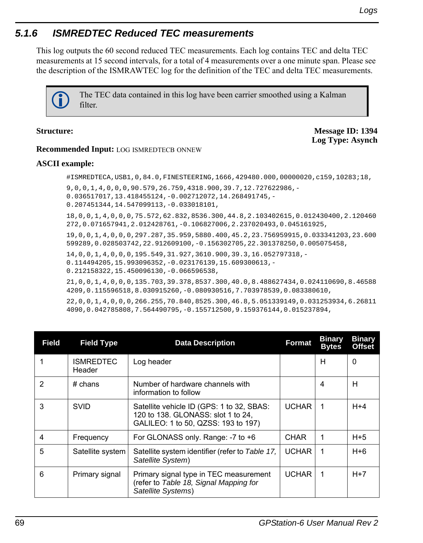# *5.1.6 ISMREDTEC Reduced TEC measurements*

This log outputs the 60 second reduced TEC measurements. Each log contains TEC and delta TEC measurements at 15 second intervals, for a total of 4 measurements over a one minute span. Please see the description of the ISMRAWTEC log for the definition of the TEC and delta TEC measurements.

> The TEC data contained in this log have been carrier smoothed using a Kalman filter.

**Structure: Message ID: 1394 Log Type: Asynch**

### **Recommended Input:** LOG ISMREDTECB ONNEW

### **ASCII example:**

#ISMREDTECA,USB1,0,84.0,FINESTEERING,1666,429480.000,00000020,c159,10283;18,

9,0,0,1,4,0,0,0,90.579,26.759,4318.900,39.7,12.727622986,- 0.036517017,13.418455124,-0.002712072,14.268491745,-

0.207451344,14.547099113,-0.033018101,

18,0,0,1,4,0,0,0,75.572,62.832,8536.300,44.8,2.103402615,0.012430400,2.120460 272,0.071657941,2.012428761,-0.106827006,2.237020493,0.045161925,

19,0,0,1,4,0,0,0,297.287,35.959,5880.400,45.2,23.756959915,0.033341203,23.600 599289,0.028503742,22.912609100,-0.156302705,22.301378250,0.005075458,

14,0,0,1,4,0,0,0,195.549,31.927,3610.900,39.3,16.052797318,- 0.114494205,15.993096352,-0.023176139,15.609300613,- 0.212158322,15.450096130,-0.066596538,

21,0,0,1,4,0,0,0,135.703,39.378,8537.300,40.0,8.488627434,0.024110690,8.46588 4209,0.115596518,8.030915260,-0.080930516,7.703978539,0.083380610,

22,0,0,1,4,0,0,0,266.255,70.840,8525.300,46.8,5.051339149,0.031253934,6.26811 4090,0.042785808,7.564490795,-0.155712500,9.159376144,0.015237894,

| Field | <b>Field Type</b>          | <b>Data Description</b>                                                                                                | <b>Format</b> | <b>Binary</b><br><b>Bytes</b> | <b>Binary</b><br><b>Offset</b> |
|-------|----------------------------|------------------------------------------------------------------------------------------------------------------------|---------------|-------------------------------|--------------------------------|
|       | <b>ISMREDTEC</b><br>Header | Log header                                                                                                             |               | Н                             | 0                              |
| 2     | $#$ chans                  | Number of hardware channels with<br>information to follow                                                              |               | 4                             | н                              |
| 3     | <b>SVID</b>                | Satellite vehicle ID (GPS: 1 to 32, SBAS:<br>120 to 138. GLONASS: slot 1 to 24,<br>GALILEO: 1 to 50, QZSS: 193 to 197) | <b>UCHAR</b>  | -1                            | $H + 4$                        |
| 4     | Frequency                  | For GLONASS only. Range: -7 to +6                                                                                      | <b>CHAR</b>   | 1                             | $H + 5$                        |
| 5     | Satellite system           | Satellite system identifier (refer to Table 17,<br>Satellite System)                                                   | <b>UCHAR</b>  | $\mathbf 1$                   | $H + 6$                        |
| 6     | Primary signal             | Primary signal type in TEC measurement<br>(refer to Table 18, Signal Mapping for<br>Satellite Systems)                 | <b>UCHAR</b>  | $\mathbf 1$                   | $H+7$                          |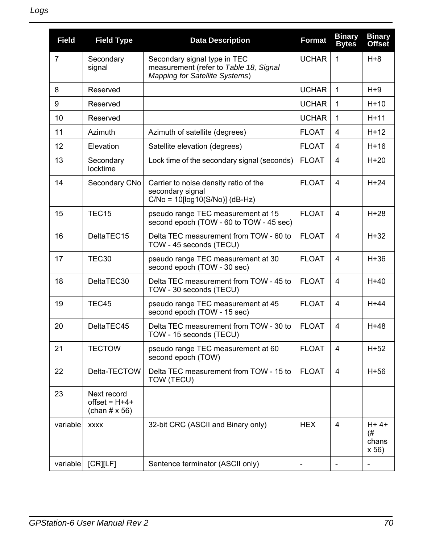| <b>Field</b> | <b>Field Type</b>                                       | <b>Data Description</b>                                                                                  | <b>Format</b>     | <b>Binary</b><br><b>Bytes</b> | <b>Binary</b><br><b>Offset</b>  |
|--------------|---------------------------------------------------------|----------------------------------------------------------------------------------------------------------|-------------------|-------------------------------|---------------------------------|
| 7            | Secondary<br>signal                                     | Secondary signal type in TEC<br>measurement (refer to Table 18, Signal<br>Mapping for Satellite Systems) | <b>UCHAR</b>      | $\mathbf{1}$                  | $H + 8$                         |
| 8            | Reserved                                                |                                                                                                          | <b>UCHAR</b>      | $\mathbf{1}$                  | $H+9$                           |
| 9            | Reserved                                                |                                                                                                          | <b>UCHAR</b>      | $\mathbf{1}$                  | $H+10$                          |
| 10           | Reserved                                                |                                                                                                          | <b>UCHAR</b>      | $\mathbf{1}$                  | $H+11$                          |
| 11           | Azimuth                                                 | Azimuth of satellite (degrees)                                                                           | <b>FLOAT</b>      | 4                             | $H+12$                          |
| 12           | Elevation                                               | Satellite elevation (degrees)                                                                            | <b>FLOAT</b>      | 4                             | $H+16$                          |
| 13           | Secondary<br>locktime                                   | Lock time of the secondary signal (seconds)                                                              | <b>FLOAT</b>      | 4                             | $H+20$                          |
| 14           | Secondary CNo                                           | Carrier to noise density ratio of the<br>secondary signal<br>$C/No = 10[log10(S/No)] (dB-Hz)$            | <b>FLOAT</b>      | $\overline{\mathbf{4}}$       | $H+24$                          |
| 15           | TEC <sub>15</sub>                                       | pseudo range TEC measurement at 15<br>second epoch (TOW - 60 to TOW - 45 sec)                            | <b>FLOAT</b>      | 4                             | $H+28$                          |
| 16           | DeltaTEC15                                              | Delta TEC measurement from TOW - 60 to<br>TOW - 45 seconds (TECU)                                        | <b>FLOAT</b>      | 4                             | $H+32$                          |
| 17           | TEC <sub>30</sub>                                       | pseudo range TEC measurement at 30<br>second epoch (TOW - 30 sec)                                        | <b>FLOAT</b>      | 4                             | $H+36$                          |
| 18           | DeltaTEC30                                              | Delta TEC measurement from TOW - 45 to<br>TOW - 30 seconds (TECU)                                        | <b>FLOAT</b>      | 4                             | $H+40$                          |
| 19           | TEC45                                                   | pseudo range TEC measurement at 45<br>second epoch (TOW - 15 sec)                                        | <b>FLOAT</b>      | 4                             | $H+44$                          |
| 20           | DeltaTEC45                                              | Delta TEC measurement from TOW - 30 to<br>TOW - 15 seconds (TECU)                                        | <b>FLOAT</b>      | 4                             | H+48                            |
| 21           | <b>TECTOW</b>                                           | pseudo range TEC measurement at 60<br>second epoch (TOW)                                                 | <b>FLOAT</b>      | 4                             | $H+52$                          |
| 22           | Delta-TECTOW                                            | Delta TEC measurement from TOW - 15 to<br>TOW (TECU)                                                     | <b>FLOAT</b>      | 4                             | $H+56$                          |
| 23           | Next record<br>$offset = H+4+$<br>(chan $# \times 56$ ) |                                                                                                          |                   |                               |                                 |
| variable     | <b>XXXX</b>                                             | 32-bit CRC (ASCII and Binary only)                                                                       | <b>HEX</b>        | $\overline{4}$                | $H + 4+$<br>(#<br>chans<br>x 56 |
| variable     | [CR][LF]                                                | Sentence terminator (ASCII only)                                                                         | $\qquad \qquad -$ | $\qquad \qquad \blacksquare$  |                                 |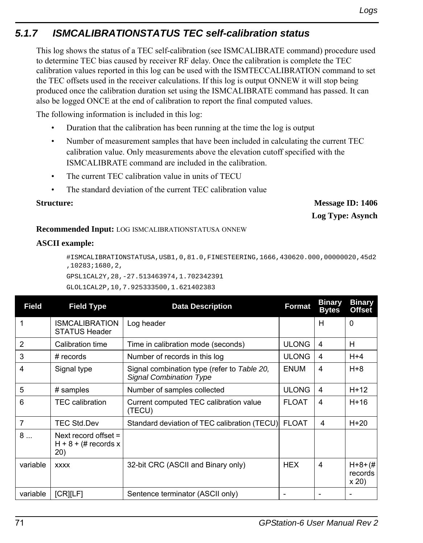# *5.1.7 ISMCALIBRATIONSTATUS TEC self-calibration status*

This log shows the status of a TEC self-calibration (see ISMCALIBRATE command) procedure used to determine TEC bias caused by receiver RF delay. Once the calibration is complete the TEC calibration values reported in this log can be used with the ISMTECCALIBRATION command to set the TEC offsets used in the receiver calculations. If this log is output ONNEW it will stop being produced once the calibration duration set using the ISMCALIBRATE command has passed. It can also be logged ONCE at the end of calibration to report the final computed values.

The following information is included in this log:

- Duration that the calibration has been running at the time the log is output
- Number of measurement samples that have been included in calculating the current TEC calibration value. Only measurements above the elevation cutoff specified with the ISMCALIBRATE command are included in the calibration.
- The current TEC calibration value in units of TECU
- The standard deviation of the current TEC calibration value

**Structure:** Message ID: 1406 **Log Type: Asynch**

## **Recommended Input:** LOG ISMCALIBRATIONSTATUSA ONNEW

## **ASCII example:**

#ISMCALIBRATIONSTATUSA,USB1,0,81.0,FINESTEERING,1666,430620.000,00000020,45d2 ,10283;1680,2,

```
GPSL1CAL2Y,28,-27.513463974,1.702342391
```

```
GLOL1CAL2P,10,7.925333500,1.621402383
```

| <b>Field</b>   | <b>Field Type</b>                                        | <b>Data Description</b>                                                       | Format       | <b>Binary</b><br><b>Bytes</b> | <b>Binary</b><br><b>Offset</b>   |
|----------------|----------------------------------------------------------|-------------------------------------------------------------------------------|--------------|-------------------------------|----------------------------------|
|                | <b>ISMCALIBRATION</b><br><b>STATUS Header</b>            | Log header                                                                    |              | н                             | 0                                |
| $\overline{2}$ | Calibration time                                         | Time in calibration mode (seconds)                                            | <b>ULONG</b> | 4                             | H                                |
| 3              | $#$ records                                              | Number of records in this log                                                 | <b>ULONG</b> | 4                             | $H + 4$                          |
| 4              | Signal type                                              | Signal combination type (refer to Table 20,<br><b>Signal Combination Type</b> | <b>ENUM</b>  | 4                             | $H + 8$                          |
| 5              | # samples                                                | Number of samples collected                                                   | <b>ULONG</b> | 4                             | $H+12$                           |
| 6              | <b>TEC</b> calibration                                   | Current computed TEC calibration value<br>(TECU)                              | <b>FLOAT</b> | 4                             | H+16                             |
| 7              | <b>TEC Std.Dev</b>                                       | Standard deviation of TEC calibration (TECU)                                  | <b>FLOAT</b> | 4                             | $H+20$                           |
| 8              | Next record offset $=$<br>$H + 8 + (\#$ records x<br>20) |                                                                               |              |                               |                                  |
| variable       | <b>XXXX</b>                                              | 32-bit CRC (ASCII and Binary only)                                            | <b>HEX</b>   | 4                             | $H + 8 + (#$<br>records<br>x 20) |
| variable       | <b>ICRILET</b>                                           | Sentence terminator (ASCII only)                                              |              |                               |                                  |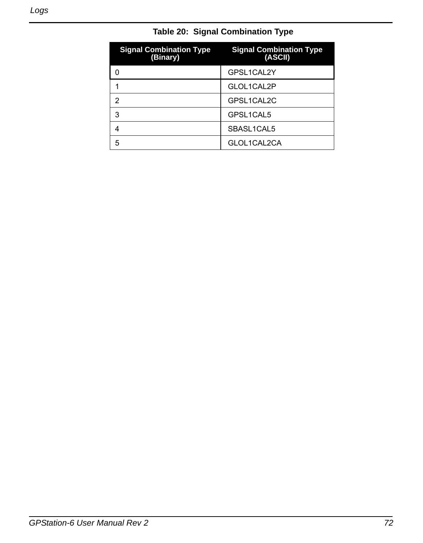<span id="page-71-0"></span>

| <b>Signal Combination Type</b><br>(Binary) | <b>Signal Combination Type</b><br>(ASCII) |
|--------------------------------------------|-------------------------------------------|
|                                            | GPSL1CAL2Y                                |
|                                            | GLOL1CAL2P                                |
| 2                                          | GPSL1CAL2C                                |
| 3                                          | GPSL1CAL5                                 |
| 4                                          | SBASL1CAL5                                |
| 5                                          | GLOL1CAL2CA                               |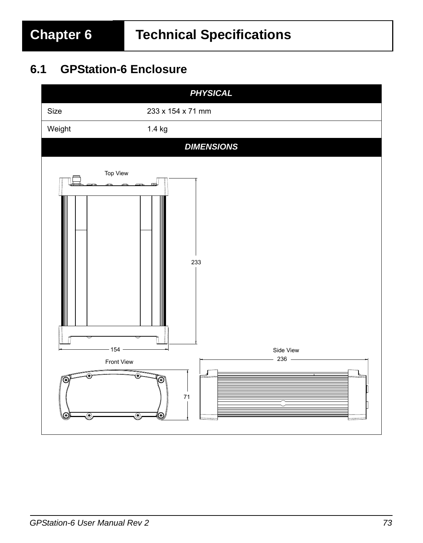# <span id="page-72-0"></span>**6.1 GPStation-6 Enclosure**

<span id="page-72-1"></span>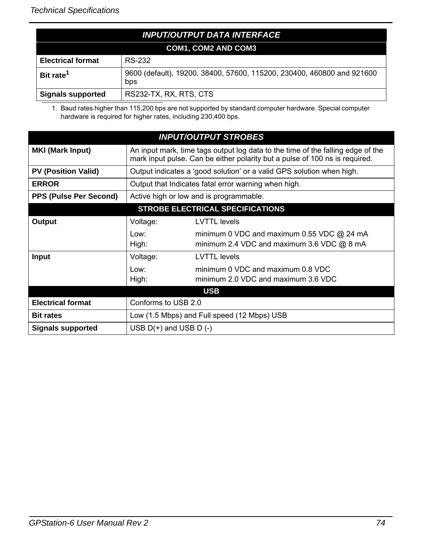<span id="page-73-1"></span>

| <b>INPUT/OUTPUT DATA INTERFACE</b> |                                                                               |  |
|------------------------------------|-------------------------------------------------------------------------------|--|
|                                    | <b>COM1, COM2 AND COM3</b>                                                    |  |
| <b>Electrical format</b>           | RS-232                                                                        |  |
| Bit rate <sup>1</sup>              | 9600 (default), 19200, 38400, 57600, 115200, 230400, 460800 and 921600<br>bps |  |
| <b>Signals supported</b>           | RS232-TX, RX, RTS, CTS                                                        |  |

<span id="page-73-3"></span><span id="page-73-2"></span><span id="page-73-0"></span>1. Baud rates higher than 115,200 bps are not supported by standard computer hardware. Special computer hardware is required for higher rates, including 230,400 bps.

<span id="page-73-4"></span>

|                                         |                           | <b>INPUT/OUTPUT STROBES</b>                                                                                                                                    |  |
|-----------------------------------------|---------------------------|----------------------------------------------------------------------------------------------------------------------------------------------------------------|--|
| <b>MKI (Mark Input)</b>                 |                           | An input mark, time tags output log data to the time of the falling edge of the<br>mark input pulse. Can be either polarity but a pulse of 100 ns is required. |  |
| <b>PV (Position Valid)</b>              |                           | Output indicates a 'good solution' or a valid GPS solution when high.                                                                                          |  |
| <b>ERROR</b>                            |                           | Output that Indicates fatal error warning when high.                                                                                                           |  |
| <b>PPS (Pulse Per Second)</b>           |                           | Active high or low and is programmable.                                                                                                                        |  |
| <b>STROBE ELECTRICAL SPECIFICATIONS</b> |                           |                                                                                                                                                                |  |
| Output                                  | Voltage:                  | <b>LVTTL</b> levels                                                                                                                                            |  |
|                                         | Low:<br>High:             | minimum 0 VDC and maximum $0.55$ VDC $\omega$ 24 mA<br>minimum 2.4 VDC and maximum 3.6 VDC $@$ 8 mA                                                            |  |
| <b>Input</b>                            | Voltage:                  | <b>LVTTL</b> levels                                                                                                                                            |  |
|                                         | l ow:<br>High:            | minimum 0 VDC and maximum 0.8 VDC<br>minimum 2.0 VDC and maximum 3.6 VDC                                                                                       |  |
|                                         |                           | <b>USB</b>                                                                                                                                                     |  |
| <b>Electrical format</b>                | Conforms to USB 2.0       |                                                                                                                                                                |  |
| <b>Bit rates</b>                        |                           | Low (1.5 Mbps) and Full speed (12 Mbps) USB                                                                                                                    |  |
| Signals supported                       | USB $D(+)$ and USB $D(-)$ |                                                                                                                                                                |  |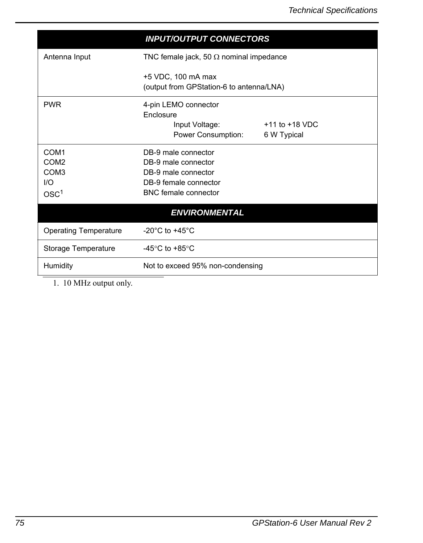<span id="page-74-3"></span><span id="page-74-2"></span><span id="page-74-1"></span><span id="page-74-0"></span>

|                              | <b>INPUT/OUTPUT CONNECTORS</b>                                 |                                   |
|------------------------------|----------------------------------------------------------------|-----------------------------------|
| Antenna Input                | TNC female jack, 50 $\Omega$ nominal impedance                 |                                   |
|                              | +5 VDC, 100 mA max<br>(output from GPStation-6 to antenna/LNA) |                                   |
| <b>PWR</b>                   | 4-pin LEMO connector                                           |                                   |
|                              | <b>Fnclosure</b><br>Input Voltage:<br>Power Consumption:       | $+11$ to $+18$ VDC<br>6 W Typical |
| COM <sub>1</sub>             | DB-9 male connector                                            |                                   |
| COM <sub>2</sub>             | DB-9 male connector                                            |                                   |
| COM <sub>3</sub>             | DB-9 male connector                                            |                                   |
| 1/O                          | DB-9 female connector                                          |                                   |
| OSC <sup>1</sup>             | <b>BNC</b> female connector                                    |                                   |
|                              | <b>ENVIRONMENTAL</b>                                           |                                   |
| <b>Operating Temperature</b> | -20 $^{\circ}$ C to +45 $^{\circ}$ C                           |                                   |
| Storage Temperature          | -45 $\degree$ C to +85 $\degree$ C                             |                                   |
| Humidity                     | Not to exceed 95% non-condensing                               |                                   |

1. 10 MHz output only.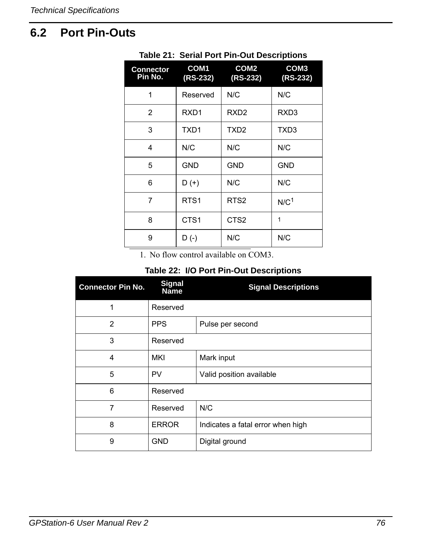# **6.2 Port Pin-Outs**

| <b>Connector</b><br>Pin No. | COM <sub>1</sub><br>$(RS-232)$ | COM <sub>2</sub><br>$(RS-232)$ | COM <sub>3</sub><br>$(RS-232)$ |
|-----------------------------|--------------------------------|--------------------------------|--------------------------------|
| 1                           | Reserved                       | N/C                            | N/C                            |
| 2                           | RXD <sub>1</sub>               | RXD <sub>2</sub>               | RXD <sub>3</sub>               |
| 3                           | TXD1                           | TXD <sub>2</sub>               | TXD3                           |
| 4                           | N/C                            | N/C                            | N/C                            |
| 5                           | <b>GND</b>                     | <b>GND</b>                     | <b>GND</b>                     |
| 6                           | $D (+)$                        | N/C                            | N/C                            |
| 7                           | RTS <sub>1</sub>               | RTS <sub>2</sub>               | N/C <sup>1</sup>               |
| 8                           | CTS <sub>1</sub>               | CTS <sub>2</sub>               | 1                              |
| 9                           | $D(-)$                         | N/C                            | N/C                            |

#### **Table 21: Serial Port Pin-Out Descriptions**

1. No flow control available on COM3.

### <span id="page-75-1"></span><span id="page-75-0"></span> **Table 22: I/O Port Pin-Out Descriptions**

| <b>Connector Pin No.</b> | <b>Signal</b><br><b>Name</b> | <b>Signal Descriptions</b>        |
|--------------------------|------------------------------|-----------------------------------|
| 1                        | Reserved                     |                                   |
| $\overline{2}$           | <b>PPS</b>                   | Pulse per second                  |
| 3                        | Reserved                     |                                   |
| 4                        | <b>MKI</b>                   | Mark input                        |
| 5                        | PV                           | Valid position available          |
| 6                        | Reserved                     |                                   |
| 7                        | Reserved                     | N/C                               |
| 8                        | <b>ERROR</b>                 | Indicates a fatal error when high |
| 9                        | <b>GND</b>                   | Digital ground                    |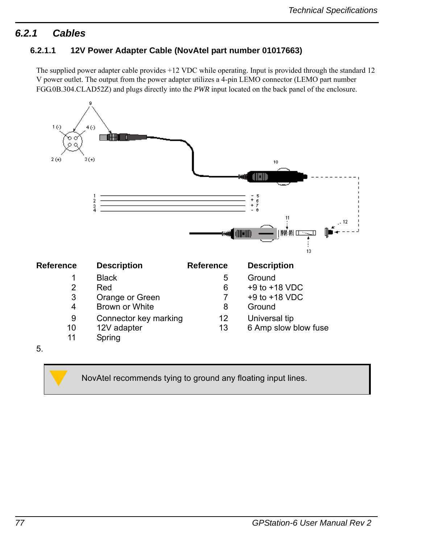# *6.2.1 Cables*

### **6.2.1.1 12V Power Adapter Cable (NovAtel part number 01017663)**

<span id="page-76-1"></span><span id="page-76-0"></span>The supplied power adapter cable provides +12 VDC while operating. Input is provided through the standard 12 V power outlet. The output from the power adapter utilizes a 4-pin LEMO connector (LEMO part number FGG.0B.304.CLAD52Z) and plugs directly into the *PWR* input located on the back panel of the enclosure.



NovAtel recommends tying to ground any floating input lines.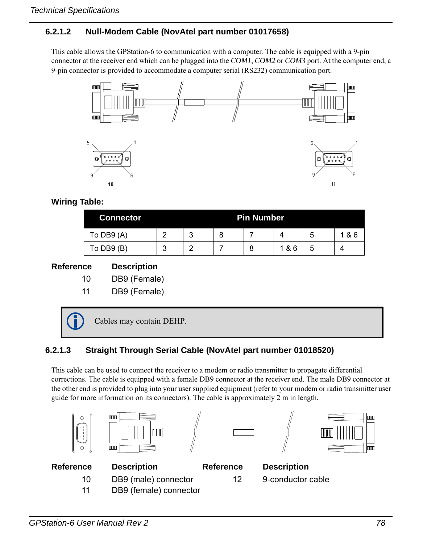### **6.2.1.2 Null-Modem Cable (NovAtel part number 01017658)**

This cable allows the GPStation-6 to communication with a computer. The cable is equipped with a 9-pin connector at the receiver end which can be plugged into the *COM1*, *COM2* or *COM3* port. At the computer end, a 9-pin connector is provided to accommodate a computer serial (RS232) communication port.

<span id="page-77-0"></span>

#### **Wiring Table:**

| <b>Connector</b> |   |        |   | <b>Pin Number</b> |     |   |     |
|------------------|---|--------|---|-------------------|-----|---|-----|
| To DB9 (A)       |   | າ<br>u | 8 |                   | Δ   | b | 1&6 |
| To DB9 (B)       | ◠ | ⌒      |   | 8                 | 1&6 | 5 |     |

#### **Reference Description**

- 10 DB9 (Female)
- 11 DB9 (Female)

Cables may contain DEHP.

## **6.2.1.3 Straight Through Serial Cable (NovAtel part number 01018520)**

This cable can be used to connect the receiver to a modem or radio transmitter to propagate differential corrections. The cable is equipped with a female DB9 connector at the receiver end. The male DB9 connector at the other end is provided to plug into your user supplied equipment (refer to your modem or radio transmitter user guide for more information on its connectors). The cable is approximately 2 m in length.

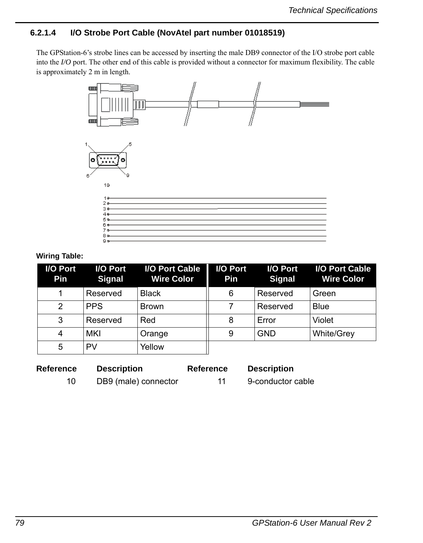### **6.2.1.4 I/O Strobe Port Cable (NovAtel part number 01018519)**

The GPStation-6's strobe lines can be accessed by inserting the male DB9 connector of the I/O strobe port cable into the *I/O* port. The other end of this cable is provided without a connector for maximum flexibility. The cable is approximately 2 m in length.



#### **Wiring Table:**

| I/O Port<br>Pin | I/O Port<br><b>Signal</b> | I/O Port Cable<br><b>Wire Color</b> | I/O Port<br><b>Pin</b> | I/O Port<br><b>Signal</b> | I/O Port Cable<br><b>Wire Color</b> |
|-----------------|---------------------------|-------------------------------------|------------------------|---------------------------|-------------------------------------|
|                 | Reserved                  | <b>Black</b>                        | 6                      | Reserved                  | Green                               |
|                 | <b>PPS</b>                | <b>Brown</b>                        |                        | Reserved                  | <b>Blue</b>                         |
| 3               | Reserved                  | Red                                 | 8                      | Error                     | Violet                              |
|                 | MKI                       | Orange                              | 9                      | <b>GND</b>                | <b>White/Grey</b>                   |
| 5               | PV                        | Yellow                              |                        |                           |                                     |

| Reference | <b>Description</b>   | <b>Reference</b> | <b>Description</b> |
|-----------|----------------------|------------------|--------------------|
|           | DB9 (male) connector |                  | 9-conductor cable  |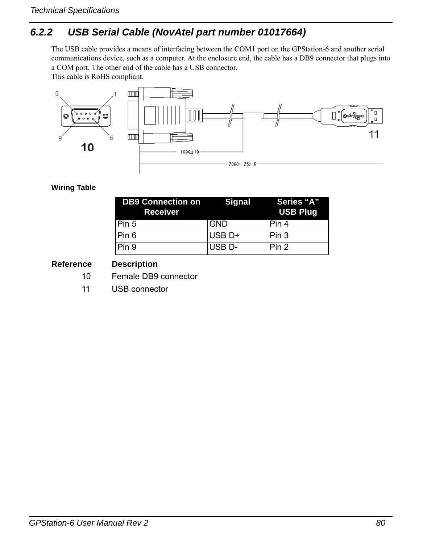# *6.2.2 USB Serial Cable (NovAtel part number 01017664)*

<span id="page-79-1"></span><span id="page-79-0"></span>The USB cable provides a means of interfacing between the COM1 port on the GPStation-6 and another serial communications device, such as a computer. At the enclosure end, the cable has a DB9 connector that plugs into a COM port. The other end of the cable has a USB connector.

This cable is RoHS compliant.



#### **Wiring Table**

<span id="page-79-2"></span>

| <b>DB9 Connection on Signal</b><br><b>Receiver</b> |                    | Series "A"<br><b>USB Plug</b> |
|----------------------------------------------------|--------------------|-------------------------------|
| Pin 5                                              | <b>GND</b>         | IPin 4                        |
| Pin 6                                              | USB <sub>D+</sub>  | Pin 3                         |
| Pin 9                                              | USB <sub>D</sub> - | Pin <sub>2</sub>              |

#### **Reference Description**

- 10 Female DB9 connector
- 11 USB connector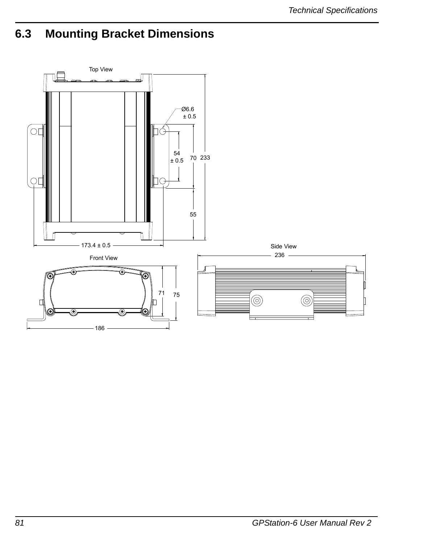# **6.3 Mounting Bracket Dimensions**

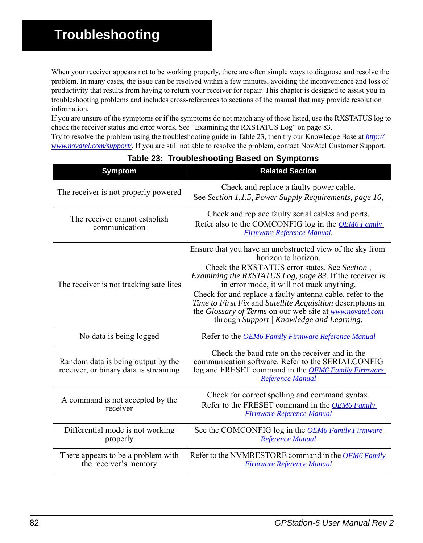When your receiver appears not to be working properly, there are often simple ways to diagnose and resolve the problem. In many cases, the issue can be resolved within a few minutes, avoiding the inconvenience and loss of productivity that results from having to return your receiver for repair. This chapter is designed to assist you in troubleshooting problems and includes cross-references to sections of the manual that may provide resolution information.

If you are unsure of the symptoms or if the symptoms do not match any of those listed, use the RXSTATUS log to check the receiver status and error words. See ["Examining the RXSTATUS Log" on page 83](#page-82-0).

Try to resolve the problem using the troubleshooting guide in [Table 23](#page-81-0), then try our Knowledge Base at *[http://](www.novatel.com/support/) <www.novatel.com/support/>*. If you are still not able to resolve the problem, contact NovAtel Customer Support.

<span id="page-81-0"></span>

| <b>Symptom</b>                                                              | <b>Related Section</b>                                                                                                                                                                                                                                                                                                                                                                                                                                                                  |
|-----------------------------------------------------------------------------|-----------------------------------------------------------------------------------------------------------------------------------------------------------------------------------------------------------------------------------------------------------------------------------------------------------------------------------------------------------------------------------------------------------------------------------------------------------------------------------------|
| The receiver is not properly powered                                        | Check and replace a faulty power cable.<br>See Section 1.1.5, Power Supply Requirements, page 16,                                                                                                                                                                                                                                                                                                                                                                                       |
| The receiver cannot establish<br>communication                              | Check and replace faulty serial cables and ports.<br>Refer also to the COMCONFIG log in the <b>OEM6</b> Family<br>Firmware Reference Manual.                                                                                                                                                                                                                                                                                                                                            |
| The receiver is not tracking satellites                                     | Ensure that you have an unobstructed view of the sky from<br>horizon to horizon.<br>Check the RXSTATUS error states. See Section,<br>Examining the RXSTATUS Log, page 83. If the receiver is<br>in error mode, it will not track anything.<br>Check for and replace a faulty antenna cable. refer to the<br>Time to First Fix and Satellite Acquisition descriptions in<br>the Glossary of Terms on our web site at <u>www.novatel.com</u><br>through Support   Knowledge and Learning. |
| No data is being logged                                                     | Refer to the <b>OEM6</b> Family Firmware Reference Manual                                                                                                                                                                                                                                                                                                                                                                                                                               |
| Random data is being output by the<br>receiver, or binary data is streaming | Check the baud rate on the receiver and in the<br>communication software. Refer to the SERIALCONFIG<br>log and FRESET command in the <b>OEM6 Family Firmware</b><br><b>Reference Manual</b>                                                                                                                                                                                                                                                                                             |
| A command is not accepted by the<br>receiver                                | Check for correct spelling and command syntax.<br>Refer to the FRESET command in the <i>OEM6 Family</i><br><b>Firmware Reference Manual</b>                                                                                                                                                                                                                                                                                                                                             |
| Differential mode is not working<br>properly                                | See the COMCONFIG log in the <b>OEM6</b> Family Firmware<br><b>Reference Manual</b>                                                                                                                                                                                                                                                                                                                                                                                                     |
| There appears to be a problem with<br>the receiver's memory                 | Refer to the NVMRESTORE command in the <i>OEM6 Family</i><br><b>Firmware Reference Manual</b>                                                                                                                                                                                                                                                                                                                                                                                           |

#### **Table 23: Troubleshooting Based on Symptoms**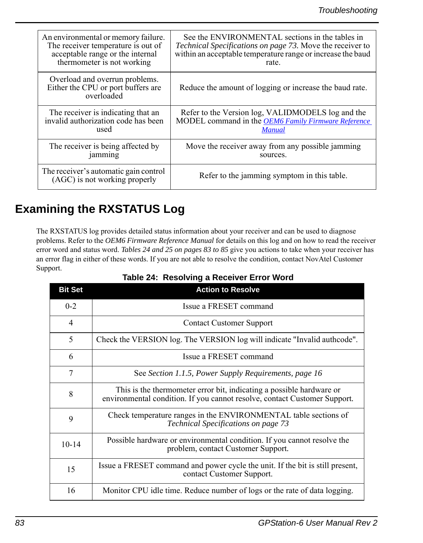| An environmental or memory failure.                                                | See the ENVIRONMENTAL sections in the tables in                  |
|------------------------------------------------------------------------------------|------------------------------------------------------------------|
| The receiver temperature is out of                                                 | <i>Technical Specifications on page 73.</i> Move the receiver to |
| acceptable range or the internal                                                   | within an acceptable temperature range or increase the baud      |
| thermometer is not working                                                         | rate.                                                            |
| Overload and overrun problems.<br>Either the CPU or port buffers are<br>overloaded | Reduce the amount of logging or increase the baud rate.          |
| The receiver is indicating that an                                                 | Refer to the Version log, VALIDMODELS log and the                |
| invalid authorization code has been                                                | MODEL command in the <b>OEM6 Family Firmware Reference</b>       |
| used                                                                               | <b>Manual</b>                                                    |
| The receiver is being affected by                                                  | Move the receiver away from any possible jamming                 |
| jamming                                                                            | sources.                                                         |
| The receiver's automatic gain control<br>(AGC) is not working properly             | Refer to the jamming symptom in this table.                      |

# <span id="page-82-0"></span>**Examining the RXSTATUS Log**

The RXSTATUS log provides detailed status information about your receiver and can be used to diagnose problems. Refer to the *OEM6 Firmware Reference Manual* for details on this log and on how to read the receiver error word and status word. *Tables [24](#page-82-1) and [25](#page-83-0) on pages [83](#page-82-1) to [85](#page-84-0)* give you actions to take when your receiver has an error flag in either of these words. If you are not able to resolve the condition, contact NovAtel Customer Support.

<span id="page-82-1"></span>

| <b>Bit Set</b> | <b>Action to Resolve</b>                                                                                                                          |
|----------------|---------------------------------------------------------------------------------------------------------------------------------------------------|
| $0 - 2$        | Issue a FRESET command                                                                                                                            |
| $\overline{4}$ | <b>Contact Customer Support</b>                                                                                                                   |
| 5              | Check the VERSION log. The VERSION log will indicate "Invalid authcode".                                                                          |
| 6              | Issue a FRESET command                                                                                                                            |
| 7              | See Section 1.1.5, Power Supply Requirements, page 16                                                                                             |
| 8              | This is the thermometer error bit, indicating a possible hardware or<br>environmental condition. If you cannot resolve, contact Customer Support. |
| 9              | Check temperature ranges in the ENVIRONMENTAL table sections of<br><b>Technical Specifications on page 73</b>                                     |
| $10 - 14$      | Possible hardware or environmental condition. If you cannot resolve the<br>problem, contact Customer Support.                                     |
| 15             | Issue a FRESET command and power cycle the unit. If the bit is still present,<br>contact Customer Support.                                        |
| 16             | Monitor CPU idle time. Reduce number of logs or the rate of data logging.                                                                         |

 **Table 24: Resolving a Receiver Error Word**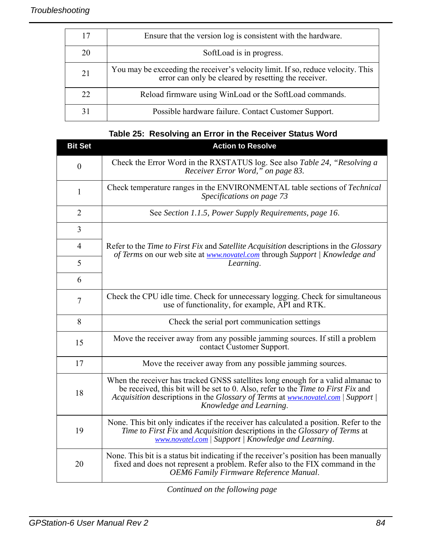|    | Ensure that the version log is consistent with the hardware.                                                                             |
|----|------------------------------------------------------------------------------------------------------------------------------------------|
| 20 | SoftLoad is in progress.                                                                                                                 |
| 21 | You may be exceeding the receiver's velocity limit. If so, reduce velocity. This<br>error can only be cleared by resetting the receiver. |
| 22 | Reload firmware using WinLoad or the SoftLoad commands.                                                                                  |
|    | Possible hardware failure. Contact Customer Support.                                                                                     |

<span id="page-83-0"></span>

| <b>Bit Set</b> | <b>Action to Resolve</b>                                                                                                                                                                                                                                                                   |
|----------------|--------------------------------------------------------------------------------------------------------------------------------------------------------------------------------------------------------------------------------------------------------------------------------------------|
| $\mathbf{0}$   | Check the Error Word in the RXSTATUS log. See also Table 24, "Resolving a<br>Receiver Error Word," on page 83.                                                                                                                                                                             |
| $\mathbf{1}$   | Check temperature ranges in the ENVIRONMENTAL table sections of Technical<br>Specifications on page 73                                                                                                                                                                                     |
| $\overline{2}$ | See Section 1.1.5, Power Supply Requirements, page 16.                                                                                                                                                                                                                                     |
| 3              | Refer to the <i>Time to First Fix</i> and <i>Satellite Acquisition</i> descriptions in the <i>Glossary</i><br>of Terms on our web site at <b>www.novatel.com</b> through Support   Knowledge and<br>Learning.                                                                              |
| $\overline{4}$ |                                                                                                                                                                                                                                                                                            |
| 5              |                                                                                                                                                                                                                                                                                            |
| 6              |                                                                                                                                                                                                                                                                                            |
| $\tau$         | Check the CPU idle time. Check for unnecessary logging. Check for simultaneous<br>use of functionality, for example, API and RTK.                                                                                                                                                          |
| 8              | Check the serial port communication settings                                                                                                                                                                                                                                               |
| 15             | Move the receiver away from any possible jamming sources. If still a problem<br>contact Customer Support.                                                                                                                                                                                  |
| 17             | Move the receiver away from any possible jamming sources.                                                                                                                                                                                                                                  |
| 18             | When the receiver has tracked GNSS satellites long enough for a valid almanac to<br>be received, this bit will be set to 0. Also, refer to the <i>Time to First Fix</i> and<br>Acquisition descriptions in the Glossary of Terms at www.novatel.com   Support  <br>Knowledge and Learning. |
| 19             | None. This bit only indicates if the receiver has calculated a position. Refer to the<br>Time to First Fix and Acquisition descriptions in the Glossary of Terms at<br>www.novatel.com   Support   Knowledge and Learning.                                                                 |
| 20             | None. This bit is a status bit indicating if the receiver's position has been manually<br>fixed and does not represent a problem. Refer also to the FIX command in the<br><b>OEM6</b> Family Firmware Reference Manual.                                                                    |

# **Table 25: Resolving an Error in the Receiver Status Word**

*Continued on the following page*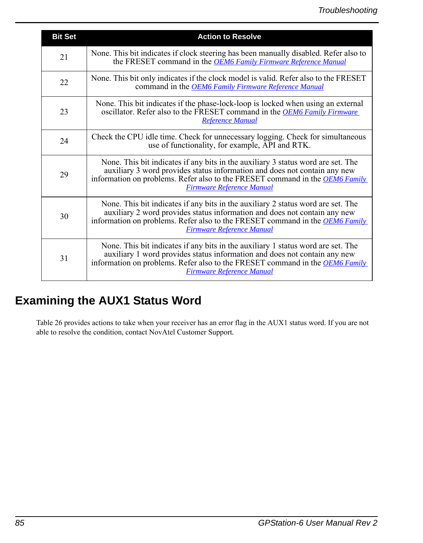| <b>Bit Set</b> | <b>Action to Resolve</b>                                                                                                                                                                                                                                                                 |
|----------------|------------------------------------------------------------------------------------------------------------------------------------------------------------------------------------------------------------------------------------------------------------------------------------------|
| 21             | None. This bit indicates if clock steering has been manually disabled. Refer also to<br>the FRESET command in the <b>OEM6</b> Family Firmware Reference Manual                                                                                                                           |
| 22             | None. This bit only indicates if the clock model is valid. Refer also to the FRESET<br>command in the <b>OEM6</b> Family Firmware Reference Manual                                                                                                                                       |
| 23             | None. This bit indicates if the phase-lock-loop is locked when using an external<br>oscillator. Refer also to the FRESET command in the OEM6 Family Firmware<br>Reference Manual                                                                                                         |
| 24             | Check the CPU idle time. Check for unnecessary logging. Check for simultaneous<br>use of functionality, for example, API and RTK.                                                                                                                                                        |
| 29             | None. This bit indicates if any bits in the auxiliary 3 status word are set. The<br>auxiliary 3 word provides status information and does not contain any new<br>information on problems. Refer also to the FRESET command in the <b>OEM6 Family</b><br><b>Firmware Reference Manual</b> |
| 30             | None. This bit indicates if any bits in the auxiliary 2 status word are set. The<br>auxiliary 2 word provides status information and does not contain any new<br>information on problems. Refer also to the FRESET command in the OEM6 Family<br><b>Firmware Reference Manual</b>        |
| 31             | None. This bit indicates if any bits in the auxiliary 1 status word are set. The<br>auxiliary 1 word provides status information and does not contain any new<br>information on problems. Refer also to the FRESET command in the <i>OEM6 Family</i><br>Firmware Reference Manual        |

# <span id="page-84-0"></span>**Examining the AUX1 Status Word**

[Table 26](#page-85-0) provides actions to take when your receiver has an error flag in the AUX1 status word. If you are not able to resolve the condition, contact NovAtel Customer Support*.*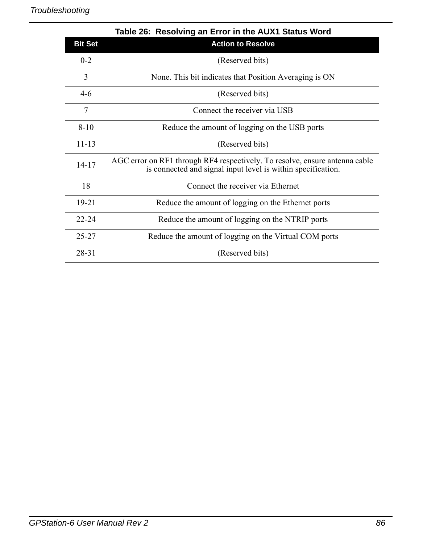<span id="page-85-0"></span>

|                | Table 26: Resolving an Error in the AUX1 Status Word                                                                                        |
|----------------|---------------------------------------------------------------------------------------------------------------------------------------------|
| <b>Bit Set</b> | <b>Action to Resolve</b>                                                                                                                    |
| $0 - 2$        | (Reserved bits)                                                                                                                             |
| 3              | None. This bit indicates that Position Averaging is ON                                                                                      |
| $4-6$          | (Reserved bits)                                                                                                                             |
| 7              | Connect the receiver via USB                                                                                                                |
| $8 - 10$       | Reduce the amount of logging on the USB ports                                                                                               |
| $11 - 13$      | (Reserved bits)                                                                                                                             |
| $14 - 17$      | AGC error on RF1 through RF4 respectively. To resolve, ensure antenna cable<br>is connected and signal input level is within specification. |
| 18             | Connect the receiver via Ethernet                                                                                                           |
| 19-21          | Reduce the amount of logging on the Ethernet ports                                                                                          |
| $22 - 24$      | Reduce the amount of logging on the NTRIP ports                                                                                             |
| $25 - 27$      | Reduce the amount of logging on the Virtual COM ports                                                                                       |
| 28-31          | (Reserved bits)                                                                                                                             |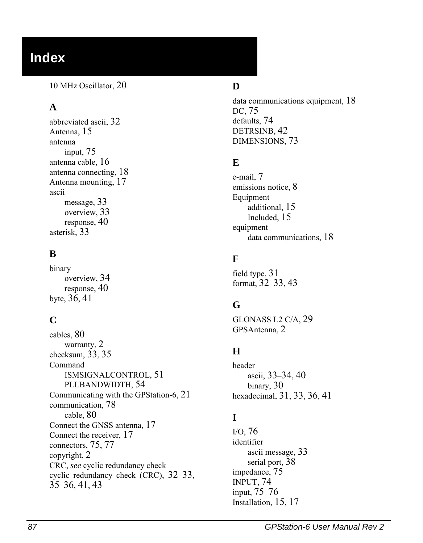# **Index**

10 MHz Oscillator, [20](#page-19-0)

# **A**

abbreviated ascii, [32](#page-31-0) Antenna, [15](#page-14-0) antenna input, [75](#page-74-0) antenna cable, [16](#page-15-1) antenna connecting, [18](#page-17-0) Antenna mounting, [17](#page-16-0) ascii message, [33](#page-32-0) overview, [33](#page-32-1) response, [40](#page-39-0) asterisk, [33](#page-32-2)

## **B**

binary overview, [34](#page-33-0) response, [40](#page-39-1) byte, [36](#page-35-0), [41](#page-40-0)

# **C**

cables, [80](#page-79-0) warranty, [2](#page-1-0) checksum, [33,](#page-32-3) [35](#page-34-0) Command ISMSIGNALCONTROL, [51](#page-50-0) PLLBANDWIDTH, [54](#page-53-0) Communicating with the GPStation-6, [21](#page-20-0) communication, [78](#page-77-0) cable, [80](#page-79-1) Connect the GNSS antenna, [17](#page-16-1) Connect the receiver, [17](#page-16-2) connectors, [75](#page-74-1), [77](#page-76-0) copyright, [2](#page-1-1) [CRC,](#page-32-4) *see* cyclic redundancy check cyclic redundancy check (CRC), [32](#page-31-1)[–33](#page-32-4), [35–](#page-34-1)[36,](#page-35-1) [41,](#page-40-1) [43](#page-42-0)

### **D**

data communications equipment, [18](#page-17-1) DC, [75](#page-74-2) defaults, [74](#page-73-0) DETRSINB, [42](#page-41-0) DIMENSIONS, [73](#page-72-1)

## **E**

e-mail, [7](#page-6-0) emissions notice, [8](#page-7-0) Equipment additional, [15](#page-14-1) Included, [15](#page-14-2) equipment data communications, [18](#page-17-2)

### **F**

field type, [31](#page-30-0) format, [32–](#page-31-2)[33,](#page-32-5) [43](#page-42-1)

### **G**

GLONASS L2 C/A, [29](#page-28-0) GPSAntenna, [2](#page-1-2)

## **H**

header ascii, [33–](#page-32-6)[34,](#page-33-1) [40](#page-39-2) binary, [30](#page-29-0) hexadecimal, [31,](#page-30-1) [33,](#page-32-7) [36,](#page-35-2) [41](#page-40-2)

# **I**

I/O, [76](#page-75-0) identifier ascii message, [33](#page-32-8) serial port, [38](#page-37-0) impedance, [75](#page-74-3) INPUT, [74](#page-73-1) input, [75–](#page-74-0)[76](#page-75-1) Installation, [15](#page-14-3), [17](#page-16-3)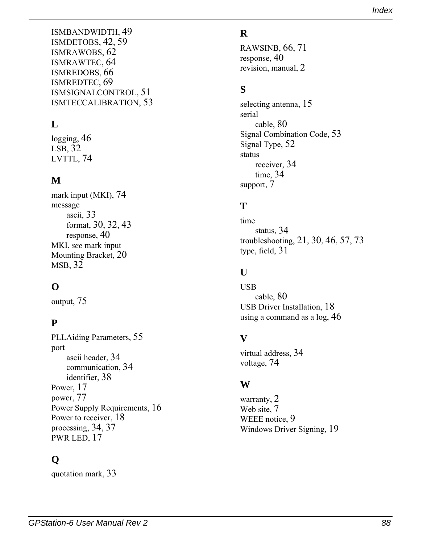ISMBANDWIDTH, [49](#page-48-0) ISMDETOBS, [42,](#page-41-0) [59](#page-58-0) ISMRAWOBS, [62](#page-61-0) ISMRAWTEC, [64](#page-63-0) ISMREDOBS, [66](#page-65-0) ISMREDTEC, [69](#page-68-0) ISMSIGNALCONTROL, [51](#page-50-0) ISMTECCALIBRATION, [53](#page-52-0)

# **L**

logging, [46](#page-45-0) LSB, [32](#page-31-3) LVTTL, [74](#page-73-2)

## **M**

mark input (MKI), [74](#page-73-3) message ascii, [33](#page-32-9) format, [30,](#page-29-1) [32,](#page-31-2) [43](#page-42-1) response, [40](#page-39-3) [MKI,](#page-73-3) *see* mark input Mounting Bracket, [20](#page-19-1) MSB, [32](#page-31-4)

## **O**

output, [75](#page-74-1)

## **P**

PLLAiding Parameters, [55](#page-54-0) port ascii header, [34](#page-33-2) communication, [34](#page-33-3) identifier, [38](#page-37-1) Power, [17](#page-16-4) power, 77 Power [Supply Requirements,](#page-76-1) [16](#page-15-0) Power to receiver, [18](#page-17-3) processing, [34,](#page-33-4) [37](#page-36-0) PWR LED, [17](#page-16-5)

# **Q**

quotation mark, [33](#page-32-10)

#### **R**

RAWSINB, [66](#page-65-0), [71](#page-70-0) response, [40](#page-39-4) revision, manual, [2](#page-1-3)

#### **S**

selecting antenna, [15](#page-14-4) serial cable, [80](#page-79-2) Signal Combination Code, [53](#page-52-1) Signal Type, [52](#page-51-0) status receiver, [34](#page-33-5) time, [34](#page-33-6) support, [7](#page-6-1)

## **T**

time status, [34](#page-33-6) troubleshooting, [21,](#page-20-1) [30,](#page-29-2) [46,](#page-45-1) [57,](#page-56-0) [73](#page-72-0) type, field, [31](#page-30-0)

### **U**

USB cable, [80](#page-79-0) USB Driver Installation, [18](#page-17-4) using a command as a log, [46](#page-45-2)

### **V**

virtual address, [34](#page-33-7) voltage, [74](#page-73-4)

### **W**

warranty, [2](#page-1-4) Web site, [7](#page-6-2) WEEE notice, [9](#page-8-0) Windows Driver Signing, [19](#page-18-0)